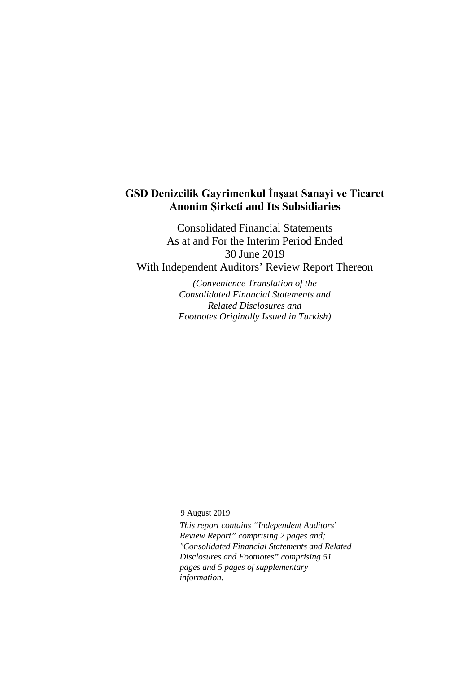# **GSD Denizcilik Gayrimenkul İnşaat Sanayi ve Ticaret Anonim Şirketi and Its Subsidiaries**

Consolidated Financial Statements As at and For the Interim Period Ended 30 June 2019 With Independent Auditors' Review Report Thereon

> *(Convenience Translation of the Consolidated Financial Statements and Related Disclosures and Footnotes Originally Issued in Turkish)*

9 August 2019

*This report contains "Independent Auditors*' *Review Report" comprising 2 pages and; "Consolidated Financial Statements and Related Disclosures and Footnotes" comprising 51 pages and 5 pages of supplementary information.*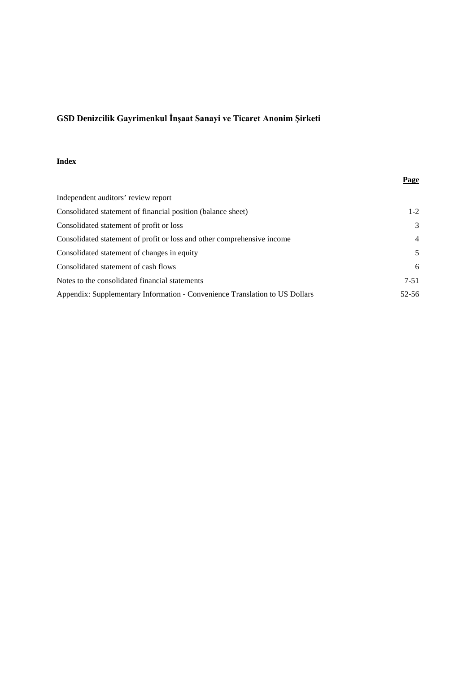# **Index**

|                                                                             | <b>Page</b>    |
|-----------------------------------------------------------------------------|----------------|
| Independent auditors' review report                                         |                |
| Consolidated statement of financial position (balance sheet)                | $1-2$          |
| Consolidated statement of profit or loss                                    | 3              |
| Consolidated statement of profit or loss and other comprehensive income     | $\overline{4}$ |
| Consolidated statement of changes in equity                                 | 5              |
| Consolidated statement of cash flows                                        | 6              |
| Notes to the consolidated financial statements                              | $7 - 51$       |
| Appendix: Supplementary Information - Convenience Translation to US Dollars | 52-56          |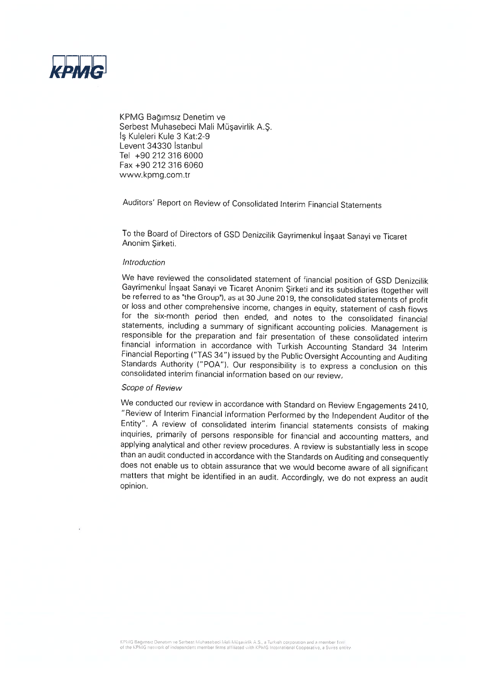

KPMG Bağımsız Denetim ve Serbest Muhasebeci Mali Müşavirlik A.Ş. Is Kuleleri Kule 3 Kat: 2-9 Levent 34330 Istanbul Tel +90 212 316 6000 Fax +90 212 316 6060 www.kpmg.com.tr

Auditors' Report on Review of Consolidated Interim Financial Statements

To the Board of Directors of GSD Denizcilik Gayrimenkul Insaat Sanayi ve Ticaret Anonim Sirketi.

#### **Introduction**

We have reviewed the consolidated statement of financial position of GSD Denizcilik Gayrimenkul Inşaat Sanayi ve Ticaret Anonim Şirketi and its subsidiaries (together will be referred to as "the Group"), as at 30 June 2019, the consolidated statements of profit or loss and other comprehensive income, changes in equity, statement of cash flows for the six-month period then ended, and notes to the consolidated financial statements, including a summary of significant accounting policies. Management is responsible for the preparation and fair presentation of these consolidated interim financial information in accordance with Turkish Accounting Standard 34 Interim Financial Reporting ("TAS 34") issued by the Public Oversight Accounting and Auditing Standards Authority ("POA"). Our responsibility is to express a conclusion on this consolidated interim financial information based on our review.

# Scope of Review

We conducted our review in accordance with Standard on Review Engagements 2410, "Review of Interim Financial Information Performed by the Independent Auditor of the Entity". A review of consolidated interim financial statements consists of making inquiries, primarily of persons responsible for financial and accounting matters, and applying analytical and other review procedures. A review is substantially less in scope than an audit conducted in accordance with the Standards on Auditing and consequently does not enable us to obtain assurance that we would become aware of all significant matters that might be identified in an audit. Accordingly, we do not express an audit opinion.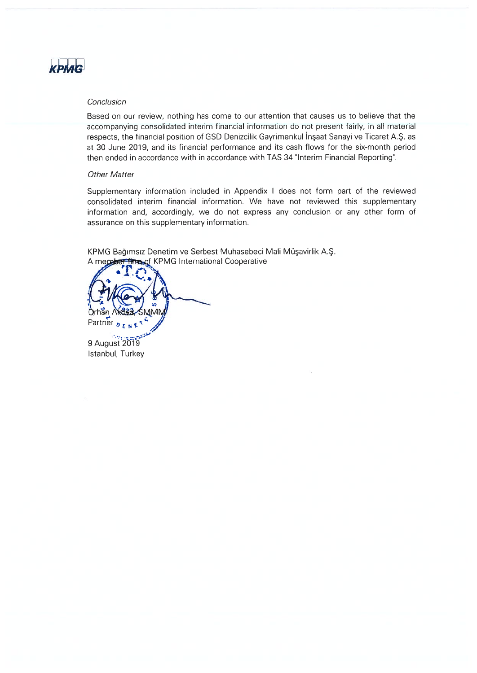

# Conclusion

Based on our review, nothing has come to our attention that causes us to believe that the accompanying consolidated interim financial information do not present fairly, in all material respects, the financial position of GSD Denizcilik Gayrimenkul Insaat Sanavi ve Ticaret A.S. as at 30 June 2019, and its financial performance and its cash flows for the six-month period then ended in accordance with in accordance with TAS 34 "Interim Financial Reporting".

### **Other Matter**

Supplementary information included in Appendix I does not form part of the reviewed consolidated interim financial information. We have not reviewed this supplementary information and, accordingly, we do not express any conclusion or any other form of assurance on this supplementary information.

KPMG Bağımsız Denetim ve Serbest Muhasebeci Mali Müşavirlik A.Ş. **Read KPMG** International Cooperative A ment

Partner DENET

9 August 2019 Istanbul, Turkey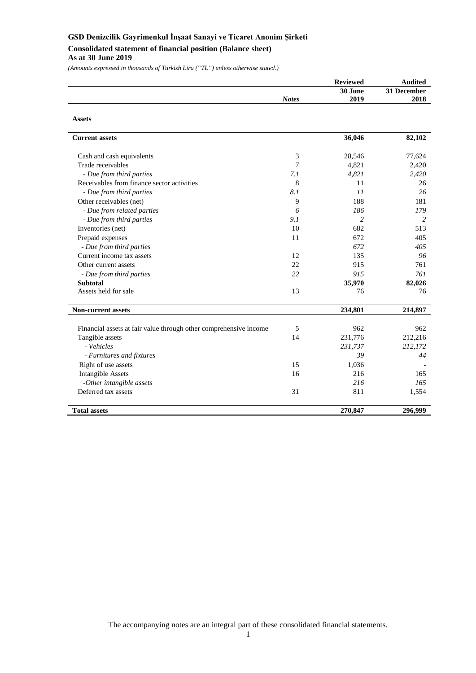# **GSD Denizcilik Gayrimenkul İnşaat Sanayi ve Ticaret Anonim Şirketi Consolidated statement of financial position (Balance sheet) As at 30 June 2019**

*(Amounts expressed in thousands of Turkish Lira ("TL") unless otherwise stated.)*

**Assets**

|              | <b>Reviewed</b> | <b>Audited</b> |
|--------------|-----------------|----------------|
|              | 30 June         | 31 December    |
| <b>Notes</b> | 2019            | 2018           |
|              |                 |                |

| <b>Current assets</b>                                             |     | 36,046         | 82,102  |
|-------------------------------------------------------------------|-----|----------------|---------|
|                                                                   |     |                |         |
| Cash and cash equivalents                                         | 3   | 28,546         | 77,624  |
| Trade receivables                                                 | 7   | 4,821          | 2,420   |
| - Due from third parties                                          | 7.1 | 4,821          | 2,420   |
| Receivables from finance sector activities                        | 8   | 11             | 26      |
| - Due from third parties                                          | 8.1 | 11             | 26      |
| Other receivables (net)                                           | 9   | 188            | 181     |
| - Due from related parties                                        | 6   | 186            | 179     |
| - Due from third parties                                          | 9.1 | $\overline{c}$ | 2       |
| Inventories (net)                                                 | 10  | 682            | 513     |
| Prepaid expenses                                                  | 11  | 672            | 405     |
| - Due from third parties                                          |     | 672            | 405     |
| Current income tax assets                                         | 12  | 135            | 96      |
| Other current assets                                              | 22  | 915            | 761     |
| - Due from third parties                                          | 22  | 915            | 761     |
| <b>Subtotal</b>                                                   |     | 35,970         | 82,026  |
| Assets held for sale                                              | 13  | 76             | 76      |
| <b>Non-current assets</b>                                         |     | 234,801        | 214,897 |
| Financial assets at fair value through other comprehensive income | 5   | 962            | 962     |
| Tangible assets                                                   | 14  | 231,776        | 212,216 |
| - Vehicles                                                        |     | 231,737        | 212,172 |
| - Furnitures and fixtures                                         |     | 39             | 44      |
| Right of use assets                                               | 15  | 1,036          |         |
| <b>Intangible Assets</b>                                          | 16  | 216            | 165     |
| -Other intangible assets                                          |     | 216            | 165     |
| Deferred tax assets                                               | 31  | 811            | 1,554   |
|                                                                   |     |                |         |
| <b>Total assets</b>                                               |     | 270,847        | 296,999 |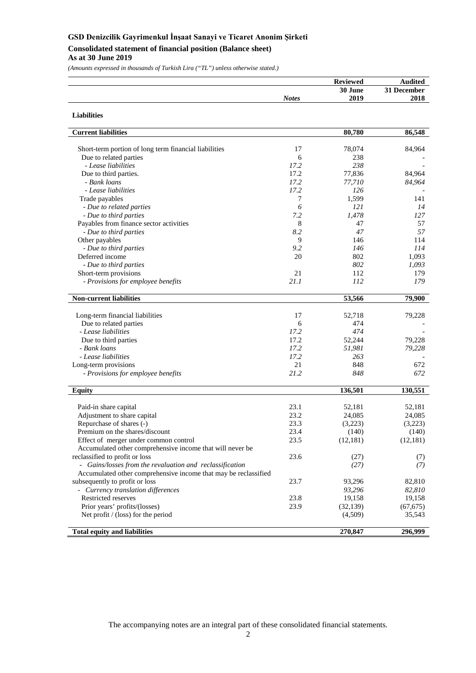**Consolidated statement of financial position (Balance sheet)**

**As at 30 June 2019**

*(Amounts expressed in thousands of Turkish Lira ("TL") unless otherwise stated.)*

|              | <b>Reviewed</b> | <b>Audited</b> |
|--------------|-----------------|----------------|
|              | 30 June         | 31 December    |
| <b>Notes</b> | 2019            | 2018           |
|              |                 |                |

| <b>Current liabilities</b>                                      |              | 80,780            | 86,548            |
|-----------------------------------------------------------------|--------------|-------------------|-------------------|
|                                                                 |              |                   |                   |
| Short-term portion of long term financial liabilities           | 17           | 78,074            | 84,964            |
| Due to related parties                                          | 6            | 238               |                   |
| - Lease liabilities                                             | 17.2         | 238               |                   |
| Due to third parties.                                           | 17.2         | 77,836            | 84,964            |
| - Bank loans                                                    | 17.2         | 77,710            | 84,964            |
| - Lease liabilities                                             | 17.2         | 126               |                   |
| Trade payables                                                  | 7            | 1,599             | 141               |
| - Due to related parties                                        | 6            | 121               | 14                |
| - Due to third parties                                          | 7.2          | 1,478             | 127               |
| Payables from finance sector activities                         | 8            | 47                | 57                |
| - Due to third parties                                          | 8.2          | 47                | 57                |
| Other payables                                                  | 9            | 146               | 114               |
| - Due to third parties                                          | 9.2          | 146               | 114               |
| Deferred income                                                 | 20           | 802               | 1,093             |
| - Due to third parties                                          |              | 802               | 1,093             |
| Short-term provisions                                           | 21           | 112               | 179               |
| - Provisions for employee benefits                              | 21.1         | 112               | 179               |
| <b>Non-current liabilities</b>                                  |              | 53,566            | 79,900            |
| Long-term financial liabilities                                 | 17           | 52,718            | 79,228            |
| Due to related parties                                          | 6            | 474               |                   |
| - Lease liabilities                                             | 17.2         | 474               |                   |
| Due to third parties                                            | 17.2         | 52,244            | 79,228            |
| - Bank loans                                                    | 17.2         | 51,981            | 79,228            |
| - Lease liabilities                                             | 17.2         | 263               |                   |
| Long-term provisions                                            | 21           | 848               | 672               |
| - Provisions for employee benefits                              | 21.2         | 848               | 672               |
| <b>Equity</b>                                                   |              | 136,501           | 130,551           |
|                                                                 |              |                   |                   |
| Paid-in share capital                                           | 23.1<br>23.2 | 52,181            | 52,181            |
| Adjustment to share capital                                     | 23.3         | 24,085<br>(3,223) | 24,085<br>(3,223) |
| Repurchase of shares (-)<br>Premium on the shares/discount      | 23.4         |                   |                   |
|                                                                 | 23.5         | (140)             | (140)             |
| Effect of merger under common control                           |              | (12, 181)         | (12, 181)         |
| Accumulated other comprehensive income that will never be       |              |                   |                   |
| reclassified to profit or loss                                  | 23.6         | (27)              | (7)               |
| - Gains/losses from the revaluation and reclassification        |              | (27)              | (7)               |
| Accumulated other comprehensive income that may be reclassified |              |                   |                   |
| subsequently to profit or loss                                  | 23.7         | 93,296            | 82,810            |
| - Currency translation differences                              |              | 93,296            | 82,810            |
| Restricted reserves                                             | 23.8         | 19,158            | 19,158            |
| Prior years' profits/(losses)                                   | 23.9         | (32, 139)         | (67, 675)         |
| Net profit / (loss) for the period                              |              | (4,509)           | 35,543            |
| <b>Total equity and liabilities</b>                             |              | 270,847           | 296,999           |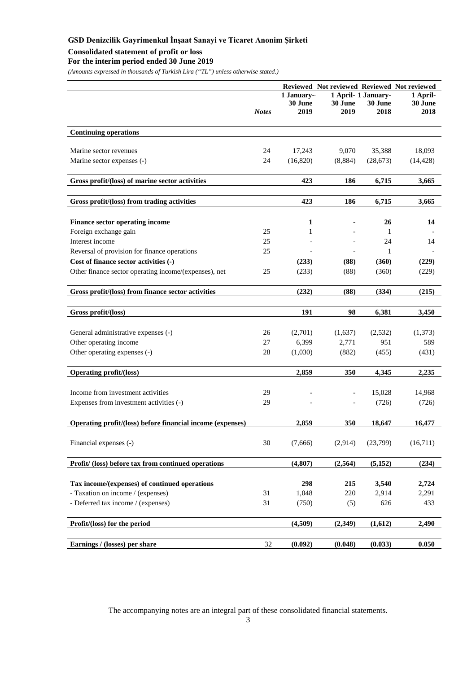# **Consolidated statement of profit or loss**

# **For the interim period ended 30 June 2019**

*(Amounts expressed in thousands of Turkish Lira ("TL") unless otherwise stated.)*

|                                                            |              | 1 January-<br>30 June | 30 June  | 1 April- 1 January-<br>30 June | Reviewed Not reviewed Reviewed Not reviewed<br>1 April-<br>30 June |
|------------------------------------------------------------|--------------|-----------------------|----------|--------------------------------|--------------------------------------------------------------------|
|                                                            | <b>Notes</b> | 2019                  | 2019     | 2018                           | 2018                                                               |
| <b>Continuing operations</b>                               |              |                       |          |                                |                                                                    |
|                                                            |              |                       |          |                                |                                                                    |
| Marine sector revenues                                     | 24           | 17,243                | 9,070    | 35,388                         | 18,093                                                             |
| Marine sector expenses (-)                                 | 24           | (16,820)              | (8, 884) | (28, 673)                      | (14, 428)                                                          |
| Gross profit/(loss) of marine sector activities            |              | 423                   | 186      | 6,715                          | 3,665                                                              |
| Gross profit/(loss) from trading activities                |              | 423                   | 186      | 6,715                          | 3,665                                                              |
|                                                            |              |                       |          |                                |                                                                    |
| <b>Finance sector operating income</b>                     |              | 1                     |          | 26                             | 14                                                                 |
| Foreign exchange gain                                      | 25           | 1                     |          | 1                              |                                                                    |
| Interest income                                            | 25           |                       |          | 24                             | 14                                                                 |
| Reversal of provision for finance operations               | 25           |                       |          | 1                              |                                                                    |
| Cost of finance sector activities (-)                      |              | (233)                 | (88)     | (360)                          | (229)                                                              |
| Other finance sector operating income/(expenses), net      | 25           | (233)                 | (88)     | (360)                          | (229)                                                              |
| Gross profit/(loss) from finance sector activities         |              | (232)                 | (88)     | (334)                          | (215)                                                              |
| Gross profit/(loss)                                        |              | 191                   | 98       | 6,381                          | 3,450                                                              |
|                                                            |              |                       |          |                                |                                                                    |
| General administrative expenses (-)                        | 26           | (2,701)               | (1,637)  | (2,532)                        | (1,373)                                                            |
| Other operating income                                     | 27           | 6,399                 | 2,771    | 951                            | 589                                                                |
| Other operating expenses (-)                               | 28           | (1,030)               | (882)    | (455)                          | (431)                                                              |
| <b>Operating profit/(loss)</b>                             |              | 2,859                 | 350      | 4,345                          | 2,235                                                              |
| Income from investment activities                          | 29           |                       |          | 15,028                         | 14,968                                                             |
| Expenses from investment activities (-)                    | 29           |                       |          | (726)                          | (726)                                                              |
|                                                            |              |                       |          |                                |                                                                    |
| Operating profit/(loss) before financial income (expenses) |              | 2,859                 | 350      | 18,647                         | 16,477                                                             |
| Financial expenses (-)                                     | $30\,$       | (7,666)               | (2,914)  | (23,799)                       | (16,711)                                                           |
| Profit/ (loss) before tax from continued operations        |              | (4,807)               | (2,564)  | (5, 152)                       | (234)                                                              |
| Tax income/(expenses) of continued operations              |              | 298                   | 215      | 3,540                          | 2,724                                                              |
| - Taxation on income / (expenses)                          | 31           | 1,048                 | 220      | 2,914                          | 2,291                                                              |
| - Deferred tax income / (expenses)                         | 31           | (750)                 | (5)      | 626                            | 433                                                                |
|                                                            |              |                       |          |                                |                                                                    |
| Profit/(loss) for the period                               |              | (4,509)               | (2,349)  | (1,612)                        | 2,490                                                              |
| Earnings / (losses) per share                              | 32           | (0.092)               | (0.048)  | (0.033)                        | 0.050                                                              |
|                                                            |              |                       |          |                                |                                                                    |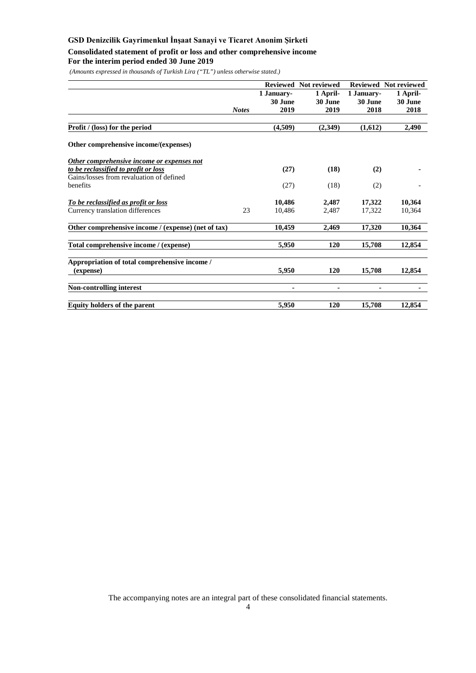**Consolidated statement of profit or loss and other comprehensive income**

# **For the interim period ended 30 June 2019**

*(Amounts expressed in thousands of Turkish Lira ("TL") unless otherwise stated.)*

|                                                     |              |            | Reviewed Not reviewed |            | Reviewed Not reviewed |
|-----------------------------------------------------|--------------|------------|-----------------------|------------|-----------------------|
|                                                     |              | 1 January- | 1 April-              | 1 January- | 1 April-              |
|                                                     |              | 30 June    | 30 June               | 30 June    | 30 June               |
|                                                     | <b>Notes</b> | 2019       | 2019                  | 2018       | 2018                  |
|                                                     |              |            |                       |            |                       |
| Profit / (loss) for the period                      |              | (4,509)    | (2,349)               | (1,612)    | 2,490                 |
| Other comprehensive income/(expenses)               |              |            |                       |            |                       |
| Other comprehensive income or expenses not          |              |            |                       |            |                       |
| to be reclassified to profit or loss                |              | (27)       | (18)                  | (2)        |                       |
| Gains/losses from revaluation of defined            |              |            |                       |            |                       |
| benefits                                            |              | (27)       | (18)                  | (2)        |                       |
| To be reclassified as profit or loss                |              | 10,486     | 2,487                 | 17,322     | 10,364                |
| Currency translation differences                    | 23           | 10,486     | 2,487                 | 17,322     | 10,364                |
| Other comprehensive income / (expense) (net of tax) |              | 10,459     | 2,469                 | 17,320     | 10,364                |
| Total comprehensive income / (expense)              |              | 5,950      | 120                   | 15,708     | 12,854                |
| Appropriation of total comprehensive income /       |              |            |                       |            |                       |
| (expense)                                           |              | 5,950      | 120                   | 15,708     | 12,854                |
| <b>Non-controlling interest</b>                     |              |            |                       |            |                       |
| Equity holders of the parent                        |              | 5,950      | 120                   | 15,708     | 12,854                |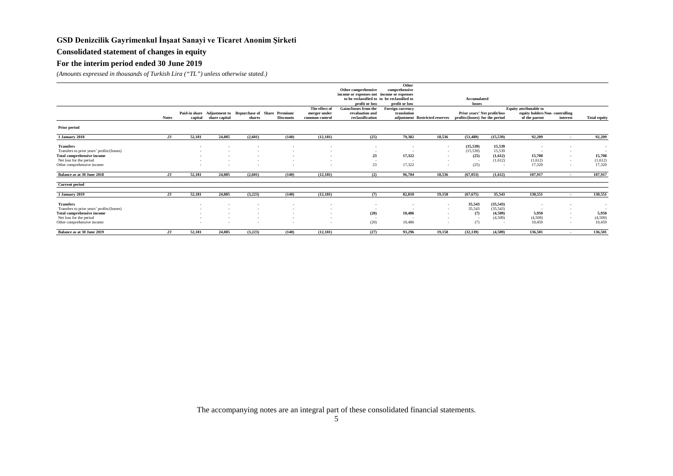# **Consolidated statement of changes in equity**

# **For the interim period ended 30 June 2019**

*(Amounts expressed in thousands of Turkish Lira ("TL") unless otherwise stated.)*

|                                            |              |         |               |                                                          |                  |                          |                                             | Other            |                                |                                 |                          |                                |                          |                     |
|--------------------------------------------|--------------|---------|---------------|----------------------------------------------------------|------------------|--------------------------|---------------------------------------------|------------------|--------------------------------|---------------------------------|--------------------------|--------------------------------|--------------------------|---------------------|
|                                            |              |         |               |                                                          |                  |                          | Other comprehensive                         | comprehensive    |                                |                                 |                          |                                |                          |                     |
|                                            |              |         |               |                                                          |                  |                          | income or expenses not income or expenses   |                  |                                |                                 |                          |                                |                          |                     |
|                                            |              |         |               |                                                          |                  |                          | to be reclassified to to be reclassified to |                  |                                | Accumulated                     |                          |                                |                          |                     |
|                                            |              |         |               |                                                          |                  |                          | profit or loss                              | profit or loss   |                                | losses                          |                          |                                |                          |                     |
|                                            |              |         |               |                                                          |                  | The effect of            | Gains/losses from the                       | Foreign currency |                                |                                 |                          | <b>Equity attributable to</b>  |                          |                     |
|                                            |              |         |               | Paid-in share Adjustment to Repurchase of Share Premium/ |                  | merger under             | revaluation and                             | translation      |                                | Prior years' Net profit/loss    |                          | equity holders Non-controlling |                          |                     |
|                                            | <b>Notes</b> | capital | share capital | shares                                                   | <b>Discounts</b> | common control           | reclassification                            |                  | adjustment Restricted reserves | profits/(losses) for the period |                          | of the parent                  | interest                 | <b>Total equity</b> |
| <b>Prior period</b>                        |              |         |               |                                                          |                  |                          |                                             |                  |                                |                                 |                          |                                |                          |                     |
| 1 January 2018                             | 23           | 52,181  | 24,085        | (2.601)                                                  | (140)            | (12.181)                 | (25)                                        | 79,382           | 18.536                         | (51.489)                        | (15, 539)                | 92,209                         | $\sim$                   | 92,209              |
|                                            |              |         |               |                                                          |                  |                          |                                             |                  |                                |                                 |                          |                                |                          |                     |
| <b>Transfers</b>                           |              | . .     |               |                                                          |                  |                          | $\sim$                                      | $\sim$           | $\sim$                         | (15, 539)                       | 15,539                   | ۰.                             | $\sim$                   | $\sim$              |
| Transfers to prior years' profits/(losses) |              |         |               |                                                          |                  | $\sim$                   | $\sim$                                      |                  | $\sim$                         | (15, 539)                       | 15,539                   |                                | $\overline{\phantom{a}}$ | $\sim$              |
| Total comprehensive income                 |              | $\sim$  |               |                                                          |                  | $\overline{\phantom{a}}$ | 23                                          | 17,322           | $\sim$                         | (25)                            | (1,612)                  | 15,708                         | $\overline{\phantom{a}}$ | 15,708              |
| Net loss for the period                    |              |         |               |                                                          |                  |                          |                                             |                  | $\sim$                         | $\sim$                          | (1,612)                  | (1,612)                        | $\sim$                   | (1,612)             |
| Other comprehensive income                 |              |         |               |                                                          |                  |                          | 23                                          | 17,322           | $\sim$                         | (25)                            | $\overline{\phantom{a}}$ | 17.320                         | $\overline{\phantom{a}}$ | 17,320              |
| Balance as at 30 June 2018                 | 23           | 52,181  | 24,085        | (2,601)                                                  | (140)            | (12, 181)                | (2)                                         | 96,704           | 18,536                         | (67, 053)                       | (1.612)                  | 107.917                        | $\sim$                   | 107,917             |
| <b>Current period</b>                      |              |         |               |                                                          |                  |                          |                                             |                  |                                |                                 |                          |                                |                          |                     |
| 1 January 2019                             | 23           | 52,181  | 24,085        | (3,223)                                                  | (140)            | (12, 181)                | (7)                                         | 82,810           | 19,158                         | (67, 675)                       | 35,543                   | 130,551                        | $\sim$                   | 130,551             |
| <b>Transfers</b>                           |              |         |               |                                                          |                  |                          | $\overline{\phantom{a}}$                    |                  | $\overline{\phantom{a}}$       | 35,543                          | (35, 543)                |                                |                          | . .                 |
| Transfers to prior years' profits/(losses) |              |         |               |                                                          |                  | $\sim$                   | - 1                                         | - 1              | $\sim$                         | 35,543                          | (35,543)                 |                                | $\overline{\phantom{a}}$ | $\sim$              |
| <b>Total comprehensive income</b>          |              |         |               |                                                          |                  | . .                      | (20)                                        | 10,486           | $\sim$                         | (7)                             | (4,509)                  | 5,950                          | $\sim$                   | 5,950               |
| Net loss for the period                    |              |         |               |                                                          |                  | $\sim$                   | $\sim$                                      |                  | $\sim$                         | $\sim$                          | (4,509)                  | (4,509)                        | $\sim$                   | (4, 509)            |
| Other comprehensive income                 |              |         |               |                                                          |                  |                          | (20)                                        | 10.486           |                                | (7)                             | $\sim$                   | 10.459                         | $\overline{\phantom{a}}$ | 10,459              |
| Balance as at 30 June 2019                 | 23           | 52,181  | 24.085        | (3,223)                                                  | (140)            | (12, 181)                | (27)                                        | 93,296           | 19.158                         | (32.139)                        | (4,509)                  | 136,501                        | $\overline{\phantom{a}}$ | 136,501             |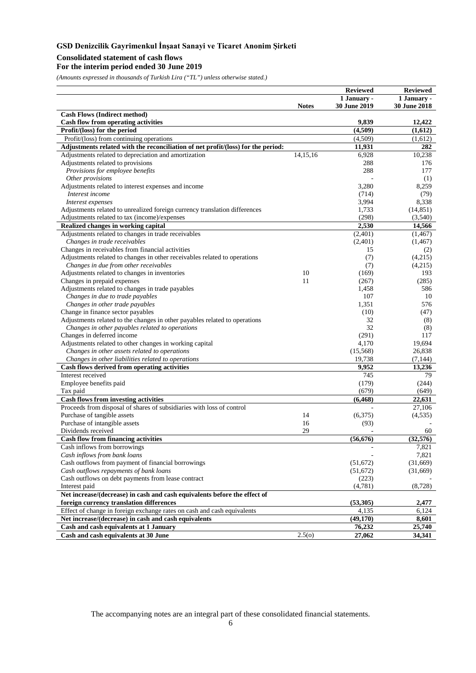# **Consolidated statement of cash flows**

# **For the interim period ended 30 June 2019**

*(Amounts expressed in thousands of Turkish Lira ("TL") unless otherwise stated.)*

|                                                                                  |              | <b>Reviewed</b>    | <b>Reviewed</b>    |
|----------------------------------------------------------------------------------|--------------|--------------------|--------------------|
|                                                                                  |              | 1 January -        | 1 January -        |
|                                                                                  | <b>Notes</b> | 30 June 2019       | 30 June 2018       |
| <b>Cash Flows (Indirect method)</b>                                              |              |                    |                    |
| <b>Cash flow from operating activities</b>                                       |              | 9,839              | 12,422             |
| Profit/(loss) for the period                                                     |              | (4,509)            | (1,612)            |
| Profit/(loss) from continuing operations                                         |              | (4,509)            | (1,612)            |
| Adjustments related with the reconciliation of net profit/(loss) for the period: |              | 11,931             | 282                |
| Adjustments related to depreciation and amortization                             | 14,15,16     | 6,928              | 10,238             |
| Adjustments related to provisions                                                |              | 288                | 176                |
| Provisions for employee benefits                                                 |              | 288                | 177                |
| Other provisions                                                                 |              |                    | (1)                |
| Adjustments related to interest expenses and income                              |              | 3,280              | 8,259              |
| Interest income                                                                  |              | (714)              | (79)               |
| Interest expenses                                                                |              | 3,994              | 8,338              |
| Adjustments related to unrealized foreign currency translation differences       |              | 1,733              | (14, 851)          |
| Adjustments related to tax (income)/expenses                                     |              | (298)              | (3,540)            |
| Realized changes in working capital                                              |              | 2,530              | 14,566             |
| Adjustments related to changes in trade receivables                              |              | (2,401)            | (1, 467)           |
| Changes in trade receivables                                                     |              | (2,401)            | (1, 467)           |
| Changes in receivables from financial activities                                 |              | 15                 | (2)                |
| Adjustments related to changes in other receivables related to operations        |              | (7)                | (4,215)            |
| Changes in due from other receivables                                            |              | (7)                | (4,215)            |
| Adjustments related to changes in inventories                                    | 10           | (169)              | 193                |
| Changes in prepaid expenses                                                      | 11           | (267)              | (285)              |
| Adjustments related to changes in trade payables                                 |              | 1,458              | 586                |
| Changes in due to trade payables                                                 |              | 107                | 10                 |
| Changes in other trade payables                                                  |              | 1,351              | 576                |
| Change in finance sector payables                                                |              | (10)               | (47)               |
| Adjustments related to the changes in other payables related to operations       |              | 32                 | (8)                |
| Changes in other payables related to operations                                  |              | 32                 | (8)                |
| Changes in deferred income                                                       |              | (291)              | 117<br>19,694      |
| Adjustments related to other changes in working capital                          |              | 4,170              | 26,838             |
| Changes in other assets related to operations                                    |              | (15,568)<br>19,738 |                    |
| Changes in other liabilities related to operations                               |              | 9,952              | (7, 144)<br>13,236 |
| Cash flows derived from operating activities<br>Interest received                |              | 745                | 79                 |
|                                                                                  |              | (179)              | (244)              |
| Employee benefits paid<br>Tax paid                                               |              | (679)              | (649)              |
| <b>Cash flows from investing activities</b>                                      |              | (6, 468)           | 22,631             |
| Proceeds from disposal of shares of subsidiaries with loss of control            |              |                    | 27,106             |
| Purchase of tangible assets                                                      | 14           | (6,375)            | (4, 535)           |
| Purchase of intangible assets                                                    | 16           | (93)               |                    |
| Dividends received                                                               | 29           |                    | 60                 |
| <b>Cash flow from financing activities</b>                                       |              | (56, 676)          | (32,576)           |
|                                                                                  |              |                    |                    |
| Cash inflows from borrowings<br>Cash inflows from bank loans                     |              |                    | 7,821<br>7,821     |
| Cash outflows from payment of financial borrowings                               |              | (51,672)           | (31,669)           |
| Cash outflows repayments of bank loans                                           |              | (51,672)           | (31,669)           |
| Cash outflows on debt payments from lease contract                               |              | (223)              |                    |
| Interest paid                                                                    |              | (4,781)            | (8,728)            |
| Net increase/(decrease) in cash and cash equivalents before the effect of        |              |                    |                    |
| foreign currency translation differences                                         |              | (53,305)           | 2,477              |
| Effect of change in foreign exchange rates on cash and cash equivalents          |              | 4,135              | 6,124              |
| Net increase/(decrease) in cash and cash equivalents                             |              | (49, 170)          | 8,601              |
| Cash and cash equivalents at 1 January                                           |              | 76,232             | 25,740             |
| Cash and cash equivalents at 30 June                                             | 2.5(0)       | 27,062             | 34,341             |
|                                                                                  |              |                    |                    |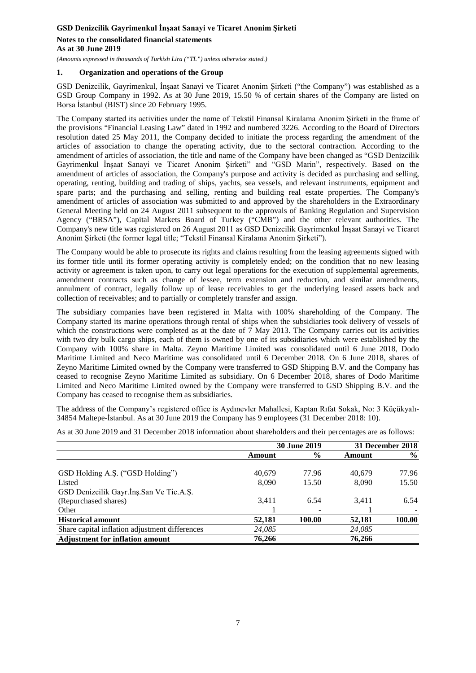#### **As at 30 June 2019**

*(Amounts expressed in thousands of Turkish Lira ("TL") unless otherwise stated.)*

# **1. Organization and operations of the Group**

GSD Denizcilik, Gayrimenkul, İnşaat Sanayi ve Ticaret Anonim Şirketi ("the Company") was established as a GSD Group Company in 1992. As at 30 June 2019, 15.50 % of certain shares of the Company are listed on Borsa İstanbul (BIST) since 20 February 1995.

The Company started its activities under the name of Tekstil Finansal Kiralama Anonim Şirketi in the frame of the provisions "Financial Leasing Law" dated in 1992 and numbered 3226. According to the Board of Directors resolution dated 25 May 2011, the Company decided to initiate the process regarding the amendment of the articles of association to change the operating activity, due to the sectoral contraction. According to the amendment of articles of association, the title and name of the Company have been changed as "GSD Denizcilik Gayrimenkul İnşaat Sanayi ve Ticaret Anonim Şirketi" and "GSD Marin", respectively. Based on the amendment of articles of association, the Company's purpose and activity is decided as purchasing and selling, operating, renting, building and trading of ships, yachts, sea vessels, and relevant instruments, equipment and spare parts; and the purchasing and selling, renting and building real estate properties. The Company's amendment of articles of association was submitted to and approved by the shareholders in the Extraordinary General Meeting held on 24 August 2011 subsequent to the approvals of Banking Regulation and Supervision Agency ("BRSA"), Capital Markets Board of Turkey ("CMB") and the other relevant authorities. The Company's new title was registered on 26 August 2011 as GSD Denizcilik Gayrimenkul İnşaat Sanayi ve Ticaret Anonim Şirketi (the former legal title; "Tekstil Finansal Kiralama Anonim Şirketi").

The Company would be able to prosecute its rights and claims resulting from the leasing agreements signed with its former title until its former operating activity is completely ended; on the condition that no new leasing activity or agreement is taken upon, to carry out legal operations for the execution of supplemental agreements, amendment contracts such as change of lessee, term extension and reduction, and similar amendments, annulment of contract, legally follow up of lease receivables to get the underlying leased assets back and collection of receivables; and to partially or completely transfer and assign.

The subsidiary companies have been registered in Malta with 100% shareholding of the Company. The Company started its marine operations through rental of ships when the subsidiaries took delivery of vessels of which the constructions were completed as at the date of 7 May 2013. The Company carries out its activities with two dry bulk cargo ships, each of them is owned by one of its subsidiaries which were established by the Company with 100% share in Malta. Zeyno Maritime Limited was consolidated until 6 June 2018, Dodo Maritime Limited and Neco Maritime was consolidated until 6 December 2018. On 6 June 2018, shares of Zeyno Maritime Limited owned by the Company were transferred to GSD Shipping B.V. and the Company has ceased to recognise Zeyno Maritime Limited as subsidiary. On 6 December 2018, shares of Dodo Maritime Limited and Neco Maritime Limited owned by the Company were transferred to GSD Shipping B.V. and the Company has ceased to recognise them as subsidiaries.

The address of the Company's registered office is Aydınevler Mahallesi, Kaptan Rıfat Sokak, No: 3 Küçükyalı-34854 Maltepe-İstanbul. As at 30 June 2019 the Company has 9 employees (31 December 2018: 10).

As at 30 June 2019 and 31 December 2018 information about shareholders and their percentages are as follows:

|                                                | <b>30 June 2019</b> |               |        | 31 December 2018 |  |  |  |  |
|------------------------------------------------|---------------------|---------------|--------|------------------|--|--|--|--|
|                                                | Amount              | $\frac{6}{6}$ | Amount | $\frac{6}{6}$    |  |  |  |  |
| GSD Holding A.S. ("GSD Holding")               | 40.679              | 77.96         | 40.679 | 77.96            |  |  |  |  |
| Listed                                         | 8.090               | 15.50         | 8.090  | 15.50            |  |  |  |  |
| GSD Denizcilik Gayr.Ins.San Ve Tic.A.S.        |                     |               |        |                  |  |  |  |  |
| (Repurchased shares)                           | 3.411               | 6.54          | 3.411  | 6.54             |  |  |  |  |
| Other                                          |                     |               |        |                  |  |  |  |  |
| <b>Historical amount</b>                       | 52,181              | 100.00        | 52,181 | 100.00           |  |  |  |  |
| Share capital inflation adjustment differences | 24,085              |               | 24,085 |                  |  |  |  |  |
| <b>Adjustment for inflation amount</b>         | 76.266              |               | 76,266 |                  |  |  |  |  |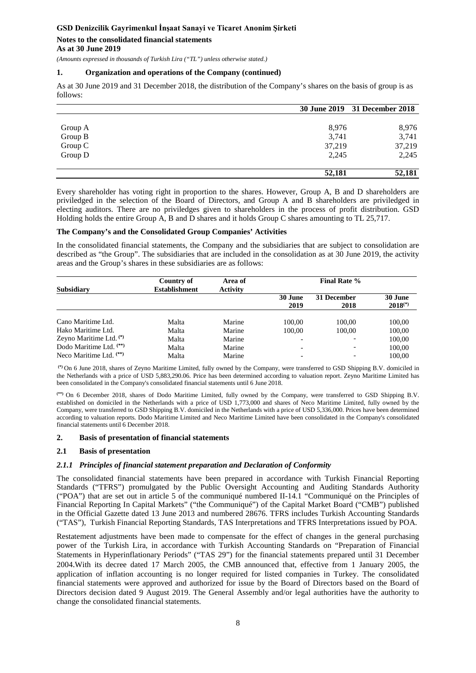### **Notes to the consolidated financial statements As at 30 June 2019**

*(Amounts expressed in thousands of Turkish Lira ("TL") unless otherwise stated.)*

#### **1. Organization and operations of the Company (continued)**

As at 30 June 2019 and 31 December 2018, the distribution of the Company's shares on the basis of group is as follows:

|         |        | 30 June 2019 31 December 2018 |
|---------|--------|-------------------------------|
|         |        |                               |
| Group A | 8,976  | 8,976                         |
| Group B | 3,741  | 3,741                         |
| Group C | 37,219 | 37,219                        |
| Group D | 2,245  | 2,245                         |
|         | 52,181 | 52,181                        |

Every shareholder has voting right in proportion to the shares. However, Group A, B and D shareholders are priviledged in the selection of the Board of Directors, and Group A and B shareholders are priviledged in electing auditors. There are no priviledges given to shareholders in the process of profit distribution. GSD Holding holds the entire Group A, B and D shares and it holds Group C shares amounting to TL 25,717.

#### **The Company's and the Consolidated Group Companies' Activities**

In the consolidated financial statements, the Company and the subsidiaries that are subject to consolidation are described as "the Group". The subsidiaries that are included in the consolidation as at 30 June 2019, the activity areas and the Group's shares in these subsidiaries are as follows:

| Subsidiary                         | Country of<br><b>Establishment</b> | Area of<br><b>Activity</b> |                 | <b>Final Rate %</b> |                         |  |
|------------------------------------|------------------------------------|----------------------------|-----------------|---------------------|-------------------------|--|
|                                    |                                    |                            | 30 June<br>2019 | 31 December<br>2018 | 30 June<br>$2018^{(*)}$ |  |
| Cano Maritime Ltd.                 | Malta                              | Marine                     | 100.00          | 100.00              | 100,00                  |  |
| Hako Maritime Ltd.                 | Malta                              | Marine                     | 100.00          | 100.00              | 100,00                  |  |
| Zeyno Maritime Ltd. (*)            | Malta                              | Marine                     |                 |                     | 100,00                  |  |
| Dodo Maritime Ltd. <sup>(**)</sup> | Malta                              | Marine                     |                 |                     | 100.00                  |  |
| Neco Maritime Ltd. $(**)$          | Malta                              | Marine                     |                 |                     | 100.00                  |  |

**(\*)** On 6 June 2018, shares of Zeyno Maritime Limited, fully owned by the Company, were transferred to GSD Shipping B.V. domiciled in the Netherlands with a price of USD 5,883,290.06. Price has been determined according to valuation report. Zeyno Maritime Limited has been consolidated in the Company's consolidated financial statements until 6 June 2018.

**(\*\*)** On 6 December 2018, shares of Dodo Maritime Limited, fully owned by the Company, were transferred to GSD Shipping B.V. established on domiciled in the Netherlands with a price of USD 1,773,000 and shares of Neco Maritime Limited, fully owned by the Company, were transferred to GSD Shipping B.V. domiciled in the Netherlands with a price of USD 5,336,000. Prices have been determined according to valuation reports. Dodo Maritime Limited and Neco Maritime Limited have been consolidated in the Company's consolidated financial statements until 6 December 2018.

#### **2. Basis of presentation of financial statements**

#### **2.1 Basis of presentation**

#### *2.1.1 Principles of financial statement preparation and Declaration of Conformity*

The consolidated financial statements have been prepared in accordance with Turkish Financial Reporting Standards ("TFRS") promulgated by the Public Oversight Accounting and Auditing Standards Authority ("POA") that are set out in article 5 of the communiqué numbered II-14.1 "Communiqué on the Principles of Financial Reporting In Capital Markets" ("the Communiqué") of the Capital Market Board ("CMB") published in the Official Gazette dated 13 June 2013 and numbered 28676. TFRS includes Turkish Accounting Standards ("TAS"), Turkish Financial Reporting Standards, TAS Interpretations and TFRS Interpretations issued by POA.

Restatement adjustments have been made to compensate for the effect of changes in the general purchasing power of the Turkish Lira, in accordance with Turkish Accounting Standards on "Preparation of Financial Statements in Hyperinflationary Periods" ("TAS 29") for the financial statements prepared until 31 December 2004.With its decree dated 17 March 2005, the CMB announced that, effective from 1 January 2005, the application of inflation accounting is no longer required for listed companies in Turkey. The consolidated financial statements were approved and authorized for issue by the Board of Directors based on the Board of Directors decision dated 9 August 2019. The General Assembly and/or legal authorities have the authority to change the consolidated financial statements.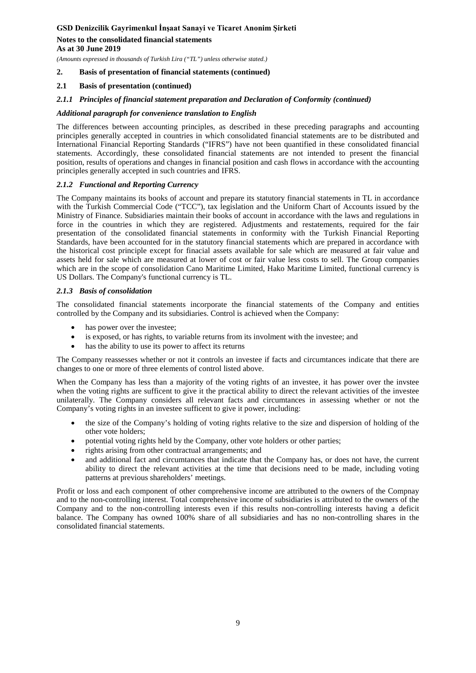# **Notes to the consolidated financial statements**

**As at 30 June 2019**

*(Amounts expressed in thousands of Turkish Lira ("TL") unless otherwise stated.)*

# **2. Basis of presentation of financial statements (continued)**

# **2.1 Basis of presentation (continued)**

# *2.1.1 Principles of financial statement preparation and Declaration of Conformity (continued)*

# *Additional paragraph for convenience translation to English*

The differences between accounting principles, as described in these preceding paragraphs and accounting principles generally accepted in countries in which consolidated financial statements are to be distributed and International Financial Reporting Standards ("IFRS") have not been quantified in these consolidated financial statements. Accordingly, these consolidated financial statements are not intended to present the financial position, results of operations and changes in financial position and cash flows in accordance with the accounting principles generally accepted in such countries and IFRS.

# *2.1.2 Functional and Reporting Currency*

The Company maintains its books of account and prepare its statutory financial statements in TL in accordance with the Turkish Commercial Code ("TCC"), tax legislation and the Uniform Chart of Accounts issued by the Ministry of Finance. Subsidiaries maintain their books of account in accordance with the laws and regulations in force in the countries in which they are registered. Adjustments and restatements, required for the fair presentation of the consolidated financial statements in conformity with the Turkish Financial Reporting Standards, have been accounted for in the statutory financial statements which are prepared in accordance with the historical cost principle except for finacial assets available for sale which are measured at fair value and assets held for sale which are measured at lower of cost or fair value less costs to sell. The Group companies which are in the scope of consolidation Cano Maritime Limited, Hako Maritime Limited, functional currency is US Dollars. The Company's functional currency is TL.

# *2.1.3 Basis of consolidation*

The consolidated financial statements incorporate the financial statements of the Company and entities controlled by the Company and its subsidiaries. Control is achieved when the Company:

- has power over the investee;
- is exposed, or has rights, to variable returns from its involment with the investee; and
- has the ability to use its power to affect its returns

The Company reassesses whether or not it controls an investee if facts and circumtances indicate that there are changes to one or more of three elements of control listed above.

When the Company has less than a majority of the voting rights of an investee, it has power over the invstee when the voting rights are sufficent to give it the practical ability to direct the relevant activities of the investee unilaterally. The Company considers all relevant facts and circumtances in assessing whether or not the Company's voting rights in an investee sufficent to give it power, including:

- the size of the Company's holding of voting rights relative to the size and dispersion of holding of the other vote holders;
- potential voting rights held by the Company, other vote holders or other parties;
- rights arising from other contractual arrangements; and
- and additional fact and circumtances that indicate that the Company has, or does not have, the current ability to direct the relevant activities at the time that decisions need to be made, including voting patterns at previous shareholders' meetings.

Profit or loss and each component of other comprehensive income are attributed to the owners of the Compnay and to the non-controlling interest. Total comprehensive income of subsidiaries is attributed to the owners of the Company and to the non-controlling interests even if this results non-controlling interests having a deficit balance. The Company has owned 100% share of all subsidiaries and has no non-controlling shares in the consolidated financial statements.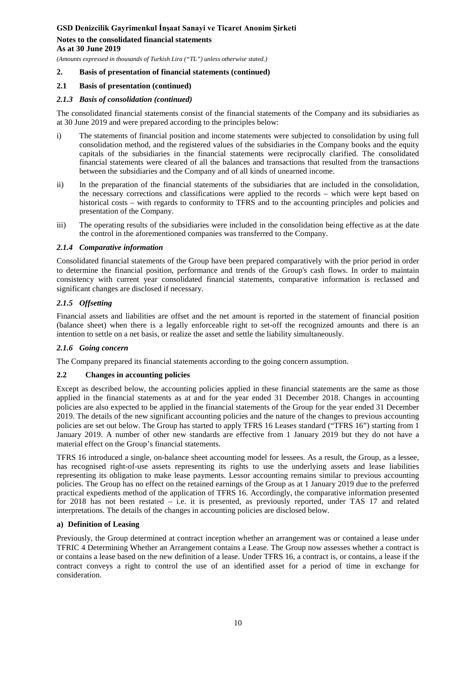# **Notes to the consolidated financial statements**

**As at 30 June 2019**

*(Amounts expressed in thousands of Turkish Lira ("TL") unless otherwise stated.)*

# **2. Basis of presentation of financial statements (continued)**

# **2.1 Basis of presentation (continued)**

# *2.1.3 Basis of consolidation (continued)*

The consolidated financial statements consist of the financial statements of the Company and its subsidiaries as at 30 June 2019 and were prepared according to the principles below:

- i) The statements of financial position and income statements were subjected to consolidation by using full consolidation method, and the registered values of the subsidiaries in the Company books and the equity capitals of the subsidiaries in the financial statements were reciprocally clarified. The consolidated financial statements were cleared of all the balances and transactions that resulted from the transactions between the subsidiaries and the Company and of all kinds of unearned income.
- ii) In the preparation of the financial statements of the subsidiaries that are included in the consolidation, the necessary corrections and classifications were applied to the records – which were kept based on historical costs – with regards to conformity to TFRS and to the accounting principles and policies and presentation of the Company.
- iii) The operating results of the subsidiaries were included in the consolidation being effective as at the date the control in the aforementioned companies was transferred to the Company.

# *2.1.4 Comparative information*

Consolidated financial statements of the Group have been prepared comparatively with the prior period in order to determine the financial position, performance and trends of the Group's cash flows. In order to maintain consistency with current year consolidated financial statements, comparative information is reclassed and significant changes are disclosed if necessary.

# *2.1.5 Offsetting*

Financial assets and liabilities are offset and the net amount is reported in the statement of financial position (balance sheet) when there is a legally enforceable right to set-off the recognized amounts and there is an intention to settle on a net basis, or realize the asset and settle the liability simultaneously.

# *2.1.6 Going concern*

The Company prepared its financial statements according to the going concern assumption.

# **2.2 Changes in accounting policies**

Except as described below, the accounting policies applied in these financial statements are the same as those applied in the financial statements as at and for the year ended 31 December 2018. Changes in accounting policies are also expected to be applied in the financial statements of the Group for the year ended 31 December 2019. The details of the new significant accounting policies and the nature of the changes to previous accounting policies are set out below. The Group has started to apply TFRS 16 Leases standard ("TFRS 16") starting from 1 January 2019. A number of other new standards are effective from 1 January 2019 but they do not have a material effect on the Group's financial statements.

TFRS 16 introduced a single, on-balance sheet accounting model for lessees. As a result, the Group, as a lessee, has recognised right-of-use assets representing its rights to use the underlying assets and lease liabilities representing its obligation to make lease payments. Lessor accounting remains similar to previous accounting policies. The Group has no effect on the retained earnings of the Group as at 1 January 2019 due to the preferred practical expedients method of the application of TFRS 16. Accordingly, the comparative information presented for 2018 has not been restated – i.e. it is presented, as previously reported, under TAS 17 and related interpretations. The details of the changes in accounting policies are disclosed below.

# **a) Definition of Leasing**

Previously, the Group determined at contract inception whether an arrangement was or contained a lease under TFRIC 4 Determining Whether an Arrangement contains a Lease. The Group now assesses whether a contract is or contains a lease based on the new definition of a lease. Under TFRS 16, a contract is, or contains, a lease if the contract conveys a right to control the use of an identified asset for a period of time in exchange for consideration.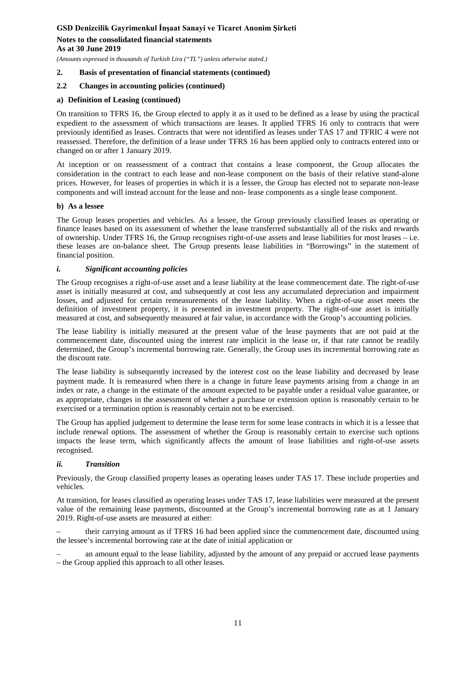*(Amounts expressed in thousands of Turkish Lira ("TL") unless otherwise stated.)*

### **2. Basis of presentation of financial statements (continued)**

#### **2.2 Changes in accounting policies (continued)**

#### **a) Definition of Leasing (continued)**

On transition to TFRS 16, the Group elected to apply it as it used to be defined as a lease by using the practical expedient to the assessment of which transactions are leases. It applied TFRS 16 only to contracts that were previously identified as leases. Contracts that were not identified as leases under TAS 17 and TFRIC 4 were not reassessed. Therefore, the definition of a lease under TFRS 16 has been applied only to contracts entered into or changed on or after 1 January 2019.

At inception or on reassessment of a contract that contains a lease component, the Group allocates the consideration in the contract to each lease and non-lease component on the basis of their relative stand-alone prices. However, for leases of properties in which it is a lessee, the Group has elected not to separate non-lease components and will instead account for the lease and non- lease components as a single lease component.

#### **b) As a lessee**

The Group leases properties and vehicles. As a lessee, the Group previously classified leases as operating or finance leases based on its assessment of whether the lease transferred substantially all of the risks and rewards of ownership. Under TFRS 16, the Group recognises right-of-use assets and lease liabilities for most leases – i.e. these leases are on-balance sheet. The Group presents lease liabilities in "Borrowings" in the statement of financial position.

#### *i. Significant accounting policies*

The Group recognises a right-of-use asset and a lease liability at the lease commencement date. The right-of-use asset is initially measured at cost, and subsequently at cost less any accumulated depreciation and impairment losses, and adjusted for certain remeasurements of the lease liability. When a right-of-use asset meets the definition of investment property, it is presented in investment property. The right-of-use asset is initially measured at cost, and subsequently measured at fair value, in accordance with the Group's accounting policies.

The lease liability is initially measured at the present value of the lease payments that are not paid at the commencement date, discounted using the interest rate implicit in the lease or, if that rate cannot be readily determined, the Group's incremental borrowing rate. Generally, the Group uses its incremental borrowing rate as the discount rate.

The lease liability is subsequently increased by the interest cost on the lease liability and decreased by lease payment made. It is remeasured when there is a change in future lease payments arising from a change in an index or rate, a change in the estimate of the amount expected to be payable under a residual value guarantee, or as appropriate, changes in the assessment of whether a purchase or extension option is reasonably certain to be exercised or a termination option is reasonably certain not to be exercised.

The Group has applied judgement to determine the lease term for some lease contracts in which it is a lessee that include renewal options. The assessment of whether the Group is reasonably certain to exercise such options impacts the lease term, which significantly affects the amount of lease liabilities and right-of-use assets recognised.

#### *ii. Transition*

Previously, the Group classified property leases as operating leases under TAS 17. These include properties and vehicles.

At transition, for leases classified as operating leases under TAS 17, lease liabilities were measured at the present value of the remaining lease payments, discounted at the Group's incremental borrowing rate as at 1 January 2019. Right-of-use assets are measured at either:

– their carrying amount as if TFRS 16 had been applied since the commencement date, discounted using the lessee's incremental borrowing rate at the date of initial application or

– an amount equal to the lease liability, adjusted by the amount of any prepaid or accrued lease payments – the Group applied this approach to all other leases.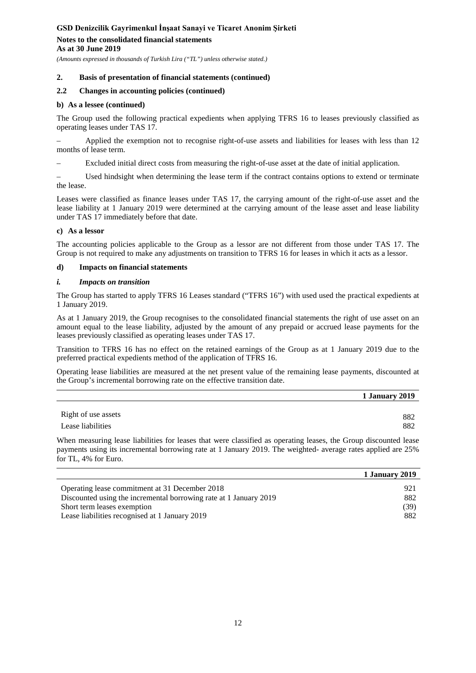*(Amounts expressed in thousands of Turkish Lira ("TL") unless otherwise stated.)*

### **2. Basis of presentation of financial statements (continued)**

### **2.2 Changes in accounting policies (continued)**

#### **b) As a lessee (continued)**

The Group used the following practical expedients when applying TFRS 16 to leases previously classified as operating leases under TAS 17.

– Applied the exemption not to recognise right-of-use assets and liabilities for leases with less than 12 months of lease term.

– Excluded initial direct costs from measuring the right-of-use asset at the date of initial application.

– Used hindsight when determining the lease term if the contract contains options to extend or terminate the lease.

Leases were classified as finance leases under TAS 17, the carrying amount of the right-of-use asset and the lease liability at 1 January 2019 were determined at the carrying amount of the lease asset and lease liability under TAS 17 immediately before that date.

#### **c) As a lessor**

The accounting policies applicable to the Group as a lessor are not different from those under TAS 17. The Group is not required to make any adjustments on transition to TFRS 16 for leases in which it acts as a lessor.

#### **d) Impacts on financial statements**

#### *i. Impacts on transition*

The Group has started to apply TFRS 16 Leases standard ("TFRS 16") with used used the practical expedients at 1 January 2019.

As at 1 January 2019, the Group recognises to the consolidated financial statements the right of use asset on an amount equal to the lease liability, adjusted by the amount of any prepaid or accrued lease payments for the leases previously classified as operating leases under TAS 17.

Transition to TFRS 16 has no effect on the retained earnings of the Group as at 1 January 2019 due to the preferred practical expedients method of the application of TFRS 16.

Operating lease liabilities are measured at the net present value of the remaining lease payments, discounted at the Group's incremental borrowing rate on the effective transition date.

|                                          | 1 January 2019 |
|------------------------------------------|----------------|
| Right of use assets<br>Lease liabilities | 882<br>882     |
|                                          |                |

When measuring lease liabilities for leases that were classified as operating leases, the Group discounted lease payments using its incremental borrowing rate at 1 January 2019. The weighted- average rates applied are 25% for TL, 4% for Euro.

|                                                                   | 1 January 2019 |
|-------------------------------------------------------------------|----------------|
| Operating lease commitment at 31 December 2018                    | 921            |
| Discounted using the incremental borrowing rate at 1 January 2019 | 882            |
| Short term leases exemption                                       | (39)           |
| Lease liabilities recognised at 1 January 2019                    | 882            |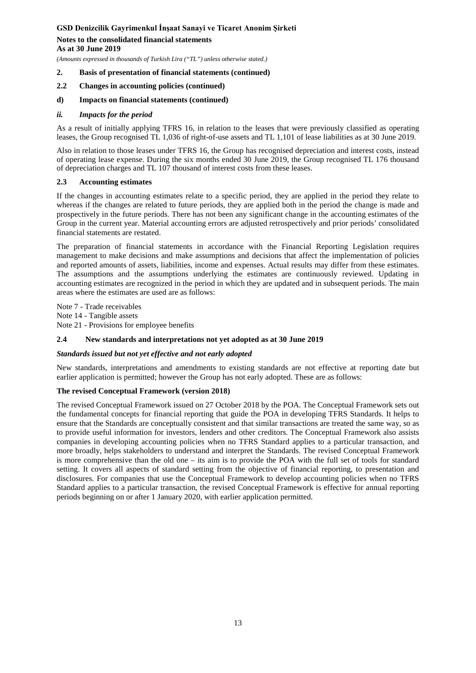# **Notes to the consolidated financial statements**

**As at 30 June 2019**

*(Amounts expressed in thousands of Turkish Lira ("TL") unless otherwise stated.)*

# **2. Basis of presentation of financial statements (continued)**

**2.2 Changes in accounting policies (continued)**

### **d) Impacts on financial statements (continued)**

#### *ii. Impacts for the period*

As a result of initially applying TFRS 16, in relation to the leases that were previously classified as operating leases, the Group recognised TL 1,036 of right-of-use assets and TL 1,101 of lease liabilities as at 30 June 2019.

Also in relation to those leases under TFRS 16, the Group has recognised depreciation and interest costs, instead of operating lease expense. During the six months ended 30 June 2019, the Group recognised TL 176 thousand of depreciation charges and TL 107 thousand of interest costs from these leases.

#### **2.3 Accounting estimates**

If the changes in accounting estimates relate to a specific period, they are applied in the period they relate to whereas if the changes are related to future periods, they are applied both in the period the change is made and prospectively in the future periods. There has not been any significant change in the accounting estimates of the Group in the current year. Material accounting errors are adjusted retrospectively and prior periods' consolidated financial statements are restated.

The preparation of financial statements in accordance with the Financial Reporting Legislation requires management to make decisions and make assumptions and decisions that affect the implementation of policies and reported amounts of assets, liabilities, income and expenses. Actual results may differ from these estimates. The assumptions and the assumptions underlying the estimates are continuously reviewed. Updating in accounting estimates are recognized in the period in which they are updated and in subsequent periods. The main areas where the estimates are used are as follows:

Note 7 - Trade receivables Note 14 - Tangible assets Note 21 - Provisions for employee benefits

# **2**.**4 New standards and interpretations not yet adopted as at 30 June 2019**

# *Standards issued but not yet effective and not early adopted*

New standards, interpretations and amendments to existing standards are not effective at reporting date but earlier application is permitted; however the Group has not early adopted. These are as follows:

#### **The revised Conceptual Framework (version 2018)**

The revised Conceptual Framework issued on 27 October 2018 by the POA. The Conceptual Framework sets out the fundamental concepts for financial reporting that guide the POA in developing TFRS Standards. It helps to ensure that the Standards are conceptually consistent and that similar transactions are treated the same way, so as to provide useful information for investors, lenders and other creditors. The Conceptual Framework also assists companies in developing accounting policies when no TFRS Standard applies to a particular transaction, and more broadly, helps stakeholders to understand and interpret the Standards. The revised Conceptual Framework is more comprehensive than the old one – its aim is to provide the POA with the full set of tools for standard setting. It covers all aspects of standard setting from the objective of financial reporting, to presentation and disclosures. For companies that use the Conceptual Framework to develop accounting policies when no TFRS Standard applies to a particular transaction, the revised Conceptual Framework is effective for annual reporting periods beginning on or after 1 January 2020, with earlier application permitted.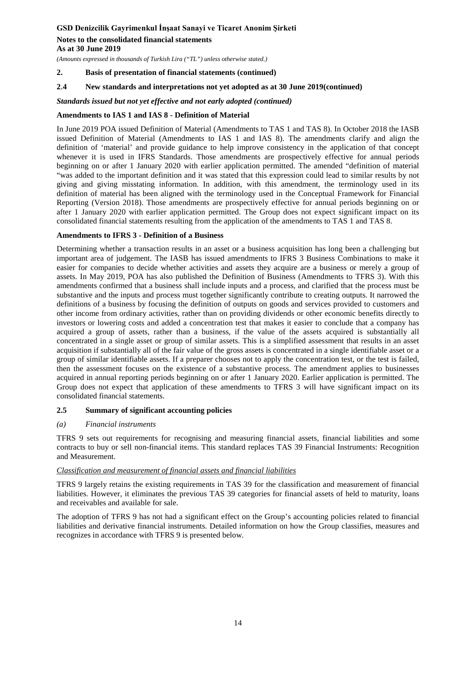**As at 30 June 2019**

*(Amounts expressed in thousands of Turkish Lira ("TL") unless otherwise stated.)*

### **2. Basis of presentation of financial statements (continued)**

# **2**.**4 New standards and interpretations not yet adopted as at 30 June 2019(continued)**

#### *Standards issued but not yet effective and not early adopted (continued)*

#### **Amendments to IAS 1 and IAS 8 - Definition of Material**

In June 2019 POA issued Definition of Material (Amendments to TAS 1 and TAS 8). In October 2018 the IASB issued Definition of Material (Amendments to IAS 1 and IAS 8). The amendments clarify and align the definition of 'material' and provide guidance to help improve consistency in the application of that concept whenever it is used in IFRS Standards. Those amendments are prospectively effective for annual periods beginning on or after 1 January 2020 with earlier application permitted. The amended "definition of material "was added to the important definition and it was stated that this expression could lead to similar results by not giving and giving misstating information. In addition, with this amendment, the terminology used in its definition of material has been aligned with the terminology used in the Conceptual Framework for Financial Reporting (Version 2018). Those amendments are prospectively effective for annual periods beginning on or after 1 January 2020 with earlier application permitted. The Group does not expect significant impact on its consolidated financial statements resulting from the application of the amendments to TAS 1 and TAS 8.

#### **Amendments to IFRS 3 - Definition of a Business**

Determining whether a transaction results in an asset or a business acquisition has long been a challenging but important area of judgement. The IASB has issued amendments to IFRS 3 Business Combinations to make it easier for companies to decide whether activities and assets they acquire are a business or merely a group of assets. In May 2019, POA has also published the Definition of Business (Amendments to TFRS 3). With this amendments confirmed that a business shall include inputs and a process, and clarified that the process must be substantive and the inputs and process must together significantly contribute to creating outputs. It narrowed the definitions of a business by focusing the definition of outputs on goods and services provided to customers and other income from ordinary activities, rather than on providing dividends or other economic benefits directly to investors or lowering costs and added a concentration test that makes it easier to conclude that a company has acquired a group of assets, rather than a business, if the value of the assets acquired is substantially all concentrated in a single asset or group of similar assets. This is a simplified assessment that results in an asset acquisition if substantially all of the fair value of the gross assets is concentrated in a single identifiable asset or a group of similar identifiable assets. If a preparer chooses not to apply the concentration test, or the test is failed, then the assessment focuses on the existence of a substantive process. The amendment applies to businesses acquired in annual reporting periods beginning on or after 1 January 2020. Earlier application is permitted. The Group does not expect that application of these amendments to TFRS 3 will have significant impact on its consolidated financial statements.

#### **2.5 Summary of significant accounting policies**

#### *(a) Financial instruments*

TFRS 9 sets out requirements for recognising and measuring financial assets, financial liabilities and some contracts to buy or sell non-financial items. This standard replaces TAS 39 Financial Instruments: Recognition and Measurement.

# *Classification and measurement of financial assets and financial liabilities*

TFRS 9 largely retains the existing requirements in TAS 39 for the classification and measurement of financial liabilities. However, it eliminates the previous TAS 39 categories for financial assets of held to maturity, loans and receivables and available for sale.

The adoption of TFRS 9 has not had a significant effect on the Group's accounting policies related to financial liabilities and derivative financial instruments. Detailed information on how the Group classifies, measures and recognizes in accordance with TFRS 9 is presented below.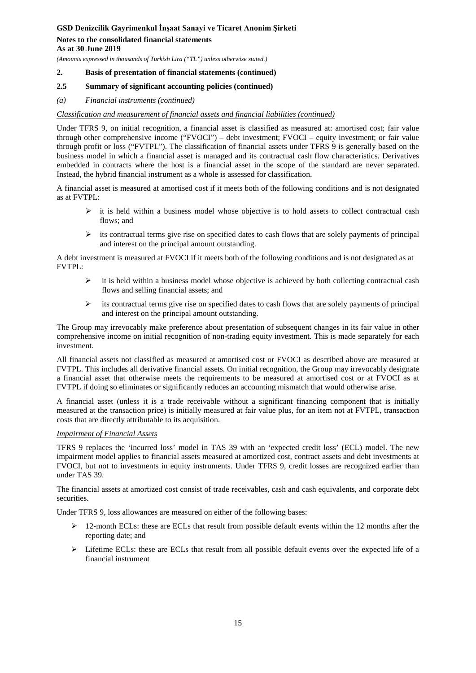### **As at 30 June 2019**

*(Amounts expressed in thousands of Turkish Lira ("TL") unless otherwise stated.)*

# **2. Basis of presentation of financial statements (continued)**

# **2.5 Summary of significant accounting policies (continued)**

# *(a) Financial instruments (continued)*

# *Classification and measurement of financial assets and financial liabilities (continued)*

Under TFRS 9, on initial recognition, a financial asset is classified as measured at: amortised cost; fair value through other comprehensive income ("FVOCI") – debt investment; FVOCI – equity investment; or fair value through profit or loss ("FVTPL"). The classification of financial assets under TFRS 9 is generally based on the business model in which a financial asset is managed and its contractual cash flow characteristics. Derivatives embedded in contracts where the host is a financial asset in the scope of the standard are never separated. Instead, the hybrid financial instrument as a whole is assessed for classification.

A financial asset is measured at amortised cost if it meets both of the following conditions and is not designated as at FVTPL:

- $\triangleright$  it is held within a business model whose objective is to hold assets to collect contractual cash flows; and
- $\triangleright$  its contractual terms give rise on specified dates to cash flows that are solely payments of principal and interest on the principal amount outstanding.

A debt investment is measured at FVOCI if it meets both of the following conditions and is not designated as at FVTPL:

- $\triangleright$  it is held within a business model whose objective is achieved by both collecting contractual cash flows and selling financial assets; and
- its contractual terms give rise on specified dates to cash flows that are solely payments of principal and interest on the principal amount outstanding.

The Group may irrevocably make preference about presentation of subsequent changes in its fair value in other comprehensive income on initial recognition of non-trading equity investment. This is made separately for each investment.

All financial assets not classified as measured at amortised cost or FVOCI as described above are measured at FVTPL. This includes all derivative financial assets. On initial recognition, the Group may irrevocably designate a financial asset that otherwise meets the requirements to be measured at amortised cost or at FVOCI as at FVTPL if doing so eliminates or significantly reduces an accounting mismatch that would otherwise arise.

A financial asset (unless it is a trade receivable without a significant financing component that is initially measured at the transaction price) is initially measured at fair value plus, for an item not at FVTPL, transaction costs that are directly attributable to its acquisition.

# *Impairment of Financial Assets*

TFRS 9 replaces the 'incurred loss' model in TAS 39 with an 'expected credit loss' (ECL) model. The new impairment model applies to financial assets measured at amortized cost, contract assets and debt investments at FVOCI, but not to investments in equity instruments. Under TFRS 9, credit losses are recognized earlier than under TAS 39.

The financial assets at amortized cost consist of trade receivables, cash and cash equivalents, and corporate debt securities.

Under TFRS 9, loss allowances are measured on either of the following bases:

- $\geq 12$ -month ECLs: these are ECLs that result from possible default events within the 12 months after the reporting date; and
- $\triangleright$  Lifetime ECLs: these are ECLs that result from all possible default events over the expected life of a financial instrument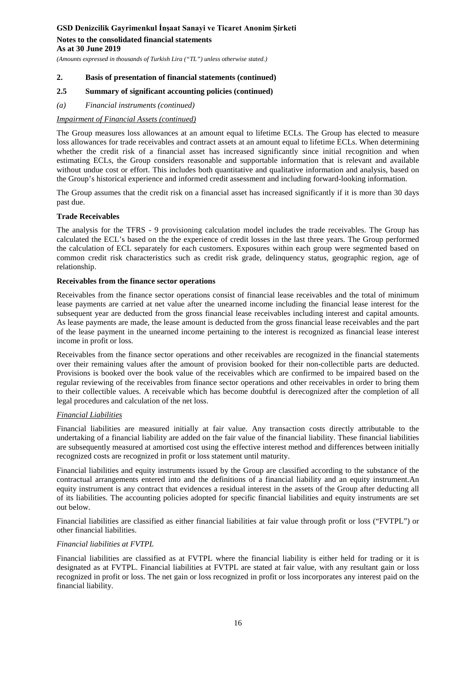**As at 30 June 2019**

*(Amounts expressed in thousands of Turkish Lira ("TL") unless otherwise stated.)*

# **2. Basis of presentation of financial statements (continued)**

# **2.5 Summary of significant accounting policies (continued)**

*(a) Financial instruments (continued)*

# *Impairment of Financial Assets (continued)*

The Group measures loss allowances at an amount equal to lifetime ECLs. The Group has elected to measure loss allowances for trade receivables and contract assets at an amount equal to lifetime ECLs. When determining whether the credit risk of a financial asset has increased significantly since initial recognition and when estimating ECLs, the Group considers reasonable and supportable information that is relevant and available without undue cost or effort. This includes both quantitative and qualitative information and analysis, based on the Group's historical experience and informed credit assessment and including forward-looking information.

The Group assumes that the credit risk on a financial asset has increased significantly if it is more than 30 days past due.

# **Trade Receivables**

The analysis for the TFRS - 9 provisioning calculation model includes the trade receivables. The Group has calculated the ECL's based on the the experience of credit losses in the last three years. The Group performed the calculation of ECL separately for each customers. Exposures within each group were segmented based on common credit risk characteristics such as credit risk grade, delinquency status, geographic region, age of relationship.

# **Receivables from the finance sector operations**

Receivables from the finance sector operations consist of financial lease receivables and the total of minimum lease payments are carried at net value after the unearned income including the financial lease interest for the subsequent year are deducted from the gross financial lease receivables including interest and capital amounts. As lease payments are made, the lease amount is deducted from the gross financial lease receivables and the part of the lease payment in the unearned income pertaining to the interest is recognized as financial lease interest income in profit or loss.

Receivables from the finance sector operations and other receivables are recognized in the financial statements over their remaining values after the amount of provision booked for their non-collectible parts are deducted. Provisions is booked over the book value of the receivables which are confirmed to be impaired based on the regular reviewing of the receivables from finance sector operations and other receivables in order to bring them to their collectible values. A receivable which has become doubtful is derecognized after the completion of all legal procedures and calculation of the net loss.

# *Financial Liabilities*

Financial liabilities are measured initially at fair value. Any transaction costs directly attributable to the undertaking of a financial liability are added on the fair value of the financial liability. These financial liabilities are subsequently measured at amortised cost using the effective interest method and differences between initially recognized costs are recognized in profit or loss statement until maturity.

Financial liabilities and equity instruments issued by the Group are classified according to the substance of the contractual arrangements entered into and the definitions of a financial liability and an equity instrument.An equity instrument is any contract that evidences a residual interest in the assets of the Group after deducting all of its liabilities. The accounting policies adopted for specific financial liabilities and equity instruments are set out below.

Financial liabilities are classified as either financial liabilities at fair value through profit or loss ("FVTPL") or other financial liabilities.

# *Financial liabilities at FVTPL*

Financial liabilities are classified as at FVTPL where the financial liability is either held for trading or it is designated as at FVTPL. Financial liabilities at FVTPL are stated at fair value, with any resultant gain or loss recognized in profit or loss. The net gain or loss recognized in profit or loss incorporates any interest paid on the financial liability.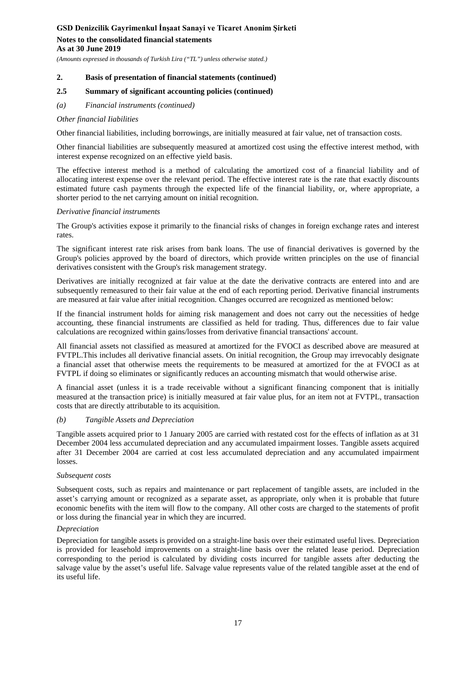*(Amounts expressed in thousands of Turkish Lira ("TL") unless otherwise stated.)*

#### **2. Basis of presentation of financial statements (continued)**

### **2.5 Summary of significant accounting policies (continued)**

*(a) Financial instruments (continued)*

#### *Other financial Iiabilities*

Other financial liabilities, including borrowings, are initially measured at fair value, net of transaction costs.

Other financial liabilities are subsequently measured at amortized cost using the effective interest method, with interest expense recognized on an effective yield basis.

The effective interest method is a method of calculating the amortized cost of a financial liability and of allocating interest expense over the relevant period. The effective interest rate is the rate that exactly discounts estimated future cash payments through the expected life of the financial liability, or, where appropriate, a shorter period to the net carrying amount on initial recognition.

#### *Derivative financial instruments*

The Group's activities expose it primarily to the financial risks of changes in foreign exchange rates and interest rates.

The significant interest rate risk arises from bank loans. The use of financial derivatives is governed by the Group's policies approved by the board of directors, which provide written principles on the use of financial derivatives consistent with the Group's risk management strategy.

Derivatives are initially recognized at fair value at the date the derivative contracts are entered into and are subsequently remeasured to their fair value at the end of each reporting period. Derivative financial instruments are measured at fair value after initial recognition. Changes occurred are recognized as mentioned below:

If the financial instrument holds for aiming risk management and does not carry out the necessities of hedge accounting, these financial instruments are classified as held for trading. Thus, differences due to fair value calculations are recognized within gains/losses from derivative financial transactions' account.

All financial assets not classified as measured at amortized for the FVOCI as described above are measured at FVTPL.This includes all derivative financial assets. On initial recognition, the Group may irrevocably designate a financial asset that otherwise meets the requirements to be measured at amortized for the at FVOCI as at FVTPL if doing so eliminates or significantly reduces an accounting mismatch that would otherwise arise.

A financial asset (unless it is a trade receivable without a significant financing component that is initially measured at the transaction price) is initially measured at fair value plus, for an item not at FVTPL, transaction costs that are directly attributable to its acquisition.

#### *(b) Tangible Assets and Depreciation*

Tangible assets acquired prior to 1 January 2005 are carried with restated cost for the effects of inflation as at 31 December 2004 less accumulated depreciation and any accumulated impairment losses. Tangible assets acquired after 31 December 2004 are carried at cost less accumulated depreciation and any accumulated impairment losses.

#### *Subsequent costs*

Subsequent costs, such as repairs and maintenance or part replacement of tangible assets, are included in the asset's carrying amount or recognized as a separate asset, as appropriate, only when it is probable that future economic benefits with the item will flow to the company. All other costs are charged to the statements of profit or loss during the financial year in which they are incurred.

#### *Depreciation*

Depreciation for tangible assets is provided on a straight-line basis over their estimated useful lives. Depreciation is provided for leasehold improvements on a straight-line basis over the related lease period. Depreciation corresponding to the period is calculated by dividing costs incurred for tangible assets after deducting the salvage value by the asset's useful life. Salvage value represents value of the related tangible asset at the end of its useful life.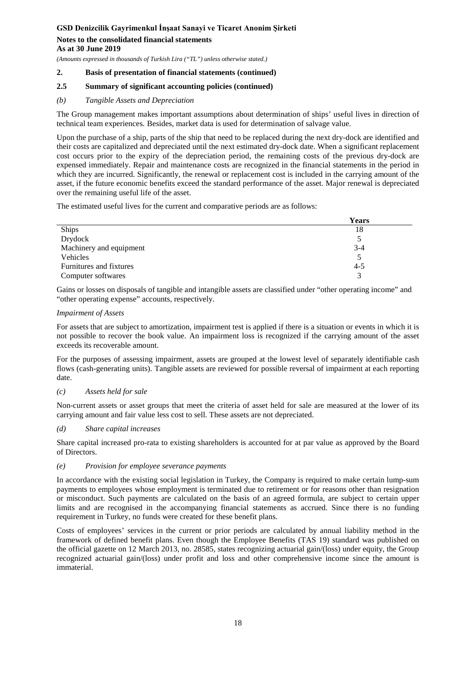#### **As at 30 June 2019**

*(Amounts expressed in thousands of Turkish Lira ("TL") unless otherwise stated.)*

# **2. Basis of presentation of financial statements (continued)**

# **2.5 Summary of significant accounting policies (continued)**

# *(b) Tangible Assets and Depreciation*

The Group management makes important assumptions about determination of ships' useful lives in direction of technical team experiences. Besides, market data is used for determination of salvage value.

Upon the purchase of a ship, parts of the ship that need to be replaced during the next dry-dock are identified and their costs are capitalized and depreciated until the next estimated dry-dock date. When a significant replacement cost occurs prior to the expiry of the depreciation period, the remaining costs of the previous dry-dock are expensed immediately. Repair and maintenance costs are recognized in the financial statements in the period in which they are incurred. Significantly, the renewal or replacement cost is included in the carrying amount of the asset, if the future economic benefits exceed the standard performance of the asset. Major renewal is depreciated over the remaining useful life of the asset.

The estimated useful lives for the current and comparative periods are as follows:

|                         | <b>Years</b> |
|-------------------------|--------------|
| Ships                   | 18           |
| Drydock                 |              |
| Machinery and equipment | $3 - 4$      |
| Vehicles                |              |
| Furnitures and fixtures | $4 - 5$      |
| Computer softwares      |              |

Gains or losses on disposals of tangible and intangible assets are classified under "other operating income" and "other operating expense" accounts, respectively.

#### *Impairment of Assets*

For assets that are subject to amortization, impairment test is applied if there is a situation or events in which it is not possible to recover the book value. An impairment loss is recognized if the carrying amount of the asset exceeds its recoverable amount.

For the purposes of assessing impairment, assets are grouped at the lowest level of separately identifiable cash flows (cash-generating units). Tangible assets are reviewed for possible reversal of impairment at each reporting date.

# *(c) Assets held for sale*

Non-current assets or asset groups that meet the criteria of asset held for sale are measured at the lower of its carrying amount and fair value less cost to sell. These assets are not depreciated.

# *(d) Share capital increases*

Share capital increased pro-rata to existing shareholders is accounted for at par value as approved by the Board of Directors.

#### *(e) Provision for employee severance payments*

In accordance with the existing social legislation in Turkey, the Company is required to make certain lump-sum payments to employees whose employment is terminated due to retirement or for reasons other than resignation or misconduct. Such payments are calculated on the basis of an agreed formula, are subject to certain upper limits and are recognised in the accompanying financial statements as accrued. Since there is no funding requirement in Turkey, no funds were created for these benefit plans.

Costs of employees' services in the current or prior periods are calculated by annual liability method in the framework of defined benefit plans. Even though the Employee Benefits (TAS 19) standard was published on the official gazette on 12 March 2013, no. 28585, states recognizing actuarial gain/(loss) under equity, the Group recognized actuarial gain/(loss) under profit and loss and other comprehensive income since the amount is immaterial.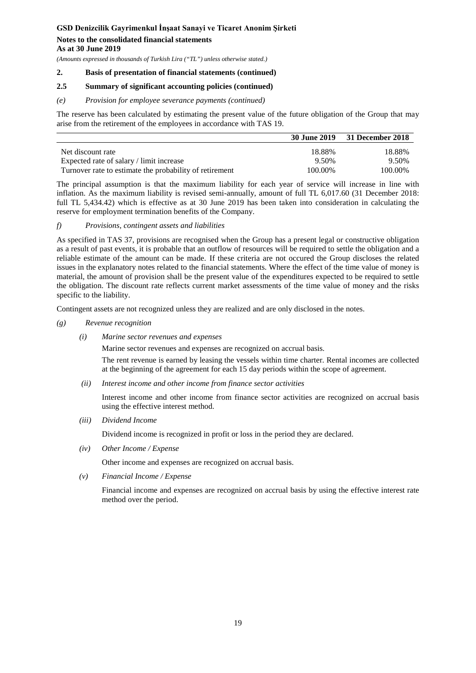# **As at 30 June 2019**

*(Amounts expressed in thousands of Turkish Lira ("TL") unless otherwise stated.)*

### **2. Basis of presentation of financial statements (continued)**

# **2.5 Summary of significant accounting policies (continued)**

#### *(e) Provision for employee severance payments (continued)*

The reserve has been calculated by estimating the present value of the future obligation of the Group that may arise from the retirement of the employees in accordance with TAS 19.

|                                                         |         | 30 June 2019 31 December 2018 |
|---------------------------------------------------------|---------|-------------------------------|
| Net discount rate                                       | 18.88%  | 18.88%                        |
| Expected rate of salary / limit increase                | 9.50%   | 9.50%                         |
| Turnover rate to estimate the probability of retirement | 100.00% | 100.00%                       |

The principal assumption is that the maximum liability for each year of service will increase in line with inflation. As the maximum liability is revised semi-annually, amount of full TL 6,017.60 (31 December 2018: full TL 5,434.42) which is effective as at 30 June 2019 has been taken into consideration in calculating the reserve for employment termination benefits of the Company.

#### *f) Provisions, contingent assets and liabilities*

As specified in TAS 37, provisions are recognised when the Group has a present legal or constructive obligation as a result of past events, it is probable that an outflow of resources will be required to settle the obligation and a reliable estimate of the amount can be made. If these criteria are not occured the Group discloses the related issues in the explanatory notes related to the financial statements. Where the effect of the time value of money is material, the amount of provision shall be the present value of the expenditures expected to be required to settle the obligation. The discount rate reflects current market assessments of the time value of money and the risks specific to the liability.

Contingent assets are not recognized unless they are realized and are only disclosed in the notes.

- *(g) Revenue recognition*
	- *(i) Marine sector revenues and expenses*

Marine sector revenues and expenses are recognized on accrual basis.

The rent revenue is earned by leasing the vessels within time charter. Rental incomes are collected at the beginning of the agreement for each 15 day periods within the scope of agreement.

*(ii) Interest income and other income from finance sector activities*

Interest income and other income from finance sector activities are recognized on accrual basis using the effective interest method.

*(iii) Dividend Income*

Dividend income is recognized in profit or loss in the period they are declared.

*(iv) Other Income / Expense* 

Other income and expenses are recognized on accrual basis.

*(v) Financial Income / Expense*

Financial income and expenses are recognized on accrual basis by using the effective interest rate method over the period.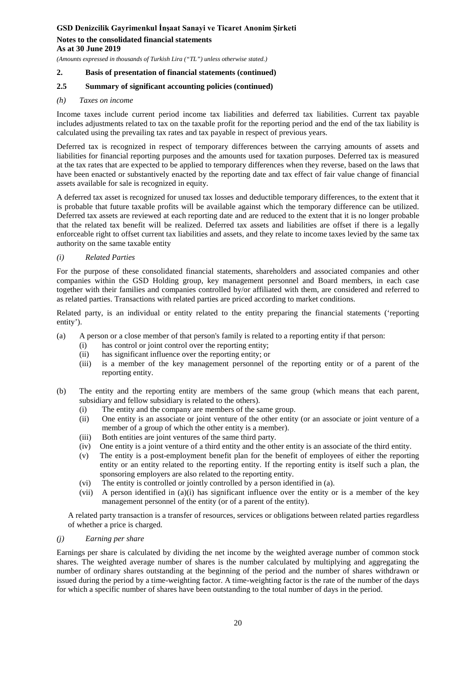*(Amounts expressed in thousands of Turkish Lira ("TL") unless otherwise stated.)*

# **2. Basis of presentation of financial statements (continued)**

# **2.5 Summary of significant accounting policies (continued)**

#### *(h) Taxes on income*

Income taxes include current period income tax liabilities and deferred tax liabilities. Current tax payable includes adjustments related to tax on the taxable profit for the reporting period and the end of the tax liability is calculated using the prevailing tax rates and tax payable in respect of previous years.

Deferred tax is recognized in respect of temporary differences between the carrying amounts of assets and liabilities for financial reporting purposes and the amounts used for taxation purposes. Deferred tax is measured at the tax rates that are expected to be applied to temporary differences when they reverse, based on the laws that have been enacted or substantively enacted by the reporting date and tax effect of fair value change of financial assets available for sale is recognized in equity.

A deferred tax asset is recognized for unused tax losses and deductible temporary differences, to the extent that it is probable that future taxable profits will be available against which the temporary difference can be utilized. Deferred tax assets are reviewed at each reporting date and are reduced to the extent that it is no longer probable that the related tax benefit will be realized. Deferred tax assets and liabilities are offset if there is a legally enforceable right to offset current tax liabilities and assets, and they relate to income taxes levied by the same tax authority on the same taxable entity

#### *(i) Related Parties*

For the purpose of these consolidated financial statements, shareholders and associated companies and other companies within the GSD Holding group, key management personnel and Board members, in each case together with their families and companies controlled by/or affiliated with them, are considered and referred to as related parties. Transactions with related parties are priced according to market conditions.

Related party, is an individual or entity related to the entity preparing the financial statements ('reporting entity').

- (a) A person or a close member of that person's family is related to a reporting entity if that person:
	- (i) has control or joint control over the reporting entity;
	- (ii) has significant influence over the reporting entity; or
	- (iii) is a member of the key management personnel of the reporting entity or of a parent of the reporting entity.
- (b) The entity and the reporting entity are members of the same group (which means that each parent, subsidiary and fellow subsidiary is related to the others).
	- (i) The entity and the company are members of the same group.
	- (ii) One entity is an associate or joint venture of the other entity (or an associate or joint venture of a member of a group of which the other entity is a member).
	- (iii) Both entities are joint ventures of the same third party.
	- (iv) One entity is a joint venture of a third entity and the other entity is an associate of the third entity.
	- (v) The entity is a post-employment benefit plan for the benefit of employees of either the reporting entity or an entity related to the reporting entity. If the reporting entity is itself such a plan, the sponsoring employers are also related to the reporting entity.
	- (vi) The entity is controlled or jointly controlled by a person identified in (a).
	- (vii) A person identified in (a)(i) has significant influence over the entity or is a member of the key management personnel of the entity (or of a parent of the entity).

A related party transaction is a transfer of resources, services or obligations between related parties regardless of whether a price is charged.

#### *(j) Earning per share*

Earnings per share is calculated by dividing the net income by the weighted average number of common stock shares. The weighted average number of shares is the number calculated by multiplying and aggregating the number of ordinary shares outstanding at the beginning of the period and the number of shares withdrawn or issued during the period by a time-weighting factor. A time-weighting factor is the rate of the number of the days for which a specific number of shares have been outstanding to the total number of days in the period.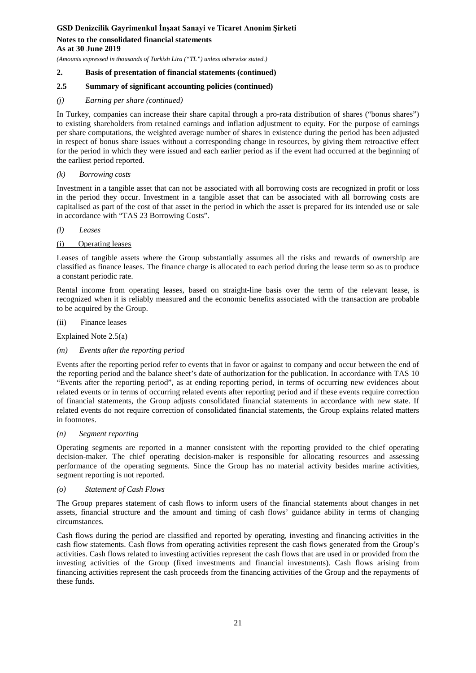#### **As at 30 June 2019**

*(Amounts expressed in thousands of Turkish Lira ("TL") unless otherwise stated.)*

# **2. Basis of presentation of financial statements (continued)**

# **2.5 Summary of significant accounting policies (continued)**

### *(j) Earning per share (continued)*

In Turkey, companies can increase their share capital through a pro-rata distribution of shares ("bonus shares") to existing shareholders from retained earnings and inflation adjustment to equity. For the purpose of earnings per share computations, the weighted average number of shares in existence during the period has been adjusted in respect of bonus share issues without a corresponding change in resources, by giving them retroactive effect for the period in which they were issued and each earlier period as if the event had occurred at the beginning of the earliest period reported.

#### *(k) Borrowing costs*

Investment in a tangible asset that can not be associated with all borrowing costs are recognized in profit or loss in the period they occur. Investment in a tangible asset that can be associated with all borrowing costs are capitalised as part of the cost of that asset in the period in which the asset is prepared for its intended use or sale in accordance with "TAS 23 Borrowing Costs".

#### *(l) Leases*

# (i) Operating leases

Leases of tangible assets where the Group substantially assumes all the risks and rewards of ownership are classified as finance leases. The finance charge is allocated to each period during the lease term so as to produce a constant periodic rate.

Rental income from operating leases, based on straight-line basis over the term of the relevant lease, is recognized when it is reliably measured and the economic benefits associated with the transaction are probable to be acquired by the Group.

#### (ii) Finance leases

Explained Note 2.5(a)

# *(m) Events after the reporting period*

Events after the reporting period refer to events that in favor or against to company and occur between the end of the reporting period and the balance sheet's date of authorization for the publication. In accordance with TAS 10 "Events after the reporting period", as at ending reporting period, in terms of occurring new evidences about related events or in terms of occurring related events after reporting period and if these events require correction of financial statements, the Group adjusts consolidated financial statements in accordance with new state. If related events do not require correction of consolidated financial statements, the Group explains related matters in footnotes.

#### *(n) Segment reporting*

Operating segments are reported in a manner consistent with the reporting provided to the chief operating decision-maker. The chief operating decision-maker is responsible for allocating resources and assessing performance of the operating segments. Since the Group has no material activity besides marine activities, segment reporting is not reported.

#### *(o) Statement of Cash Flows*

The Group prepares statement of cash flows to inform users of the financial statements about changes in net assets, financial structure and the amount and timing of cash flows' guidance ability in terms of changing circumstances.

Cash flows during the period are classified and reported by operating, investing and financing activities in the cash flow statements. Cash flows from operating activities represent the cash flows generated from the Group's activities. Cash flows related to investing activities represent the cash flows that are used in or provided from the investing activities of the Group (fixed investments and financial investments). Cash flows arising from financing activities represent the cash proceeds from the financing activities of the Group and the repayments of these funds.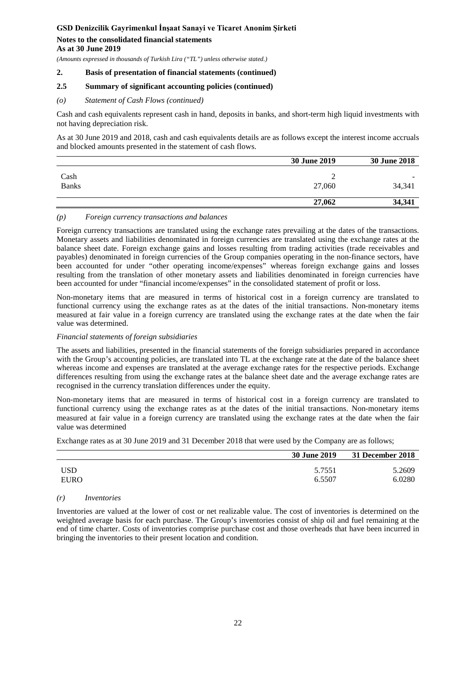**As at 30 June 2019**

*(Amounts expressed in thousands of Turkish Lira ("TL") unless otherwise stated.)*

### **2. Basis of presentation of financial statements (continued)**

# **2.5 Summary of significant accounting policies (continued)**

### *(o) Statement of Cash Flows (continued)*

Cash and cash equivalents represent cash in hand, deposits in banks, and short-term high liquid investments with not having depreciation risk.

As at 30 June 2019 and 2018, cash and cash equivalents details are as follows except the interest income accruals and blocked amounts presented in the statement of cash flows.

|                      | 30 June 2019 | 30 June 2018                       |
|----------------------|--------------|------------------------------------|
| Cash<br><b>Banks</b> | 27,060       | $\overline{\phantom{a}}$<br>34,341 |
|                      | 27,062       | 34,341                             |

#### *(p) Foreign currency transactions and balances*

Foreign currency transactions are translated using the exchange rates prevailing at the dates of the transactions. Monetary assets and liabilities denominated in foreign currencies are translated using the exchange rates at the balance sheet date. Foreign exchange gains and losses resulting from trading activities (trade receivables and payables) denominated in foreign currencies of the Group companies operating in the non-finance sectors, have been accounted for under "other operating income/expenses" whereas foreign exchange gains and losses resulting from the translation of other monetary assets and liabilities denominated in foreign currencies have been accounted for under "financial income/expenses" in the consolidated statement of profit or loss.

Non-monetary items that are measured in terms of historical cost in a foreign currency are translated to functional currency using the exchange rates as at the dates of the initial transactions. Non-monetary items measured at fair value in a foreign currency are translated using the exchange rates at the date when the fair value was determined.

#### *Financial statements of foreign subsidiaries*

The assets and liabilities, presented in the financial statements of the foreign subsidiaries prepared in accordance with the Group's accounting policies, are translated into TL at the exchange rate at the date of the balance sheet whereas income and expenses are translated at the average exchange rates for the respective periods. Exchange differences resulting from using the exchange rates at the balance sheet date and the average exchange rates are recognised in the currency translation differences under the equity.

Non-monetary items that are measured in terms of historical cost in a foreign currency are translated to functional currency using the exchange rates as at the dates of the initial transactions. Non-monetary items measured at fair value in a foreign currency are translated using the exchange rates at the date when the fair value was determined

Exchange rates as at 30 June 2019 and 31 December 2018 that were used by the Company are as follows;

|             | <b>30 June 2019</b> | 31 December 2018 |
|-------------|---------------------|------------------|
| <b>USD</b>  | 5.7551              | 5.2609           |
| <b>EURO</b> | 6.5507              | 6.0280           |

#### *(r) Inventories*

Inventories are valued at the lower of cost or net realizable value. The cost of inventories is determined on the weighted average basis for each purchase. The Group's inventories consist of ship oil and fuel remaining at the end of time charter. Costs of inventories comprise purchase cost and those overheads that have been incurred in bringing the inventories to their present location and condition.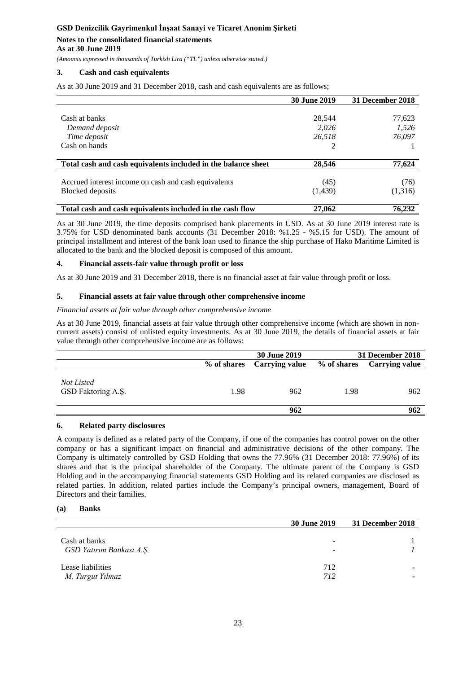*(Amounts expressed in thousands of Turkish Lira ("TL") unless otherwise stated.)*

#### **3. Cash and cash equivalents**

As at 30 June 2019 and 31 December 2018, cash and cash equivalents are as follows;

|                                                               | <b>30 June 2019</b> | 31 December 2018 |
|---------------------------------------------------------------|---------------------|------------------|
|                                                               |                     |                  |
| Cash at banks                                                 | 28.544              | 77,623           |
| Demand deposit                                                | 2.026               | 1,526            |
| Time deposit                                                  | 26.518              | 76,097           |
| Cash on hands                                                 |                     |                  |
|                                                               |                     |                  |
| Total cash and cash equivalents included in the balance sheet | 28,546              | 77,624           |
|                                                               |                     |                  |
| Accrued interest income on cash and cash equivalents          | (45)                | (76)             |
| Blocked deposits                                              | (1, 439)            | (1,316)          |
|                                                               |                     |                  |
| Total cash and cash equivalents included in the cash flow     | 27,062              | 76.232           |

As at 30 June 2019, the time deposits comprised bank placements in USD. As at 30 June 2019 interest rate is 3.75% for USD denominated bank accounts (31 December 2018: %1.25 - %5.15 for USD). The amount of principal installment and interest of the bank loan used to finance the ship purchase of Hako Maritime Limited is allocated to the bank and the blocked deposit is composed of this amount.

#### **4. Financial assets-fair value through profit or loss**

As at 30 June 2019 and 31 December 2018, there is no financial asset at fair value through profit or loss.

#### **5. Financial assets at fair value through other comprehensive income**

#### *Financial assets at fair value through other comprehensive income*

As at 30 June 2019, financial assets at fair value through other comprehensive income (which are shown in noncurrent assets) consist of unlisted equity investments. As at 30 June 2019, the details of financial assets at fair value through other comprehensive income are as follows:

|                                  |             | <b>30 June 2019</b> |             | 31 December 2018      |
|----------------------------------|-------------|---------------------|-------------|-----------------------|
|                                  | % of shares | Carrying value      | % of shares | <b>Carrying value</b> |
| Not Listed<br>GSD Faktoring A.Ş. | 1.98        | 962                 | 1.98        | 962                   |
|                                  |             | 962                 |             | 962                   |

#### **6. Related party disclosures**

A company is defined as a related party of the Company, if one of the companies has control power on the other company or has a significant impact on financial and administrative decisions of the other company. The Company is ultimately controlled by GSD Holding that owns the 77.96% (31 December 2018: 77.96%) of its shares and that is the principal shareholder of the Company. The ultimate parent of the Company is GSD Holding and in the accompanying financial statements GSD Holding and its related companies are disclosed as related parties. In addition, related parties include the Company's principal owners, management, Board of Directors and their families.

#### **(a) Banks**

|                                           | <b>30 June 2019</b>           | 31 December 2018 |
|-------------------------------------------|-------------------------------|------------------|
| Cash at banks<br>GSD Yatırım Bankası A.Ş. | $\overline{\phantom{0}}$<br>- |                  |
| Lease liabilities<br>M. Turgut Yılmaz     | 712<br>712                    |                  |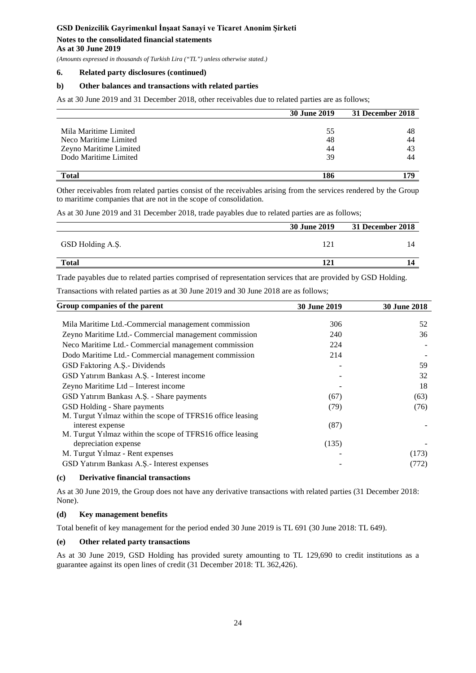# **Notes to the consolidated financial statements**

**As at 30 June 2019**

*(Amounts expressed in thousands of Turkish Lira ("TL") unless otherwise stated.)*

# **6. Related party disclosures (continued)**

#### **b) Other balances and transactions with related parties**

As at 30 June 2019 and 31 December 2018, other receivables due to related parties are as follows;

|                        | <b>30 June 2019</b> | 31 December 2018 |
|------------------------|---------------------|------------------|
|                        |                     |                  |
| Mila Maritime Limited  | 55                  | 48               |
| Neco Maritime Limited  | 48                  | 44               |
| Zeyno Maritime Limited | 44                  | 43               |
| Dodo Maritime Limited  | 39                  | 44               |
|                        |                     |                  |
| <b>Total</b>           | 186                 | 179              |

Other receivables from related parties consist of the receivables arising from the services rendered by the Group to maritime companies that are not in the scope of consolidation.

As at 30 June 2019 and 31 December 2018, trade payables due to related parties are as follows;

|                  | <b>30 June 2019</b> | 31 December 2018 |
|------------------|---------------------|------------------|
| GSD Holding A.S. | 121                 |                  |
| <b>Total</b>     | 121                 |                  |

Trade payables due to related parties comprised of representation services that are provided by GSD Holding.

Transactions with related parties as at 30 June 2019 and 30 June 2018 are as follows;

| Group companies of the parent                              | <b>30 June 2019</b> | <b>30 June 2018</b> |
|------------------------------------------------------------|---------------------|---------------------|
| Mila Maritime Ltd.-Commercial management commission        | 306                 | 52                  |
| Zeyno Maritime Ltd. - Commercial management commission     | 240                 | 36                  |
| Neco Maritime Ltd.- Commercial management commission       | 224                 |                     |
| Dodo Maritime Ltd.- Commercial management commission       | 214                 |                     |
| GSD Faktoring A.S.- Dividends                              |                     | 59                  |
| GSD Yatırım Bankası A.Ş. - Interest income                 |                     | 32                  |
| Zeyno Maritime Ltd - Interest income                       |                     | 18                  |
| GSD Yatırım Bankası A.Ş. - Share payments                  | (67)                | (63)                |
| GSD Holding - Share payments                               | (79)                | (76)                |
| M. Turgut Yilmaz within the scope of TFRS16 office leasing |                     |                     |
| interest expense                                           | (87)                |                     |
| M. Turgut Yılmaz within the scope of TFRS16 office leasing |                     |                     |
| depreciation expense                                       | (135)               |                     |
| M. Turgut Yılmaz - Rent expenses                           |                     | (173)               |
| GSD Yatırım Bankası A.Ş.- Interest expenses                |                     | (772)               |

#### **(c) Derivative financial transactions**

As at 30 June 2019, the Group does not have any derivative transactions with related parties (31 December 2018: None).

#### **(d) Key management benefits**

Total benefit of key management for the period ended 30 June 2019 is TL 691 (30 June 2018: TL 649).

#### **(e) Other related party transactions**

As at 30 June 2019, GSD Holding has provided surety amounting to TL 129,690 to credit institutions as a guarantee against its open lines of credit (31 December 2018: TL 362,426).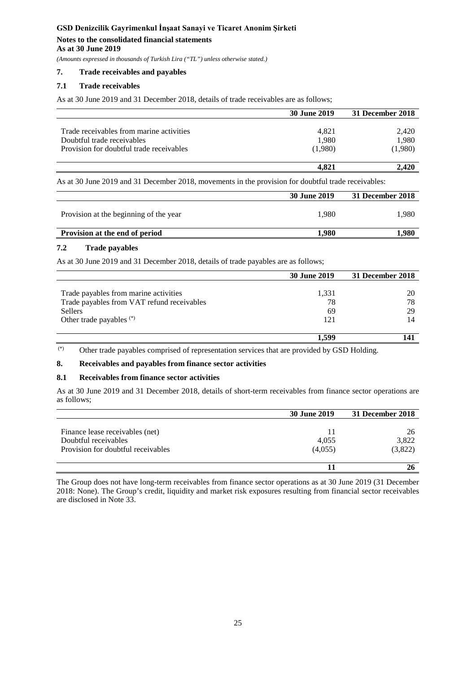*(Amounts expressed in thousands of Turkish Lira ("TL") unless otherwise stated.)*

# **7. Trade receivables and payables**

# **7.1 Trade receivables**

As at 30 June 2019 and 31 December 2018, details of trade receivables are as follows;

|                                          | 30 June 2019 | 31 December 2018 |
|------------------------------------------|--------------|------------------|
|                                          |              |                  |
| Trade receivables from marine activities | 4.821        | 2.420            |
| Doubtful trade receivables               | 1,980        | 1,980            |
| Provision for doubtful trade receivables | (1,980)      | (1,980)          |
|                                          | 4.821        | <b>2.420</b>     |

As at 30 June 2019 and 31 December 2018, movements in the provision for doubtful trade receivables:

|       | 31 December 2018 |
|-------|------------------|
| 1.980 | 1.980            |
| 1.980 | .980             |
|       |                  |

# **7.2 Trade payables**

As at 30 June 2019 and 31 December 2018, details of trade payables are as follows;

|                                            | <b>30 June 2019</b> | 31 December 2018 |
|--------------------------------------------|---------------------|------------------|
|                                            |                     |                  |
| Trade payables from marine activities      | 1,331               | 20               |
| Trade payables from VAT refund receivables | 78                  | 78               |
| Sellers                                    | 69                  | 29               |
| Other trade payables $(*)$                 | 121                 | 14               |
|                                            |                     |                  |
|                                            | 1.599               | 141              |

(\*) Other trade payables comprised of representation services that are provided by GSD Holding.

# **8. Receivables and payables from finance sector activities**

### **8.1 Receivables from finance sector activities**

As at 30 June 2019 and 31 December 2018, details of short-term receivables from finance sector operations are as follows;

|                                                         | <b>30 June 2019</b> | 31 December 2018 |
|---------------------------------------------------------|---------------------|------------------|
|                                                         | 11                  | 26               |
| Finance lease receivables (net)<br>Doubtful receivables | 4,055               | 3,822            |
| Provision for doubtful receivables                      | (4,055)             | (3,822)          |
|                                                         |                     |                  |
|                                                         |                     |                  |

The Group does not have long-term receivables from finance sector operations as at 30 June 2019 (31 December 2018: None). The Group's credit, liquidity and market risk exposures resulting from financial sector receivables are disclosed in Note 33.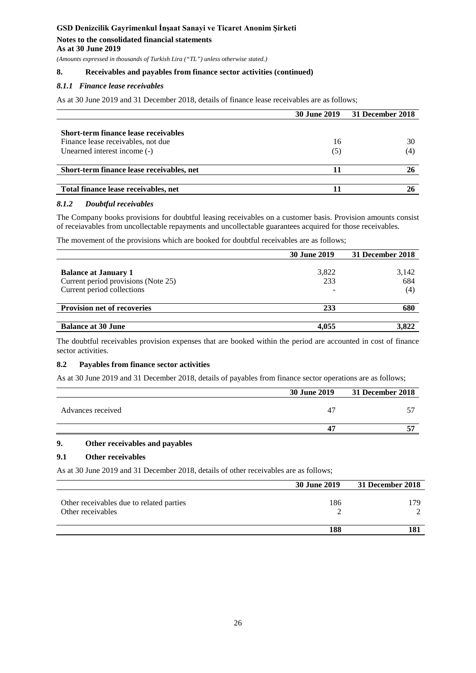*(Amounts expressed in thousands of Turkish Lira ("TL") unless otherwise stated.)*

### **8. Receivables and payables from finance sector activities (continued)**

#### *8.1.1 Finance lease receivables*

As at 30 June 2019 and 31 December 2018, details of finance lease receivables are as follows;

|                                           | <b>30 June 2019</b> | 31 December 2018 |
|-------------------------------------------|---------------------|------------------|
|                                           |                     |                  |
| Short-term finance lease receivables      |                     |                  |
| Finance lease receivables, not due        | 16                  | 30               |
| Unearned interest income (-)              | (5)                 | (4)              |
|                                           |                     |                  |
| Short-term finance lease receivables, net |                     |                  |
|                                           |                     |                  |
| Total finance lease receivables, net      |                     |                  |

#### *8.1.2 Doubtful receivables*

The Company books provisions for doubtful leasing receivables on a customer basis. Provision amounts consist of receiavables from uncollectable repayments and uncollectable guarantees acquired for those receivables.

The movement of the provisions which are booked for doubtful receivables are as follows;

|                                                                                                  | 30 June 2019 | 31 December 2018    |
|--------------------------------------------------------------------------------------------------|--------------|---------------------|
| <b>Balance at January 1</b><br>Current period provisions (Note 25)<br>Current period collections | 3,822<br>233 | 3,142<br>684<br>(4) |
| <b>Provision net of recoveries</b>                                                               | 233          | 680                 |
| <b>Balance at 30 June</b>                                                                        | 4.055        | 3.822               |

The doubtful receivables provision expenses that are booked within the period are accounted in cost of finance sector activities.

# **8.2 Payables from finance sector activities**

As at 30 June 2019 and 31 December 2018, details of payables from finance sector operations are as follows;

|                   |                | 30 June 2019 31 December 2018 |
|-------------------|----------------|-------------------------------|
| Advances received | 4 <sup>7</sup> |                               |
|                   | Д              |                               |

# **9. Other receivables and payables**

# **9.1 Other receivables**

As at 30 June 2019 and 31 December 2018, details of other receivables are as follows;

|                                                               | <b>30 June 2019</b> | 31 December 2018 |
|---------------------------------------------------------------|---------------------|------------------|
| Other receivables due to related parties<br>Other receivables | 186                 | 179.             |
|                                                               | 188                 |                  |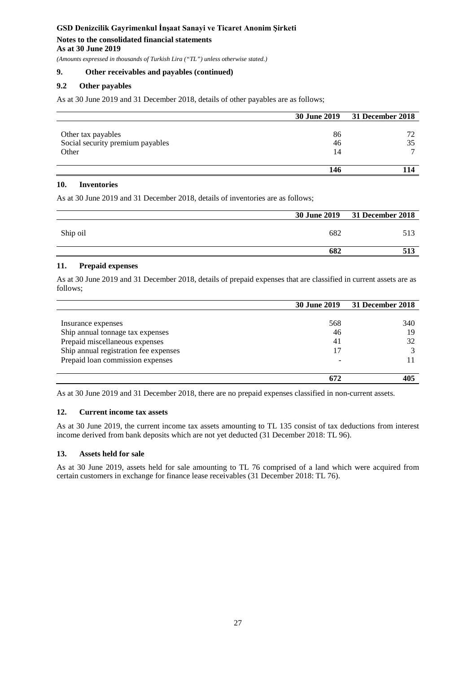*(Amounts expressed in thousands of Turkish Lira ("TL") unless otherwise stated.)*

# **9. Other receivables and payables (continued)**

# **9.2 Other payables**

As at 30 June 2019 and 31 December 2018, details of other payables are as follows;

|                                  |    | 30 June 2019 31 December 2018 |
|----------------------------------|----|-------------------------------|
|                                  |    |                               |
| Other tax payables               | 86 |                               |
| Social security premium payables | 46 |                               |
| Other                            | 14 |                               |
|                                  |    |                               |
|                                  |    |                               |

# **10. Inventories**

As at 30 June 2019 and 31 December 2018, details of inventories are as follows;

|          |     | 30 June 2019 31 December 2018 |
|----------|-----|-------------------------------|
| Ship oil | 682 | 513                           |
|          | 682 | 513                           |

# **11. Prepaid expenses**

As at 30 June 2019 and 31 December 2018, details of prepaid expenses that are classified in current assets are as follows;

|                                       | <b>30 June 2019</b> | 31 December 2018 |
|---------------------------------------|---------------------|------------------|
|                                       |                     |                  |
| Insurance expenses                    | 568                 | 340              |
| Ship annual tonnage tax expenses      | 46                  | 19               |
| Prepaid miscellaneous expenses        | 41                  | 32               |
| Ship annual registration fee expenses | 17                  |                  |
| Prepaid loan commission expenses      |                     |                  |
|                                       |                     |                  |
|                                       |                     | 405              |

As at 30 June 2019 and 31 December 2018, there are no prepaid expenses classified in non-current assets.

# **12. Current income tax assets**

As at 30 June 2019, the current income tax assets amounting to TL 135 consist of tax deductions from interest income derived from bank deposits which are not yet deducted (31 December 2018: TL 96).

# **13. Assets held for sale**

As at 30 June 2019, assets held for sale amounting to TL 76 comprised of a land which were acquired from certain customers in exchange for finance lease receivables (31 December 2018: TL 76).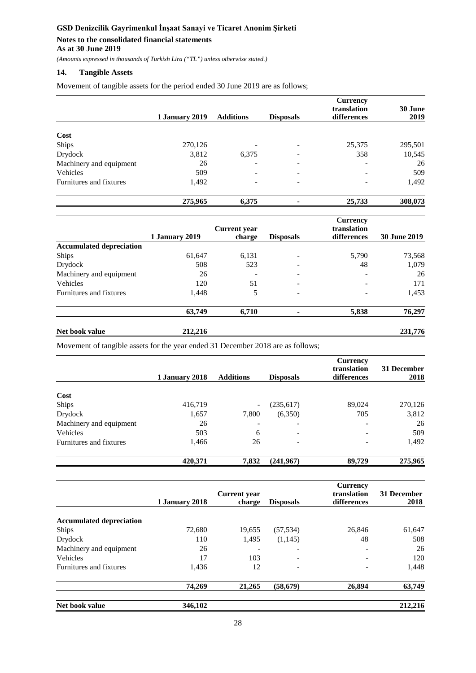*(Amounts expressed in thousands of Turkish Lira ("TL") unless otherwise stated.)*

# **14. Tangible Assets**

Movement of tangible assets for the period ended 30 June 2019 are as follows;

|                         | 1 January 2019 | <b>Additions</b>         | <b>Disposals</b> | <b>Currency</b><br>translation<br>differences | 30 June<br>2019 |
|-------------------------|----------------|--------------------------|------------------|-----------------------------------------------|-----------------|
|                         |                |                          |                  |                                               |                 |
| Cost                    |                |                          |                  |                                               |                 |
| Ships                   | 270,126        |                          |                  | 25,375                                        | 295,501         |
| Drydock                 | 3,812          | 6,375                    | -                | 358                                           | 10,545          |
| Machinery and equipment | 26             | ۰                        |                  | ۰                                             | 26              |
| Vehicles                | 509            | $\overline{\phantom{a}}$ |                  |                                               | 509             |
| Furnitures and fixtures | 1,492          | $\overline{\phantom{a}}$ | -                | ٠                                             | 1,492           |
|                         | 275,965        | 6,375                    |                  | 25,733                                        | 308,073         |

|                                 |                | <b>Current</b> year      |                          | <b>Currency</b><br>translation |                     |
|---------------------------------|----------------|--------------------------|--------------------------|--------------------------------|---------------------|
|                                 | 1 January 2019 | charge                   | <b>Disposals</b>         | differences                    | <b>30 June 2019</b> |
| <b>Accumulated depreciation</b> |                |                          |                          |                                |                     |
| Ships                           | 61,647         | 6,131                    |                          | 5,790                          | 73,568              |
| Drydock                         | 508            | 523                      |                          | 48                             | 1,079               |
| Machinery and equipment         | 26             | $\overline{\phantom{a}}$ | $\overline{\phantom{a}}$ | $\overline{\phantom{a}}$       | 26                  |
| Vehicles                        | 120            | 51                       | $\overline{\phantom{a}}$ | $\overline{\phantom{a}}$       | 171                 |
| Furnitures and fixtures         | 1.448          | 5                        | $\overline{\phantom{a}}$ | $\overline{\phantom{a}}$       | 1,453               |
|                                 | 63,749         | 6,710                    |                          | 5,838                          | 76,297              |

**Net book value 212,216 231,776**

Movement of tangible assets for the year ended 31 December 2018 are as follows;

|                         | 1 January 2018 | <b>Additions</b> | <b>Disposals</b> | <b>Currency</b><br>translation<br>differences | 31 December<br>2018 |
|-------------------------|----------------|------------------|------------------|-----------------------------------------------|---------------------|
|                         |                |                  |                  |                                               |                     |
| Cost                    |                |                  |                  |                                               |                     |
| Ships                   | 416,719        |                  | (235, 617)       | 89,024                                        | 270,126             |
| Drydock                 | 1,657          | 7,800            | (6,350)          | 705                                           | 3,812               |
| Machinery and equipment | 26             |                  | -                |                                               | 26                  |
| Vehicles                | 503            | 6                |                  |                                               | 509                 |
| Furnitures and fixtures | 1,466          | 26               |                  |                                               | 1,492               |
|                         | 420,371        | 7,832            | (241,967)        | 89,729                                        | 275,965             |

|                                 | 1 January 2018 | <b>Current</b> year<br>charge | <b>Disposals</b> | <b>Currency</b><br>translation<br>differences | 31 December<br>2018 |
|---------------------------------|----------------|-------------------------------|------------------|-----------------------------------------------|---------------------|
| <b>Accumulated depreciation</b> |                |                               |                  |                                               |                     |
| <b>Ships</b>                    | 72,680         | 19,655                        | (57, 534)        | 26,846                                        | 61,647              |
| Drydock                         | 110            | 1,495                         | (1,145)          | 48                                            | 508                 |
| Machinery and equipment         | 26             |                               | ۰                |                                               | 26                  |
| Vehicles                        | 17             | 103                           | -                |                                               | 120                 |
| Furnitures and fixtures         | 1,436          | 12                            |                  |                                               | 1,448               |
|                                 | 74,269         | 21,265                        | (58, 679)        | 26,894                                        | 63,749              |
| Net book value                  | 346,102        |                               |                  |                                               | 212,216             |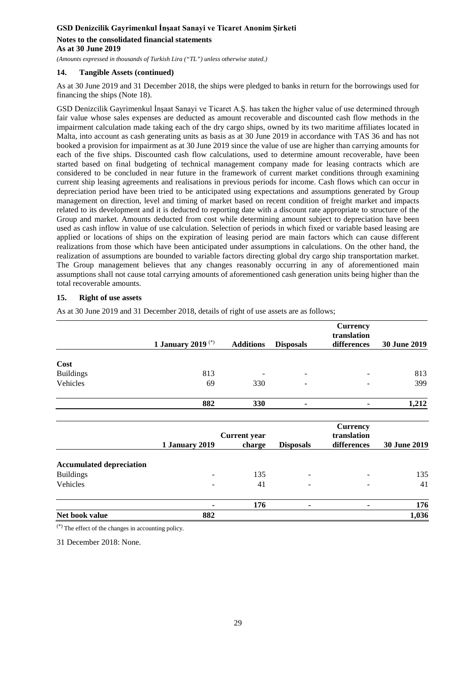**As at 30 June 2019**

*(Amounts expressed in thousands of Turkish Lira ("TL") unless otherwise stated.)*

# **14. Tangible Assets (continued)**

As at 30 June 2019 and 31 December 2018, the ships were pledged to banks in return for the borrowings used for financing the ships (Note 18).

GSD Denizcilik Gayrimenkul İnşaat Sanayi ve Ticaret A.Ş. has taken the higher value of use determined through fair value whose sales expenses are deducted as amount recoverable and discounted cash flow methods in the impairment calculation made taking each of the dry cargo ships, owned by its two maritime affiliates located in Malta, into account as cash generating units as basis as at 30 June 2019 in accordance with TAS 36 and has not booked a provision for impairment as at 30 June 2019 since the value of use are higher than carrying amounts for each of the five ships. Discounted cash flow calculations, used to determine amount recoverable, have been started based on final budgeting of technical management company made for leasing contracts which are considered to be concluded in near future in the framework of current market conditions through examining current ship leasing agreements and realisations in previous periods for income. Cash flows which can occur in depreciation period have been tried to be anticipated using expectations and assumptions generated by Group management on direction, level and timing of market based on recent condition of freight market and impacts related to its development and it is deducted to reporting date with a discount rate appropriate to structure of the Group and market. Amounts deducted from cost while determining amount subject to depreciation have been used as cash inflow in value of use calculation. Selection of periods in which fixed or variable based leasing are applied or locations of ships on the expiration of leasing period are main factors which can cause different realizations from those which have been anticipated under assumptions in calculations. On the other hand, the realization of assumptions are bounded to variable factors directing global dry cargo ship transportation market. The Group management believes that any changes reasonably occurring in any of aforementioned main assumptions shall not cause total carrying amounts of aforementioned cash generation units being higher than the total recoverable amounts.

# **15. Right of use assets**

As at 30 June 2019 and 31 December 2018, details of right of use assets are as follows;

|                                 |                               |                     |                  | <b>Currency</b><br>translation |              |
|---------------------------------|-------------------------------|---------------------|------------------|--------------------------------|--------------|
|                                 | 1 January 2019 <sup>(*)</sup> | <b>Additions</b>    | <b>Disposals</b> | differences                    | 30 June 2019 |
| Cost                            |                               |                     |                  |                                |              |
| <b>Buildings</b>                | 813                           |                     |                  |                                | 813          |
| Vehicles                        | 69                            | 330                 | ۰                |                                | 399          |
|                                 | 882                           | 330                 |                  |                                | 1,212        |
|                                 |                               |                     |                  | <b>Currency</b>                |              |
|                                 |                               | <b>Current</b> year |                  | translation                    |              |
|                                 | 1 January 2019                | charge              | <b>Disposals</b> | differences                    | 30 June 2019 |
| <b>Accumulated depreciation</b> |                               |                     |                  |                                |              |
| <b>Buildings</b>                |                               | 135                 |                  |                                | 135          |
| Vehicles                        |                               | 41                  |                  | $\overline{a}$                 | 41           |
|                                 | $\blacksquare$                | 176                 |                  | ٠                              | 176          |
| Net book value                  | 882                           |                     |                  |                                | 1,036        |
| (x)                             |                               |                     |                  |                                |              |

(\*) The effect of the changes in accounting policy.

31 December 2018: None.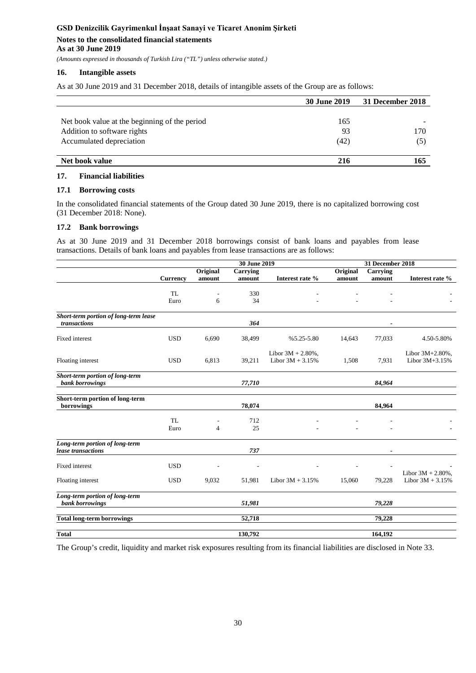*(Amounts expressed in thousands of Turkish Lira ("TL") unless otherwise stated.)*

#### **16. Intangible assets**

As at 30 June 2019 and 31 December 2018, details of intangible assets of the Group are as follows:

|                                               | <b>30 June 2019</b> | 31 December 2018 |
|-----------------------------------------------|---------------------|------------------|
|                                               |                     |                  |
| Net book value at the beginning of the period | 165                 |                  |
| Addition to software rights                   | 93                  | 170              |
| Accumulated depreciation                      | (42)                | (5)              |
|                                               |                     |                  |
| Net book value                                | 216                 | 165              |

#### **17. Financial liabilities**

#### **17.1 Borrowing costs**

In the consolidated financial statements of the Group dated 30 June 2019, there is no capitalized borrowing cost (31 December 2018: None).

#### **17.2 Bank borrowings**

As at 30 June 2019 and 31 December 2018 borrowings consist of bank loans and payables from lease transactions. Details of bank loans and payables from lease transactions are as follows:

|                                                    |                 | 30 June 2019             |                 |                                             | 31 December 2018 |          |                                   |
|----------------------------------------------------|-----------------|--------------------------|-----------------|---------------------------------------------|------------------|----------|-----------------------------------|
|                                                    |                 | Original                 | <b>Carrying</b> |                                             | Original         | Carrying |                                   |
|                                                    | <b>Currency</b> | amount                   | amount          | Interest rate %                             | amount           | amount   | Interest rate %                   |
|                                                    |                 |                          |                 |                                             |                  |          |                                   |
|                                                    | <b>TL</b>       | $\overline{\phantom{a}}$ | 330             |                                             |                  |          |                                   |
|                                                    | Euro            | 6                        | 34              |                                             |                  |          |                                   |
| Short-term portion of long-term lease              |                 |                          |                 |                                             |                  |          |                                   |
| transactions                                       |                 |                          | 364             |                                             |                  |          |                                   |
| Fixed interest                                     | <b>USD</b>      | 6,690                    | 38,499          | $%5.25-5.80$                                | 14,643           | 77,033   | 4.50-5.80%                        |
| Floating interest                                  | <b>USD</b>      | 6,813                    | 39,211          | Libor $3M + 2.80\%$ ,<br>Libor $3M + 3.15%$ | 1,508            | 7,931    | Libor 3M+2.80%,<br>Libor 3M+3.15% |
| Short-term portion of long-term<br>bank borrowings |                 |                          | 77,710          |                                             |                  | 84,964   |                                   |
| Short-term portion of long-term                    |                 |                          |                 |                                             |                  |          |                                   |
| borrowings                                         |                 |                          | 78,074          |                                             |                  | 84,964   |                                   |
|                                                    | TL              |                          | 712             |                                             |                  |          |                                   |
|                                                    | Euro            | $\overline{4}$           | 25              |                                             |                  |          |                                   |
| Long-term portion of long-term                     |                 |                          |                 |                                             |                  |          |                                   |
| lease transactions                                 |                 |                          | 737             |                                             |                  |          |                                   |
| <b>Fixed</b> interest                              | <b>USD</b>      |                          |                 |                                             |                  |          |                                   |
|                                                    |                 |                          |                 |                                             |                  |          | Libor $3M + 2.80\%$ ,             |
| Floating interest                                  | <b>USD</b>      | 9,032                    | 51,981          | Libor $3M + 3.15%$                          | 15,060           | 79,228   | Libor $3M + 3.15%$                |
| Long-term portion of long-term                     |                 |                          |                 |                                             |                  |          |                                   |
| bank borrowings                                    |                 |                          | 51,981          |                                             |                  | 79,228   |                                   |
| <b>Total long-term borrowings</b>                  |                 |                          | 52,718          |                                             |                  | 79,228   |                                   |
| <b>Total</b>                                       |                 |                          | 130,792         |                                             |                  | 164,192  |                                   |
|                                                    |                 |                          |                 |                                             |                  |          |                                   |

The Group's credit, liquidity and market risk exposures resulting from its financial liabilities are disclosed in Note 33.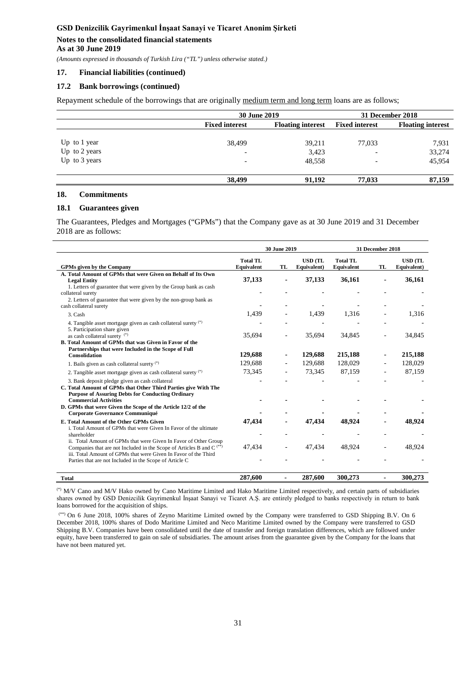# **As at 30 June 2019**

*(Amounts expressed in thousands of Turkish Lira ("TL") unless otherwise stated.)*

#### **17. Financial liabilities (continued)**

#### **17.2 Bank borrowings (continued)**

Repayment schedule of the borrowings that are originally medium term and long term loans are as follows;

|               |                          | 30 June 2019                                      |                          |                          |
|---------------|--------------------------|---------------------------------------------------|--------------------------|--------------------------|
|               | <b>Fixed interest</b>    | <b>Fixed interest</b><br><b>Floating interest</b> |                          | <b>Floating interest</b> |
|               |                          |                                                   |                          |                          |
| Up to 1 year  | 38,499                   | 39,211                                            | 77,033                   | 7,931                    |
| Up to 2 years | $\overline{\phantom{0}}$ | 3,423                                             | $\overline{\phantom{a}}$ | 33,274                   |
| Up to 3 years | -                        | 48.558                                            | $\overline{\phantom{a}}$ | 45,954                   |
|               | 38,499                   | 91.192                                            | 77,033                   | 87,159                   |

#### **18. Commitments**

#### **18.1 Guarantees given**

The Guarantees, Pledges and Mortgages ("GPMs") that the Company gave as at 30 June 2019 and 31 December 2018 are as follows:

|                                                                                                                                                                                                               |                               | 30 June 2019 |                               |                               | 31 December 2018 |                               |
|---------------------------------------------------------------------------------------------------------------------------------------------------------------------------------------------------------------|-------------------------------|--------------|-------------------------------|-------------------------------|------------------|-------------------------------|
| <b>GPMs given by the Company</b>                                                                                                                                                                              | <b>Total TL</b><br>Equivalent | TL           | <b>USD</b> (TL<br>Equivalent) | <b>Total TL</b><br>Equivalent | TL               | <b>USD</b> (TL<br>Equivalent) |
| A. Total Amount of GPMs that were Given on Behalf of Its Own<br><b>Legal Entity</b><br>1. Letters of guarantee that were given by the Group bank as cash                                                      | 37,133                        |              | 37,133                        | 36,161                        |                  | 36,161                        |
| collateral surety<br>2. Letters of guarantee that were given by the non-group bank as                                                                                                                         |                               |              |                               |                               |                  |                               |
| cash collateral surety<br>3. Cash                                                                                                                                                                             | 1,439                         |              | 1,439                         | 1,316                         |                  | 1,316                         |
| 4. Tangible asset mortgage given as cash collateral surety (*)<br>5. Participation share given                                                                                                                |                               |              |                               |                               |                  |                               |
| as cash collateral surety (*)<br>B. Total Amount of GPMs that was Given in Favor of the                                                                                                                       | 35,694                        |              | 35,694                        | 34,845                        |                  | 34,845                        |
| Partnerships that were Included in the Scope of Full<br><b>Consolidation</b>                                                                                                                                  | 129,688                       |              | 129,688                       | 215,188                       |                  | 215,188                       |
| 1. Bails given as cash collateral surety (*)                                                                                                                                                                  | 129,688                       |              | 129,688                       | 128,029                       |                  | 128,029                       |
| 2. Tangible asset mortgage given as cash collateral surety $(*)$                                                                                                                                              | 73,345                        |              | 73,345                        | 87,159                        |                  | 87,159                        |
| 3. Bank deposit pledge given as cash collateral<br>C. Total Amount of GPMs that Other Third Parties give With The<br><b>Purpose of Assuring Debts for Conducting Ordinary</b><br><b>Commercial Activities</b> |                               |              |                               |                               |                  |                               |
| D. GPMs that were Given the Scope of the Article 12/2 of the<br>Corporate Governance Communiqué                                                                                                               |                               |              |                               |                               |                  |                               |
| E. Total Amount of the Other GPMs Given<br>i. Total Amount of GPMs that were Given In Favor of the ultimate                                                                                                   | 47,434                        |              | 47,434                        | 48.924                        |                  | 48.924                        |
| shareholder<br>ii. Total Amount of GPMs that were Given In Favor of Other Group                                                                                                                               |                               |              |                               |                               |                  |                               |
| Companies that are not Included in the Scope of Articles B and $C^{(*)}$<br>iii. Total Amount of GPMs that were Given In Favor of the Third<br>Parties that are not Included in the Scope of Article C        | 47,434                        |              | 47.434                        | 48,924                        |                  | 48.924                        |
|                                                                                                                                                                                                               |                               |              |                               |                               |                  |                               |
| <b>Total</b>                                                                                                                                                                                                  | 287,600                       | Ξ.           | 287,600                       | 300,273                       | -                | 300,273                       |

(\*) M/V Cano and M/V Hako owned by Cano Maritime Limited and Hako Maritime Limited respectively, and certain parts of subsidiaries shares owned by GSD Denizcilik Gayrimenkul İnşaat Sanayi ve Ticaret A.Ş. are entirely pledged to banks respectively in return to bank loans borrowed for the acquisition of ships.

(\*\*) On 6 June 2018, 100% shares of Zeyno Maritime Limited owned by the Company were transferred to GSD Shipping B.V. On 6 December 2018, 100% shares of Dodo Maritime Limited and Neco Maritime Limited owned by the Company were transferred to GSD Shipping B.V. Companies have been consolidated until the date of transfer and foreign translation differences, which are followed under equity, have been transferred to gain on sale of subsidiaries. The amount arises from the guarantee given by the Company for the loans that have not been matured yet.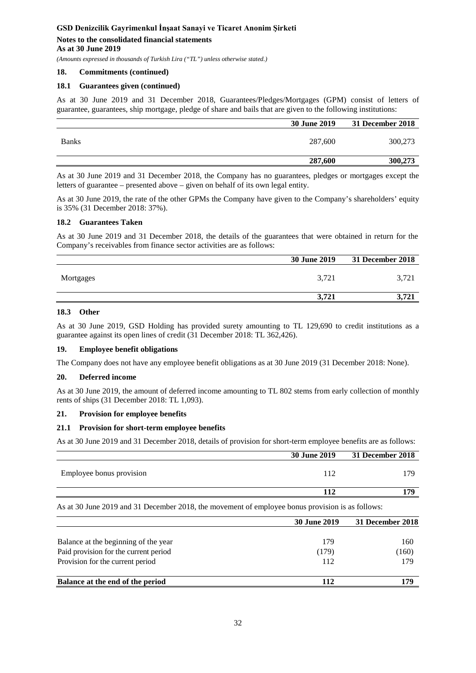#### **As at 30 June 2019**

*(Amounts expressed in thousands of Turkish Lira ("TL") unless otherwise stated.)*

#### **18. Commitments (continued)**

### **18.1 Guarantees given (continued)**

As at 30 June 2019 and 31 December 2018, Guarantees/Pledges/Mortgages (GPM) consist of letters of guarantee, guarantees, ship mortgage, pledge of share and bails that are given to the following institutions:

|              | 30 June 2019 | 31 December 2018 |
|--------------|--------------|------------------|
| <b>Banks</b> | 287,600      | 300,273          |
|              | 287,600      | 300,273          |

As at 30 June 2019 and 31 December 2018, the Company has no guarantees, pledges or mortgages except the letters of guarantee – presented above – given on behalf of its own legal entity.

As at 30 June 2019, the rate of the other GPMs the Company have given to the Company's shareholders' equity is 35% (31 December 2018: 37%).

# **18.2 Guarantees Taken**

As at 30 June 2019 and 31 December 2018, the details of the guarantees that were obtained in return for the Company's receivables from finance sector activities are as follows:

|           | <b>30 June 2019</b> | <b>31 December 2018</b> |
|-----------|---------------------|-------------------------|
| Mortgages | 3,721               | 3.721                   |
|           | 3.721               | 721<br>$\sqrt{2}$<br>J, |

# **18.3 Other**

As at 30 June 2019, GSD Holding has provided surety amounting to TL 129,690 to credit institutions as a guarantee against its open lines of credit (31 December 2018: TL 362,426).

#### **19. Employee benefit obligations**

The Company does not have any employee benefit obligations as at 30 June 2019 (31 December 2018: None).

#### **20. Deferred income**

As at 30 June 2019, the amount of deferred income amounting to TL 802 stems from early collection of monthly rents of ships (31 December 2018: TL 1,093).

#### **21. Provision for employee benefits**

#### **21.1 Provision for short-term employee benefits**

As at 30 June 2019 and 31 December 2018, details of provision for short-term employee benefits are as follows:

|                          | 30 June 2019 | 31 December 2018 |
|--------------------------|--------------|------------------|
| Employee bonus provision | 112          | 70               |
|                          | 112          | 179              |

As at 30 June 2019 and 31 December 2018, the movement of employee bonus provision is as follows:

|                                       | <b>30 June 2019</b> | 31 December 2018 |
|---------------------------------------|---------------------|------------------|
| Balance at the beginning of the year  | 179                 | 160              |
| Paid provision for the current period | (179)               | (160)            |
| Provision for the current period      | 112                 | 179              |
| Balance at the end of the period      | 112                 | 179              |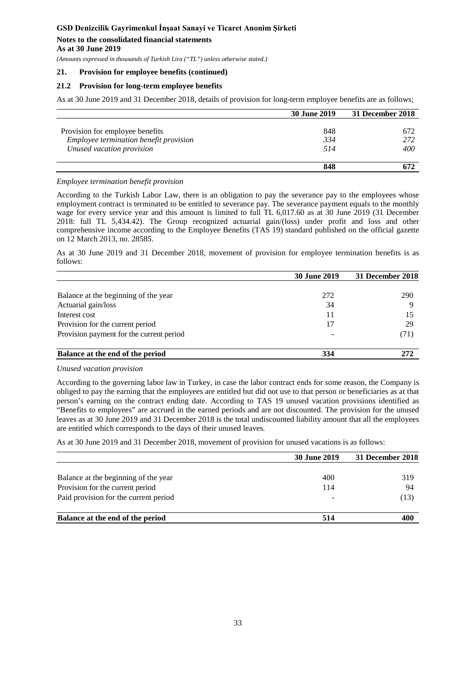**As at 30 June 2019**

*(Amounts expressed in thousands of Turkish Lira ("TL") unless otherwise stated.)*

#### **21. Provision for employee benefits (continued)**

#### **21.2 Provision for long-term employee benefits**

As at 30 June 2019 and 31 December 2018, details of provision for long-term employee benefits are as follows;

|                                        | 30 June 2019 | 31 December 2018 |
|----------------------------------------|--------------|------------------|
|                                        |              |                  |
| Provision for employee benefits        | 848          | 672              |
| Employee termination benefit provision | 334          | 272              |
| Unused vacation provision              | 514          | 400              |
|                                        | 848          |                  |

#### *Employee termination benefit provision*

According to the Turkish Labor Law, there is an obligation to pay the severance pay to the employees whose employment contract is terminated to be entitled to severance pay. The severance payment equals to the monthly wage for every service year and this amount is limited to full TL 6,017.60 as at 30 June 2019 (31 December 2018: full TL 5,434.42). The Group recognized actuarial gain/(loss) under profit and loss and other comprehensive income according to the Employee Benefits (TAS 19) standard published on the official gazette on 12 March 2013, no. 28585.

As at 30 June 2019 and 31 December 2018, movement of provision for employee termination benefits is as follows:

|                                          | <b>30 June 2019</b> | 31 December 2018 |
|------------------------------------------|---------------------|------------------|
|                                          |                     |                  |
| Balance at the beginning of the year     | 272                 | 290              |
| Actuarial gain/loss                      | 34                  | Q                |
| Interest cost                            | 11                  | 15               |
| Provision for the current period         | 17                  | 29               |
| Provision payment for the current period |                     | (71)             |
| Balance at the end of the period         | 334                 | 272              |

#### *Unused vacation provision*

According to the governing labor law in Turkey, in case the labor contract ends for some reason, the Company is obliged to pay the earning that the employees are entitled but did not use to that person or beneficiaries as at that person's earning on the contract ending date. According to TAS 19 unused vacation provisions identified as "Benefits to employees" are accrued in the earned periods and are not discounted. The provision for the unused leaves as at 30 June 2019 and 31 December 2018 is the total undiscounted liability amount that all the employees are entitled which corresponds to the days of their unused leaves.

As at 30 June 2019 and 31 December 2018, movement of provision for unused vacations is as follows:

|                                       | <b>30 June 2019</b> | 31 December 2018 |
|---------------------------------------|---------------------|------------------|
|                                       |                     |                  |
| Balance at the beginning of the year  | 400                 | 319              |
| Provision for the current period      | 114                 | -94              |
| Paid provision for the current period |                     | (13)             |
| Balance at the end of the period      | 514                 | 400              |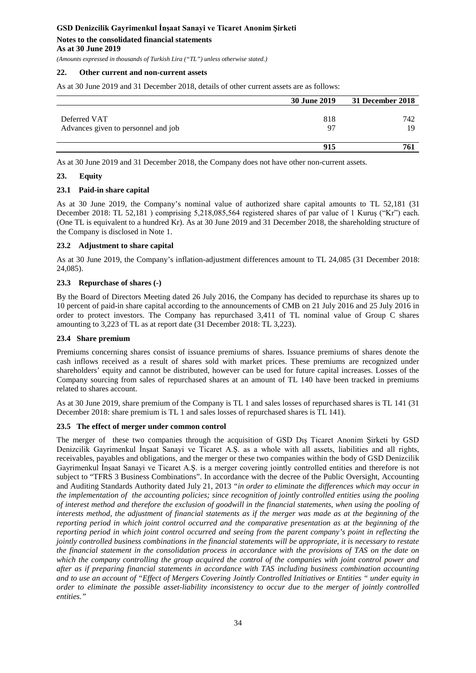*(Amounts expressed in thousands of Turkish Lira ("TL") unless otherwise stated.)*

### **22. Other current and non-current assets**

As at 30 June 2019 and 31 December 2018, details of other current assets are as follows:

|                                     | 30 June 2019 | 31 December 2018 |
|-------------------------------------|--------------|------------------|
| Deferred VAT                        | 818          | 742              |
| Advances given to personnel and job | 97           | 19               |
|                                     | 915          | 761              |

As at 30 June 2019 and 31 December 2018, the Company does not have other non-current assets.

#### **23. Equity**

#### **23.1 Paid-in share capital**

As at 30 June 2019, the Company's nominal value of authorized share capital amounts to TL 52,181 (31 December 2018: TL 52,181 ) comprising 5,218,085,564 registered shares of par value of 1 Kuruş ("Kr") each. (One TL is equivalent to a hundred Kr). As at 30 June 2019 and 31 December 2018, the shareholding structure of the Company is disclosed in Note 1.

#### **23.2 Adjustment to share capital**

As at 30 June 2019, the Company's inflation-adjustment differences amount to TL 24,085 (31 December 2018: 24,085).

#### **23.3 Repurchase of shares (-)**

By the Board of Directors Meeting dated 26 July 2016, the Company has decided to repurchase its shares up to 10 percent of paid-in share capital according to the announcements of CMB on 21 July 2016 and 25 July 2016 in order to protect investors. The Company has repurchased 3,411 of TL nominal value of Group C shares amounting to 3,223 of TL as at report date (31 December 2018: TL 3,223).

### **23.4 Share premium**

Premiums concerning shares consist of issuance premiums of shares. Issuance premiums of shares denote the cash inflows received as a result of shares sold with market prices. These premiums are recognized under shareholders' equity and cannot be distributed, however can be used for future capital increases. Losses of the Company sourcing from sales of repurchased shares at an amount of TL 140 have been tracked in premiums related to shares account.

As at 30 June 2019, share premium of the Company is TL 1 and sales losses of repurchased shares is TL 141 (31 December 2018: share premium is TL 1 and sales losses of repurchased shares is TL 141).

# **23.5 The effect of merger under common control**

The merger of these two companies through the acquisition of GSD Dış Ticaret Anonim Şirketi by GSD Denizcilik Gayrimenkul İnşaat Sanayi ve Ticaret A.Ş. as a whole with all assets, liabilities and all rights, receivables, payables and obligations, and the merger or these two companies within the body of GSD Denizcilik Gayrimenkul İnşaat Sanayi ve Ticaret A.Ş. is a merger covering jointly controlled entities and therefore is not subject to "TFRS 3 Business Combinations". In accordance with the decree of the Public Oversight, Accounting and Auditing Standards Authority dated July 21, 2013 *"in order to eliminate the differences which may occur in the implementation of the accounting policies; since recognition of jointly controlled entities using the pooling of interest method and therefore the exclusion of goodwill in the financial statements, when using the pooling of interests method, the adjustment of financial statements as if the merger was made as at the beginning of the reporting period in which joint control occurred and the comparative presentation as at the beginning of the reporting period in which joint control occurred and seeing from the parent company's point in reflecting the jointly controlled business combinations in the financial statements will be appropriate, it is necessary to restate the financial statement in the consolidation process in accordance with the provisions of TAS on the date on which the company controlling the group acquired the control of the companies with joint control power and after as if preparing financial statements in accordance with TAS including business combination accounting and to use an account of "Effect of Mergers Covering Jointly Controlled Initiatives or Entities " under equity in order to eliminate the possible asset-liability inconsistency to occur due to the merger of jointly controlled entities."*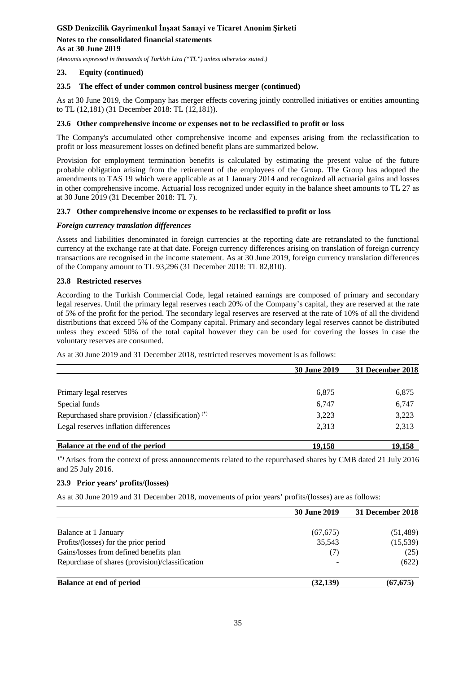**As at 30 June 2019**

*(Amounts expressed in thousands of Turkish Lira ("TL") unless otherwise stated.)*

# **23. Equity (continued)**

# **23.5 The effect of under common control business merger (continued)**

As at 30 June 2019, the Company has merger effects covering jointly controlled initiatives or entities amounting to TL (12,181) (31 December 2018: TL (12,181)).

# **23.6 Other comprehensive income or expenses not to be reclassified to profit or loss**

The Company's accumulated other comprehensive income and expenses arising from the reclassification to profit or loss measurement losses on defined benefit plans are summarized below.

Provision for employment termination benefits is calculated by estimating the present value of the future probable obligation arising from the retirement of the employees of the Group. The Group has adopted the amendments to TAS 19 which were applicable as at 1 January 2014 and recognized all actuarial gains and losses in other comprehensive income. Actuarial loss recognized under equity in the balance sheet amounts to TL 27 as at 30 June 2019 (31 December 2018: TL 7).

# **23.7 Other comprehensive income or expenses to be reclassified to profit or loss**

# *Foreign currency translation differences*

Assets and liabilities denominated in foreign currencies at the reporting date are retranslated to the functional currency at the exchange rate at that date. Foreign currency differences arising on translation of foreign currency transactions are recognised in the income statement. As at 30 June 2019, foreign currency translation differences of the Company amount to TL 93,296 (31 December 2018: TL 82,810).

# **23.8 Restricted reserves**

According to the Turkish Commercial Code, legal retained earnings are composed of primary and secondary legal reserves. Until the primary legal reserves reach 20% of the Company's capital, they are reserved at the rate of 5% of the profit for the period. The secondary legal reserves are reserved at the rate of 10% of all the dividend distributions that exceed 5% of the Company capital. Primary and secondary legal reserves cannot be distributed unless they exceed 50% of the total capital however they can be used for covering the losses in case the voluntary reserves are consumed.

As at 30 June 2019 and 31 December 2018, restricted reserves movement is as follows:

|                                                      | 30 June 2019 | 31 December 2018 |
|------------------------------------------------------|--------------|------------------|
|                                                      |              |                  |
| Primary legal reserves                               | 6,875        | 6,875            |
| Special funds                                        | 6,747        | 6,747            |
| Repurchased share provision / (classification) $(*)$ | 3,223        | 3,223            |
| Legal reserves inflation differences                 | 2.313        | 2,313            |
| Balance at the end of the period                     | 19,158       | 19.158           |

(\*) Arises from the context of press announcements related to the repurchased shares by CMB dated 21 July 2016 and 25 July 2016.

# **23.9 Prior years' profits/(losses)**

As at 30 June 2019 and 31 December 2018, movements of prior years' profits/(losses) are as follows:

|                                                 | <b>30 June 2019</b> | 31 December 2018 |
|-------------------------------------------------|---------------------|------------------|
|                                                 |                     |                  |
| Balance at 1 January                            | (67, 675)           | (51, 489)        |
| Profits/(losses) for the prior period           | 35,543              | (15,539)         |
| Gains/losses from defined benefits plan         | (7)                 | (25)             |
| Repurchase of shares (provision)/classification |                     | (622)            |
| <b>Balance at end of period</b>                 | (32, 139)           | (67, 675)        |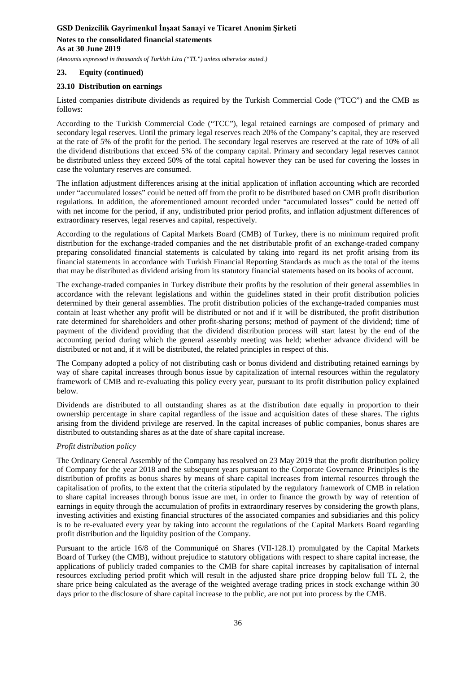*(Amounts expressed in thousands of Turkish Lira ("TL") unless otherwise stated.)*

# **23. Equity (continued)**

# **23.10 Distribution on earnings**

Listed companies distribute dividends as required by the Turkish Commercial Code ("TCC") and the CMB as follows:

According to the Turkish Commercial Code ("TCC"), legal retained earnings are composed of primary and secondary legal reserves. Until the primary legal reserves reach 20% of the Company's capital, they are reserved at the rate of 5% of the profit for the period. The secondary legal reserves are reserved at the rate of 10% of all the dividend distributions that exceed 5% of the company capital. Primary and secondary legal reserves cannot be distributed unless they exceed 50% of the total capital however they can be used for covering the losses in case the voluntary reserves are consumed.

The inflation adjustment differences arising at the initial application of inflation accounting which are recorded under "accumulated losses" could be netted off from the profit to be distributed based on CMB profit distribution regulations. In addition, the aforementioned amount recorded under "accumulated losses" could be netted off with net income for the period, if any, undistributed prior period profits, and inflation adjustment differences of extraordinary reserves, legal reserves and capital, respectively.

According to the regulations of Capital Markets Board (CMB) of Turkey, there is no minimum required profit distribution for the exchange-traded companies and the net distributable profit of an exchange-traded company preparing consolidated financial statements is calculated by taking into regard its net profit arising from its financial statements in accordance with Turkish Financial Reporting Standards as much as the total of the items that may be distributed as dividend arising from its statutory financial statements based on its books of account.

The exchange-traded companies in Turkey distribute their profits by the resolution of their general assemblies in accordance with the relevant legislations and within the guidelines stated in their profit distribution policies determined by their general assemblies. The profit distribution policies of the exchange-traded companies must contain at least whether any profit will be distributed or not and if it will be distributed, the profit distribution rate determined for shareholders and other profit-sharing persons; method of payment of the dividend; time of payment of the dividend providing that the dividend distribution process will start latest by the end of the accounting period during which the general assembly meeting was held; whether advance dividend will be distributed or not and, if it will be distributed, the related principles in respect of this.

The Company adopted a policy of not distributing cash or bonus dividend and distributing retained earnings by way of share capital increases through bonus issue by capitalization of internal resources within the regulatory framework of CMB and re-evaluating this policy every year, pursuant to its profit distribution policy explained below.

Dividends are distributed to all outstanding shares as at the distribution date equally in proportion to their ownership percentage in share capital regardless of the issue and acquisition dates of these shares. The rights arising from the dividend privilege are reserved. In the capital increases of public companies, bonus shares are distributed to outstanding shares as at the date of share capital increase.

# *Profit distribution policy*

The Ordinary General Assembly of the Company has resolved on 23 May 2019 that the profit distribution policy of Company for the year 2018 and the subsequent years pursuant to the Corporate Governance Principles is the distribution of profits as bonus shares by means of share capital increases from internal resources through the capitalisation of profits, to the extent that the criteria stipulated by the regulatory framework of CMB in relation to share capital increases through bonus issue are met, in order to finance the growth by way of retention of earnings in equity through the accumulation of profits in extraordinary reserves by considering the growth plans, investing activities and existing financial structures of the associated companies and subsidiaries and this policy is to be re-evaluated every year by taking into account the regulations of the Capital Markets Board regarding profit distribution and the liquidity position of the Company.

Pursuant to the article 16/8 of the Communiqué on Shares (VII-128.1) promulgated by the Capital Markets Board of Turkey (the CMB), without prejudice to statutory obligations with respect to share capital increase, the applications of publicly traded companies to the CMB for share capital increases by capitalisation of internal resources excluding period profit which will result in the adjusted share price dropping below full TL 2, the share price being calculated as the average of the weighted average trading prices in stock exchange within 30 days prior to the disclosure of share capital increase to the public, are not put into process by the CMB.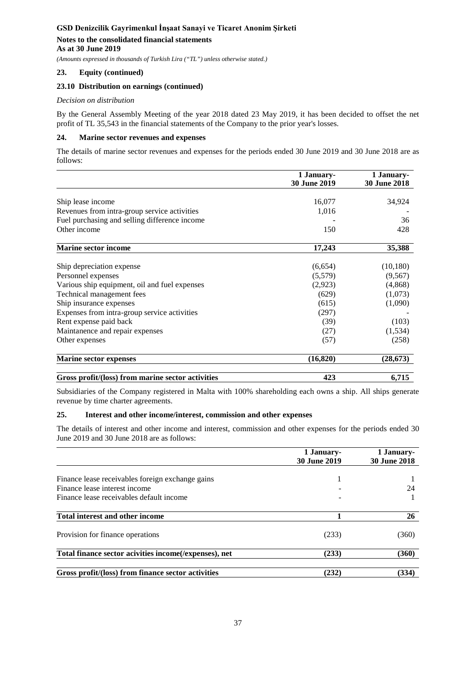**As at 30 June 2019**

*(Amounts expressed in thousands of Turkish Lira ("TL") unless otherwise stated.)*

# **23. Equity (continued)**

# **23.10 Distribution on earnings (continued)**

# *Decision on distribution*

By the General Assembly Meeting of the year 2018 dated 23 May 2019, it has been decided to offset the net profit of TL 35,543 in the financial statements of the Company to the prior year's losses.

# **24. Marine sector revenues and expenses**

The details of marine sector revenues and expenses for the periods ended 30 June 2019 and 30 June 2018 are as follows:

|                                                   | 1 January-          | 1 January-          |
|---------------------------------------------------|---------------------|---------------------|
|                                                   | <b>30 June 2019</b> | <b>30 June 2018</b> |
|                                                   |                     |                     |
| Ship lease income                                 | 16,077              | 34,924              |
| Revenues from intra-group service activities      | 1,016               |                     |
| Fuel purchasing and selling difference income     |                     | 36                  |
| Other income                                      | 150                 | 428                 |
| <b>Marine sector income</b>                       | 17,243              | 35,388              |
|                                                   |                     |                     |
| Ship depreciation expense                         | (6,654)             | (10, 180)           |
| Personnel expenses                                | (5,579)             | (9,567)             |
| Various ship equipment, oil and fuel expenses     | (2,923)             | (4,868)             |
| Technical management fees                         | (629)               | (1,073)             |
| Ship insurance expenses                           | (615)               | (1,090)             |
| Expenses from intra-group service activities      | (297)               |                     |
| Rent expense paid back                            | (39)                | (103)               |
| Maintanence and repair expenses                   | (27)                | (1,534)             |
| Other expenses                                    | (57)                | (258)               |
| <b>Marine sector expenses</b>                     | (16, 820)           | (28, 673)           |
| Gross profit/(loss) from marine sector activities | 423                 | 6,715               |

Subsidiaries of the Company registered in Malta with 100% shareholding each owns a ship. All ships generate revenue by time charter agreements.

# **25. Interest and other income/interest, commission and other expenses**

The details of interest and other income and interest, commission and other expenses for the periods ended 30 June 2019 and 30 June 2018 are as follows:

|                                                        | 1 January-<br><b>30 June 2019</b> | 1 January-<br><b>30 June 2018</b> |
|--------------------------------------------------------|-----------------------------------|-----------------------------------|
|                                                        |                                   |                                   |
| Finance lease receivables foreign exchange gains       |                                   |                                   |
| Finance lease interest income                          |                                   | 24                                |
| Finance lease receivables default income               |                                   |                                   |
| Total interest and other income                        |                                   | 26                                |
| Provision for finance operations                       | (233)                             | (360)                             |
| Total finance sector acivities income (/expenses), net | (233)                             | (360)                             |
| Gross profit/(loss) from finance sector activities     | (232)                             | (334)                             |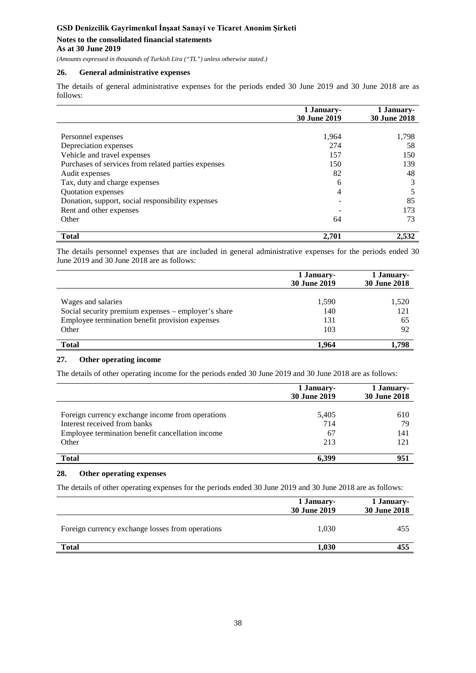# **Notes to the consolidated financial statements**

**As at 30 June 2019**

*(Amounts expressed in thousands of Turkish Lira ("TL") unless otherwise stated.)*

# **26. General administrative expenses**

The details of general administrative expenses for the periods ended 30 June 2019 and 30 June 2018 are as follows:

|                                                     | 1 January-<br><b>30 June 2019</b> | 1 January-<br><b>30 June 2018</b> |
|-----------------------------------------------------|-----------------------------------|-----------------------------------|
|                                                     |                                   |                                   |
| Personnel expenses                                  | 1,964                             | 1,798                             |
| Depreciation expenses                               | 274                               | 58                                |
| Vehicle and travel expenses                         | 157                               | 150                               |
| Purchases of services from related parties expenses | 150                               | 139                               |
| Audit expenses                                      | 82                                | 48                                |
| Tax, duty and charge expenses                       | 6                                 |                                   |
| Quotation expenses                                  | 4                                 |                                   |
| Donation, support, social responsibility expenses   |                                   | 85                                |
| Rent and other expenses                             |                                   | 173                               |
| Other                                               | 64                                | 73                                |
| <b>Total</b>                                        | 2,701                             | 2,532                             |

The details personnel expenses that are included in general administrative expenses for the periods ended 30 June 2019 and 30 June 2018 are as follows:

|                                                     | 1 January-<br><b>30 June 2019</b> | 1 January-<br><b>30 June 2018</b> |
|-----------------------------------------------------|-----------------------------------|-----------------------------------|
| Wages and salaries                                  | 1,590                             | 1,520                             |
| Social security premium expenses – employer's share | 140                               | 121                               |
| Employee termination benefit provision expenses     | 131                               | 65                                |
| Other                                               | 103                               | 92                                |
| <b>Total</b>                                        | 1.964                             | 1.798                             |

# **27. Other operating income**

The details of other operating income for the periods ended 30 June 2019 and 30 June 2018 are as follows:

|                                                  | 1 January-<br><b>30 June 2019</b> | 1 January-<br><b>30 June 2018</b> |
|--------------------------------------------------|-----------------------------------|-----------------------------------|
| Foreign currency exchange income from operations | 5,405                             | 610                               |
| Interest received from banks                     | 714                               | 79                                |
| Employee termination benefit cancellation income | 67                                | 141                               |
| Other                                            | 213                               | 121                               |
| <b>Total</b>                                     | 6.399                             | 951                               |

# **28. Other operating expenses**

The details of other operating expenses for the periods ended 30 June 2019 and 30 June 2018 are as follows:

|                                                  | 1 January-<br>30 June 2019 | 1 January-<br>30 June 2018 |
|--------------------------------------------------|----------------------------|----------------------------|
| Foreign currency exchange losses from operations | 1.030                      | 455                        |
| <b>Total</b>                                     | 1,030                      | 455                        |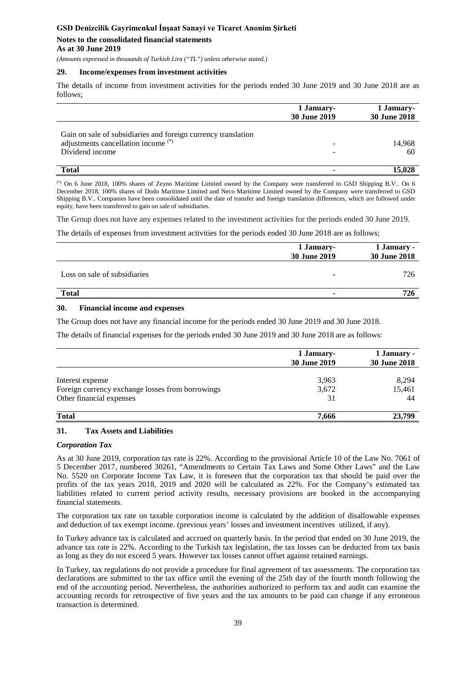# **Notes to the consolidated financial statements As at 30 June 2019**

*(Amounts expressed in thousands of Turkish Lira ("TL") unless otherwise stated.)*

#### **29. Income/expenses from investment activities**

The details of income from investment activities for the periods ended 30 June 2019 and 30 June 2018 are as follows;

|                                                                                                                                    | 1 January-<br>30 June 2019 | 1 January-<br><b>30 June 2018</b> |
|------------------------------------------------------------------------------------------------------------------------------------|----------------------------|-----------------------------------|
| Gain on sale of subsidiaries and foreign currency translation<br>adjustments cancellation income <sup>(*)</sup><br>Dividend income |                            | 14,968<br>60                      |
| <b>Total</b>                                                                                                                       |                            | 15.028                            |

(\*) On 6 June 2018, 100% shares of Zeyno Maritime Limited owned by the Company were transferred to GSD Shipping B.V.. On 6 December 2018, 100% shares of Dodo Maritime Limited and Neco Maritime Limited owned by the Company were transferred to GSD Shipping B.V.. Companies have been consolidated until the date of transfer and foreign translation differences, which are followed under equity, have been transferred to gain on sale of subsidiaries.

The Group does not have any expenses related to the investment activities for the periods ended 30 June 2019.

The details of expenses from investment activities for the periods ended 30 June 2018 are as follows;

|                              | 1 January-<br>30 June 2019 | 1 January -<br>30 June 2018 |  |
|------------------------------|----------------------------|-----------------------------|--|
| Loss on sale of subsidiaries | -                          | 726                         |  |
| <b>Total</b>                 |                            | 726                         |  |

#### **30. Financial income and expenses**

The Group does not have any financial income for the periods ended 30 June 2019 and 30 June 2018.

The details of financial expenses for the periods ended 30 June 2019 and 30 June 2018 are as follows:

|                                                  | 1 January-<br><b>30 June 2019</b> | 1 January -<br><b>30 June 2018</b> |
|--------------------------------------------------|-----------------------------------|------------------------------------|
| Interest expense                                 | 3,963                             | 8,294                              |
| Foreign currency exchange losses from borrowings | 3,672                             | 15,461                             |
| Other financial expenses                         | 31                                | 44                                 |
| <b>Total</b>                                     | 7,666                             | 23,799                             |

#### **31. Tax Assets and Liabilities**

#### *Corporation Tax*

As at 30 June 2019, corporation tax rate is 22%. According to the provisional Article 10 of the Law No. 7061 of 5 December 2017, numbered 30261, "Amendments to Certain Tax Laws and Some Other Laws" and the Law No. 5520 on Corporate Income Tax Law, it is foreseen that the corporation tax that should be paid over the profits of the tax years 2018, 2019 and 2020 will be calculated as 22%. For the Company's estimated tax liabilities related to current period activity results, necessary provisions are booked in the accompanying financial statements.

The corporation tax rate on taxable corporation income is calculated by the addition of disallowable expenses and deduction of tax exempt income. (previous years' losses and investment incentives utilized, if any).

In Turkey advance tax is calculated and accrued on quarterly basis. In the period that ended on 30 June 2019, the advance tax rate is 22%. According to the Turkish tax legislation, the tax losses can be deducted from tax basis as long as they do not exceed 5 years. However tax losses cannot offset against retained earnings.

In Turkey, tax regulations do not provide a procedure for final agreement of tax assessments. The corporation tax declarations are submitted to the tax office until the evening of the 25th day of the fourth month following the end of the accounting period. Nevertheless, the authorities authorized to perform tax and audit can examine the accounting records for retrospective of five years and the tax amounts to be paid can change if any erroneous transaction is determined.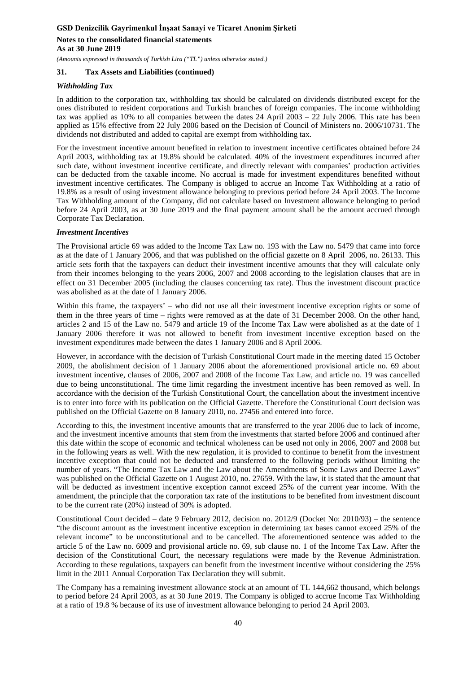*(Amounts expressed in thousands of Turkish Lira ("TL") unless otherwise stated.)*

# **31. Tax Assets and Liabilities (continued)**

# *Withholding Tax*

In addition to the corporation tax, withholding tax should be calculated on dividends distributed except for the ones distributed to resident corporations and Turkish branches of foreign companies. The income withholding tax was applied as 10% to all companies between the dates 24 April 2003 – 22 July 2006. This rate has been applied as 15% effective from 22 July 2006 based on the Decision of Council of Ministers no. 2006/10731. The dividends not distributed and added to capital are exempt from withholding tax.

For the investment incentive amount benefited in relation to investment incentive certificates obtained before 24 April 2003, withholding tax at 19.8% should be calculated. 40% of the investment expenditures incurred after such date, without investment incentive certificate, and directly relevant with companies' production activities can be deducted from the taxable income. No accrual is made for investment expenditures benefited without investment incentive certificates. The Company is obliged to accrue an Income Tax Withholding at a ratio of 19.8% as a result of using investment allowance belonging to previous period before 24 April 2003. The Income Tax Withholding amount of the Company, did not calculate based on Investment allowance belonging to period before 24 April 2003, as at 30 June 2019 and the final payment amount shall be the amount accrued through Corporate Tax Declaration.

#### *Investment Incentives*

The Provisional article 69 was added to the Income Tax Law no. 193 with the Law no. 5479 that came into force as at the date of 1 January 2006, and that was published on the official gazette on 8 April 2006, no. 26133. This article sets forth that the taxpayers can deduct their investment incentive amounts that they will calculate only from their incomes belonging to the years 2006, 2007 and 2008 according to the legislation clauses that are in effect on 31 December 2005 (including the clauses concerning tax rate). Thus the investment discount practice was abolished as at the date of 1 January 2006.

Within this frame, the taxpayers' – who did not use all their investment incentive exception rights or some of them in the three years of time – rights were removed as at the date of 31 December 2008. On the other hand, articles 2 and 15 of the Law no. 5479 and article 19 of the Income Tax Law were abolished as at the date of 1 January 2006 therefore it was not allowed to benefit from investment incentive exception based on the investment expenditures made between the dates 1 January 2006 and 8 April 2006.

However, in accordance with the decision of Turkish Constitutional Court made in the meeting dated 15 October 2009, the abolishment decision of 1 January 2006 about the aforementioned provisional article no. 69 about investment incentive, clauses of 2006, 2007 and 2008 of the Income Tax Law, and article no. 19 was cancelled due to being unconstitutional. The time limit regarding the investment incentive has been removed as well. In accordance with the decision of the Turkish Constitutional Court, the cancellation about the investment incentive is to enter into force with its publication on the Official Gazette. Therefore the Constitutional Court decision was published on the Official Gazette on 8 January 2010, no. 27456 and entered into force.

According to this, the investment incentive amounts that are transferred to the year 2006 due to lack of income, and the investment incentive amounts that stem from the investments that started before 2006 and continued after this date within the scope of economic and technical wholeness can be used not only in 2006, 2007 and 2008 but in the following years as well. With the new regulation, it is provided to continue to benefit from the investment incentive exception that could not be deducted and transferred to the following periods without limiting the number of years. "The Income Tax Law and the Law about the Amendments of Some Laws and Decree Laws" was published on the Official Gazette on 1 August 2010, no. 27659. With the law, it is stated that the amount that will be deducted as investment incentive exception cannot exceed 25% of the current year income. With the amendment, the principle that the corporation tax rate of the institutions to be benefited from investment discount to be the current rate (20%) instead of 30% is adopted.

Constitutional Court decided – date 9 February 2012, decision no. 2012/9 (Docket No: 2010/93) – the sentence "the discount amount as the investment incentive exception in determining tax bases cannot exceed 25% of the relevant income" to be unconstitutional and to be cancelled. The aforementioned sentence was added to the article 5 of the Law no. 6009 and provisional article no. 69, sub clause no. 1 of the Income Tax Law. After the decision of the Constitutional Court, the necessary regulations were made by the Revenue Administration. According to these regulations, taxpayers can benefit from the investment incentive without considering the 25% limit in the 2011 Annual Corporation Tax Declaration they will submit.

The Company has a remaining investment allowance stock at an amount of TL 144,662 thousand, which belongs to period before 24 April 2003, as at 30 June 2019. The Company is obliged to accrue Income Tax Withholding at a ratio of 19.8 % because of its use of investment allowance belonging to period 24 April 2003.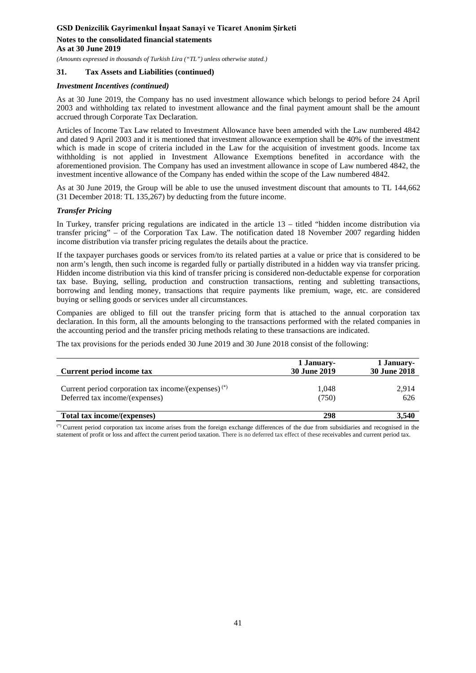*(Amounts expressed in thousands of Turkish Lira ("TL") unless otherwise stated.)*

# **31. Tax Assets and Liabilities (continued)**

#### *Investment Incentives (continued)*

As at 30 June 2019, the Company has no used investment allowance which belongs to period before 24 April 2003 and withholding tax related to investment allowance and the final payment amount shall be the amount accrued through Corporate Tax Declaration.

Articles of Income Tax Law related to Investment Allowance have been amended with the Law numbered 4842 and dated 9 April 2003 and it is mentioned that investment allowance exemption shall be 40% of the investment which is made in scope of criteria included in the Law for the acquisition of investment goods. Income tax withholding is not applied in Investment Allowance Exemptions benefited in accordance with the aforementioned provision. The Company has used an investment allowance in scope of Law numbered 4842, the investment incentive allowance of the Company has ended within the scope of the Law numbered 4842.

As at 30 June 2019, the Group will be able to use the unused investment discount that amounts to TL 144,662 (31 December 2018: TL 135,267) by deducting from the future income.

#### *Transfer Pricing*

In Turkey, transfer pricing regulations are indicated in the article 13 – titled "hidden income distribution via transfer pricing" – of the Corporation Tax Law. The notification dated 18 November 2007 regarding hidden income distribution via transfer pricing regulates the details about the practice.

If the taxpayer purchases goods or services from/to its related parties at a value or price that is considered to be non arm's length, then such income is regarded fully or partially distributed in a hidden way via transfer pricing. Hidden income distribution via this kind of transfer pricing is considered non-deductable expense for corporation tax base. Buying, selling, production and construction transactions, renting and subletting transactions, borrowing and lending money, transactions that require payments like premium, wage, etc. are considered buying or selling goods or services under all circumstances.

Companies are obliged to fill out the transfer pricing form that is attached to the annual corporation tax declaration. In this form, all the amounts belonging to the transactions performed with the related companies in the accounting period and the transfer pricing methods relating to these transactions are indicated.

The tax provisions for the periods ended 30 June 2019 and 30 June 2018 consist of the following:

| Current period income tax                                       | 1 January-<br><b>30 June 2019</b> | 1 January-<br><b>30 June 2018</b> |  |
|-----------------------------------------------------------------|-----------------------------------|-----------------------------------|--|
| Current period corporation tax income/(expenses) <sup>(*)</sup> | 1,048                             | 2,914                             |  |
| Deferred tax income/(expenses)                                  | (750)                             | 626                               |  |
| Total tax income/(expenses)                                     | 298                               | 3.540                             |  |

(\*) Current period corporation tax income arises from the foreign exchange differences of the due from subsidiaries and recognised in the statement of profit or loss and affect the current period taxation. There is no deferred tax effect of these receivables and current period tax.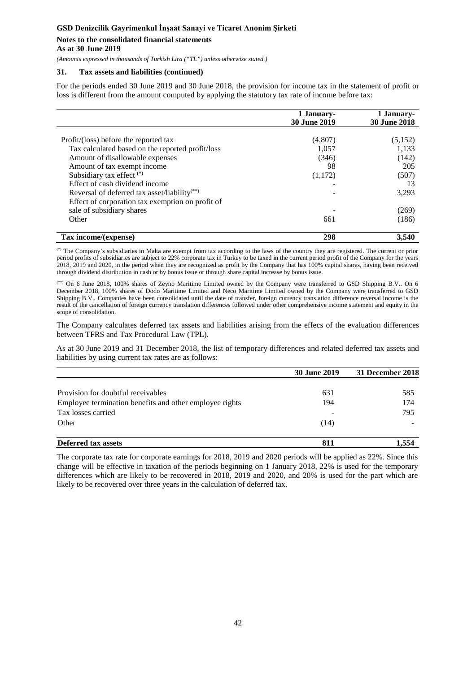# **Notes to the consolidated financial statements**

#### **As at 30 June 2019**

*(Amounts expressed in thousands of Turkish Lira ("TL") unless otherwise stated.)*

# **31. Tax assets and liabilities (continued)**

For the periods ended 30 June 2019 and 30 June 2018, the provision for income tax in the statement of profit or loss is different from the amount computed by applying the statutory tax rate of income before tax:

|                                                          | 1 January-<br><b>30 June 2019</b> | 1 January-<br><b>30 June 2018</b> |
|----------------------------------------------------------|-----------------------------------|-----------------------------------|
|                                                          |                                   |                                   |
| Profit/(loss) before the reported tax                    | (4,807)                           | (5,152)                           |
| Tax calculated based on the reported profit/loss         | 1,057                             | 1,133                             |
| Amount of disallowable expenses                          | (346)                             | (142)                             |
| Amount of tax exempt income                              | 98                                | 205                               |
| Subsidiary tax effect $(*)$                              | (1,172)                           | (507)                             |
| Effect of cash dividend income                           |                                   | 13                                |
| Reversal of deferred tax asset/liability <sup>(**)</sup> |                                   | 3,293                             |
| Effect of corporation tax exemption on profit of         |                                   |                                   |
| sale of subsidiary shares                                |                                   | (269)                             |
| Other                                                    | 661                               | (186)                             |
| Tax income/(expense)                                     | 298                               | 3.540                             |

(\*) The Company's subsidiaries in Malta are exempt from tax according to the laws of the country they are registered. The current or prior period profits of subsidiaries are subject to 22% corporate tax in Turkey to be taxed in the current period profit of the Company for the years 2018, 2019 and 2020, in the period when they are recognized as profit by the Company that has 100% capital shares, having been received through dividend distribution in cash or by bonus issue or through share capital increase by bonus issue.

(\*\*) On 6 June 2018, 100% shares of Zeyno Maritime Limited owned by the Company were transferred to GSD Shipping B.V.. On 6 December 2018, 100% shares of Dodo Maritime Limited and Neco Maritime Limited owned by the Company were transferred to GSD Shipping B.V.. Companies have been consolidated until the date of transfer, foreign currency translation difference reversal income is the result of the cancellation of foreign currency translation differences followed under other comprehensive income statement and equity in the scope of consolidation.

The Company calculates deferred tax assets and liabilities arising from the effecs of the evaluation differences between TFRS and Tax Procedural Law (TPL).

As at 30 June 2019 and 31 December 2018, the list of temporary differences and related deferred tax assets and liabilities by using current tax rates are as follows:

|                                                         | <b>30 June 2019</b> | 31 December 2018 |
|---------------------------------------------------------|---------------------|------------------|
|                                                         |                     |                  |
| Provision for doubtful receivables                      | 631                 | 585              |
| Employee termination benefits and other employee rights | 194                 | 174              |
| Tax losses carried                                      |                     | 795              |
| Other                                                   | (14)                |                  |
| <b>Deferred tax assets</b>                              | 811                 | 1.554            |

The corporate tax rate for corporate earnings for 2018, 2019 and 2020 periods will be applied as 22%. Since this change will be effective in taxation of the periods beginning on 1 January 2018, 22% is used for the temporary differences which are likely to be recovered in 2018, 2019 and 2020, and 20% is used for the part which are likely to be recovered over three years in the calculation of deferred tax.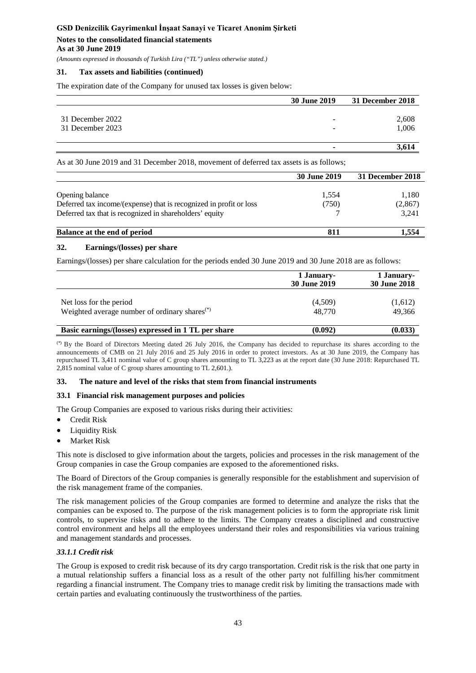*(Amounts expressed in thousands of Turkish Lira ("TL") unless otherwise stated.)*

# **31. Tax assets and liabilities (continued)**

The expiration date of the Company for unused tax losses is given below:

|                  | 30 June 2019 | 31 December 2018 |
|------------------|--------------|------------------|
| 31 December 2022 | -            | 2,608            |
| 31 December 2023 | -            | 1,006            |
|                  |              |                  |
|                  |              |                  |

As at 30 June 2019 and 31 December 2018, movement of deferred tax assets is as follows;

|                                                                    | <b>30 June 2019</b> | 31 December 2018 |
|--------------------------------------------------------------------|---------------------|------------------|
|                                                                    |                     |                  |
| Opening balance                                                    | 1,554               | 1,180            |
| Deferred tax income/(expense) that is recognized in profit or loss | (750)               | (2, 867)         |
| Deferred tax that is recognized in shareholders' equity            |                     | 3,241            |
| Balance at the end of period                                       | 811                 | l.554            |

#### **32. Earnings/(losses) per share**

Earnings/(losses) per share calculation for the periods ended 30 June 2019 and 30 June 2018 are as follows:

|                                                                             | 1 January-<br><b>30 June 2019</b> | 1 January-<br>30 June 2018 |
|-----------------------------------------------------------------------------|-----------------------------------|----------------------------|
| Net loss for the period<br>Weighted average number of ordinary shares $(*)$ | (4,509)<br>48,770                 | (1,612)<br>49.366          |
| Basic earnings/(losses) expressed in 1 TL per share                         | (0.092)                           | (0.033)                    |

(\*) By the Board of Directors Meeting dated 26 July 2016, the Company has decided to repurchase its shares according to the announcements of CMB on 21 July 2016 and 25 July 2016 in order to protect investors. As at 30 June 2019, the Company has repurchased TL 3,411 nominal value of C group shares amounting to TL 3,223 as at the report date (30 June 2018: Repurchased TL 2,815 nominal value of C group shares amounting to TL 2,601.).

#### **33. The nature and level of the risks that stem from financial instruments**

#### **33.1 Financial risk management purposes and policies**

The Group Companies are exposed to various risks during their activities:

- Credit Risk
- Liquidity Risk
- **Market Risk**

This note is disclosed to give information about the targets, policies and processes in the risk management of the Group companies in case the Group companies are exposed to the aforementioned risks.

The Board of Directors of the Group companies is generally responsible for the establishment and supervision of the risk management frame of the companies.

The risk management policies of the Group companies are formed to determine and analyze the risks that the companies can be exposed to. The purpose of the risk management policies is to form the appropriate risk limit controls, to supervise risks and to adhere to the limits. The Company creates a disciplined and constructive control environment and helps all the employees understand their roles and responsibilities via various training and management standards and processes.

# *33.1.1 Credit risk*

The Group is exposed to credit risk because of its dry cargo transportation. Credit risk is the risk that one party in a mutual relationship suffers a financial loss as a result of the other party not fulfilling his/her commitment regarding a financial instrument. The Company tries to manage credit risk by limiting the transactions made with certain parties and evaluating continuously the trustworthiness of the parties.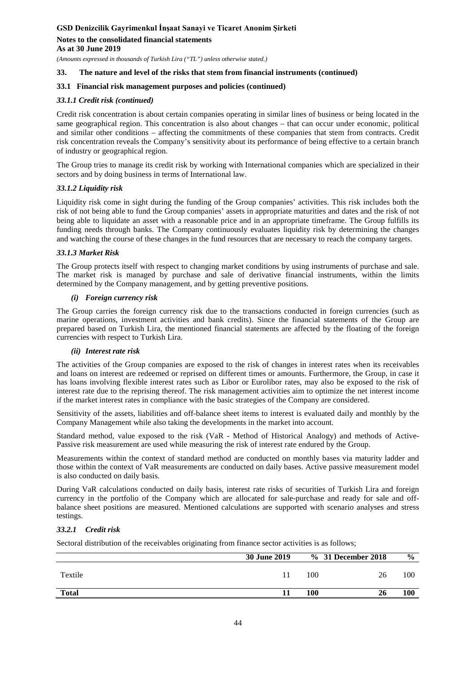*(Amounts expressed in thousands of Turkish Lira ("TL") unless otherwise stated.)*

#### **33. The nature and level of the risks that stem from financial instruments (continued)**

#### **33.1 Financial risk management purposes and policies (continued)**

### *33.1.1 Credit risk (continued)*

Credit risk concentration is about certain companies operating in similar lines of business or being located in the same geographical region. This concentration is also about changes – that can occur under economic, political and similar other conditions – affecting the commitments of these companies that stem from contracts. Credit risk concentration reveals the Company's sensitivity about its performance of being effective to a certain branch of industry or geographical region.

The Group tries to manage its credit risk by working with International companies which are specialized in their sectors and by doing business in terms of International law.

#### *33.1.2 Liquidity risk*

Liquidity risk come in sight during the funding of the Group companies' activities. This risk includes both the risk of not being able to fund the Group companies' assets in appropriate maturities and dates and the risk of not being able to liquidate an asset with a reasonable price and in an appropriate timeframe. The Group fulfills its funding needs through banks. The Company continuously evaluates liquidity risk by determining the changes and watching the course of these changes in the fund resources that are necessary to reach the company targets.

#### *33.1.3 Market Risk*

The Group protects itself with respect to changing market conditions by using instruments of purchase and sale. The market risk is managed by purchase and sale of derivative financial instruments, within the limits determined by the Company management, and by getting preventive positions.

#### *(i) Foreign currency risk*

The Group carries the foreign currency risk due to the transactions conducted in foreign currencies (such as marine operations, investment activities and bank credits). Since the financial statements of the Group are prepared based on Turkish Lira, the mentioned financial statements are affected by the floating of the foreign currencies with respect to Turkish Lira.

#### *(ii) Interest rate risk*

The activities of the Group companies are exposed to the risk of changes in interest rates when its receivables and loans on interest are redeemed or reprised on different times or amounts. Furthermore, the Group, in case it has loans involving flexible interest rates such as Libor or Eurolibor rates, may also be exposed to the risk of interest rate due to the reprising thereof. The risk management activities aim to optimize the net interest income if the market interest rates in compliance with the basic strategies of the Company are considered.

Sensitivity of the assets, liabilities and off-balance sheet items to interest is evaluated daily and monthly by the Company Management while also taking the developments in the market into account.

Standard method, value exposed to the risk (VaR - Method of Historical Analogy) and methods of Active-Passive risk measurement are used while measuring the risk of interest rate endured by the Group.

Measurements within the context of standard method are conducted on monthly bases via maturity ladder and those within the context of VaR measurements are conducted on daily bases. Active passive measurement model is also conducted on daily basis.

During VaR calculations conducted on daily basis, interest rate risks of securities of Turkish Lira and foreign currency in the portfolio of the Company which are allocated for sale-purchase and ready for sale and offbalance sheet positions are measured. Mentioned calculations are supported with scenario analyses and stress testings.

# *33.2.1 Credit risk*

Sectoral distribution of the receivables originating from finance sector activities is as follows;

|              | <b>30 June 2019</b> |     | % 31 December 2018 | $\frac{0}{0}$ |
|--------------|---------------------|-----|--------------------|---------------|
| Textile      | 11                  | 100 | 26                 | 100           |
| <b>Total</b> |                     | 100 | 26                 | 100           |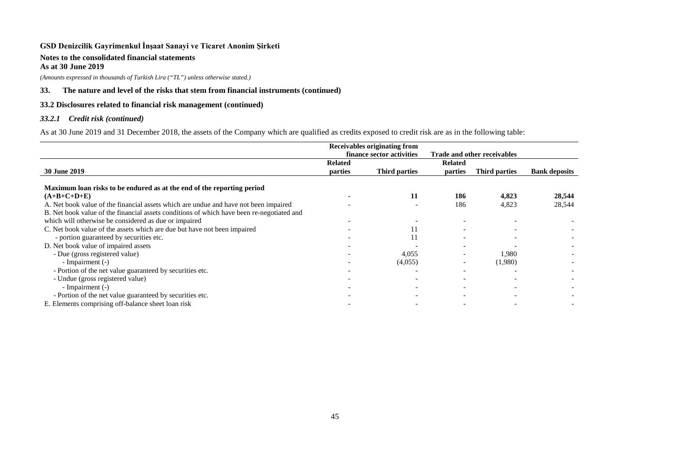# **Notes to the consolidated financial statements**

**As at 30 June 2019**

*(Amounts expressed in thousands of Turkish Lira ("TL") unless otherwise stated.)*

# **33. The nature and level of the risks that stem from financial instruments (continued)**

# **33.2 Disclosures related to financial risk management (continued)**

# *33.2.1 Credit risk (continued)*

As at 30 June 2019 and 31 December 2018, the assets of the Company which are qualified as credits exposed to credit risk are as in the following table:

|                                                                                           | Receivables originating from |               |                             |               |                      |
|-------------------------------------------------------------------------------------------|------------------------------|---------------|-----------------------------|---------------|----------------------|
|                                                                                           | finance sector activities    |               | Trade and other receivables |               |                      |
|                                                                                           | <b>Related</b>               |               | <b>Related</b>              |               |                      |
| <b>30 June 2019</b>                                                                       | parties                      | Third parties | parties                     | Third parties | <b>Bank deposits</b> |
|                                                                                           |                              |               |                             |               |                      |
| Maximum loan risks to be endured as at the end of the reporting period                    |                              |               |                             |               |                      |
| $(A+B+C+D+E)$                                                                             |                              | 11            | 186                         | 4,823         | 28,544               |
| A. Net book value of the financial assets which are undue and have not been impaired      |                              |               | 186                         | 4,823         | 28,544               |
| B. Net book value of the financial assets conditions of which have been re-negotiated and |                              |               |                             |               |                      |
| which will otherwise be considered as due or impaired                                     |                              |               |                             |               |                      |
| C. Net book value of the assets which are due but have not been impaired                  |                              | 11            |                             |               |                      |
| - portion guaranteed by securities etc.                                                   |                              | 11            |                             |               |                      |
| D. Net book value of impaired assets                                                      |                              |               |                             |               |                      |
| - Due (gross registered value)                                                            |                              | 4,055         |                             | 1,980         |                      |
| - Impairment (-)                                                                          |                              | (4,055)       |                             | (1,980)       |                      |
| - Portion of the net value guaranteed by securities etc.                                  |                              |               |                             |               |                      |
| - Undue (gross registered value)                                                          |                              |               |                             |               |                      |
| - Impairment (-)                                                                          |                              |               |                             |               |                      |
| - Portion of the net value guaranteed by securities etc.                                  |                              |               |                             |               |                      |
| E. Elements comprising off-balance sheet loan risk                                        |                              |               |                             |               |                      |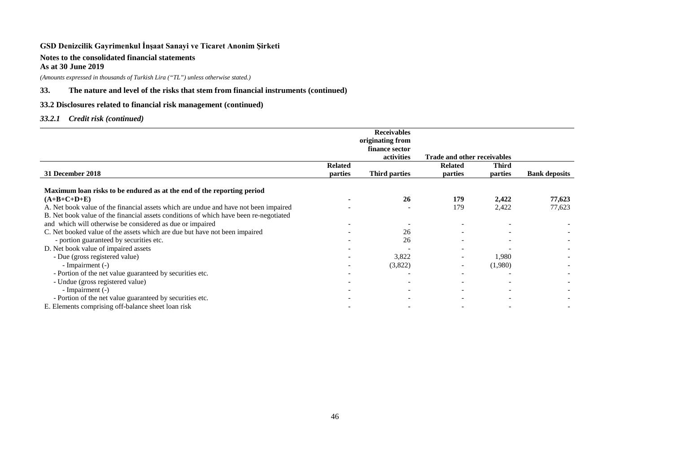### **Notes to the consolidated financial statements As at 30 June 2019**

*(Amounts expressed in thousands of Turkish Lira ("TL") unless otherwise stated.)*

# **33. The nature and level of the risks that stem from financial instruments (continued)**

# **33.2 Disclosures related to financial risk management (continued)**

# *33.2.1 Credit risk (continued)*

|                                                                                       |                | <b>Receivables</b>   |                                    |              |                      |
|---------------------------------------------------------------------------------------|----------------|----------------------|------------------------------------|--------------|----------------------|
|                                                                                       |                | originating from     |                                    |              |                      |
|                                                                                       |                | finance sector       |                                    |              |                      |
|                                                                                       |                | activities           | <b>Trade and other receivables</b> |              |                      |
|                                                                                       | <b>Related</b> |                      | <b>Related</b>                     | <b>Third</b> |                      |
| 31 December 2018                                                                      | parties        | <b>Third parties</b> | parties                            | parties      | <b>Bank deposits</b> |
| Maximum loan risks to be endured as at the end of the reporting period                |                |                      |                                    |              |                      |
| $(A+B+C+D+E)$                                                                         |                | 26                   | 179                                | 2,422        | 77,623               |
| A. Net book value of the financial assets which are undue and have not been impaired  |                |                      | 179                                | 2,422        | 77,623               |
| B. Net book value of the financial assets conditions of which have been re-negotiated |                |                      |                                    |              |                      |
| and which will otherwise be considered as due or impaired                             |                |                      |                                    |              |                      |
| C. Net booked value of the assets which are due but have not been impaired            |                | 26                   |                                    |              |                      |
| - portion guaranteed by securities etc.                                               |                | 26                   |                                    |              |                      |
| D. Net book value of impaired assets                                                  |                |                      |                                    |              |                      |
| - Due (gross registered value)                                                        |                | 3,822                |                                    | 1,980        |                      |
| - Impairment (-)                                                                      |                | (3,822)              |                                    | (1,980)      |                      |
| - Portion of the net value guaranteed by securities etc.                              |                |                      |                                    |              |                      |
| - Undue (gross registered value)                                                      |                |                      |                                    |              |                      |
| - Impairment (-)                                                                      |                |                      |                                    |              |                      |
| - Portion of the net value guaranteed by securities etc.                              |                |                      |                                    |              |                      |
| E. Elements comprising off-balance sheet loan risk                                    |                |                      |                                    |              |                      |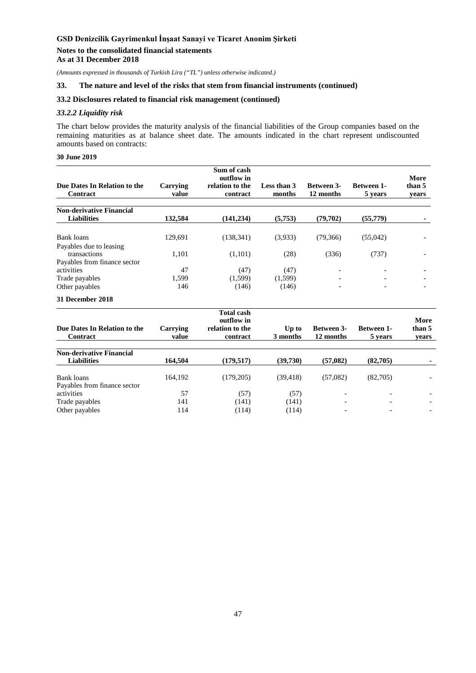*(Amounts expressed in thousands of Turkish Lira ("TL") unless otherwise indicated.)*

### **33. The nature and level of the risks that stem from financial instruments (continued)**

### **33.2 Disclosures related to financial risk management (continued)**

### *33.2.2 Liquidity risk*

The chart below provides the maturity analysis of the financial liabilities of the Group companies based on the remaining maturities as at balance sheet date. The amounts indicated in the chart represent undiscounted amounts based on contracts:

### **30 June 2019**

|                                                |                   | Sum of cash<br>outflow in   |                       |                                |                              | More            |
|------------------------------------------------|-------------------|-----------------------------|-----------------------|--------------------------------|------------------------------|-----------------|
| Due Dates In Relation to the<br>Contract       | Carrying<br>value | relation to the<br>contract | Less than 3<br>months | <b>Between 3-</b><br>12 months | <b>Between 1-</b><br>5 years | than 5<br>vears |
| <b>Non-derivative Financial</b><br>Liabilities | 132.584           | (141, 234)                  | (5,753)               | (79,702)                       | (55,779)                     |                 |
| Bank loans                                     | 129,691           | (138, 341)                  | (3,933)               | (79,366)                       | (55,042)                     |                 |
| Payables due to leasing<br>transactions        | 1,101             | (1,101)                     | (28)                  | (336)                          | (737)                        |                 |
| Payables from finance sector                   |                   |                             |                       |                                |                              |                 |
| activities                                     | 47                | (47)                        | (47)                  | $\overline{\phantom{a}}$       |                              |                 |
| Trade payables                                 | 1,599             | (1,599)                     | (1,599)               |                                | -                            | -               |
| Other payables                                 | 146               | (146)                       | (146)                 | $\overline{\phantom{a}}$       | $\overline{\phantom{0}}$     |                 |
| 31 December 2018                               |                   |                             |                       |                                |                              |                 |

| Due Dates In Relation to the<br>Contract              | Carrying<br>value | <b>Total cash</b><br>outflow in<br>relation to the<br>contract | Up to<br>3 months | <b>Between 3-</b><br>12 months | <b>Between 1-</b><br>5 years | More<br>than 5<br>vears |
|-------------------------------------------------------|-------------------|----------------------------------------------------------------|-------------------|--------------------------------|------------------------------|-------------------------|
| <b>Non-derivative Financial</b><br><b>Liabilities</b> | 164.504           | (179, 517)                                                     | (39,730)          | (57,082)                       | (82,705)                     |                         |
|                                                       |                   |                                                                |                   |                                |                              |                         |
| Bank loans                                            | 164.192           | (179, 205)                                                     | (39, 418)         | (57,082)                       | (82,705)                     |                         |
| Payables from finance sector<br>activities            | 57                | (57)                                                           | (57)              |                                |                              |                         |
| Trade payables                                        | 141               | (141)                                                          | (141)             | $\overline{\phantom{0}}$       |                              |                         |
| Other payables                                        | 114               | (114)                                                          | (114)             | ٠                              |                              |                         |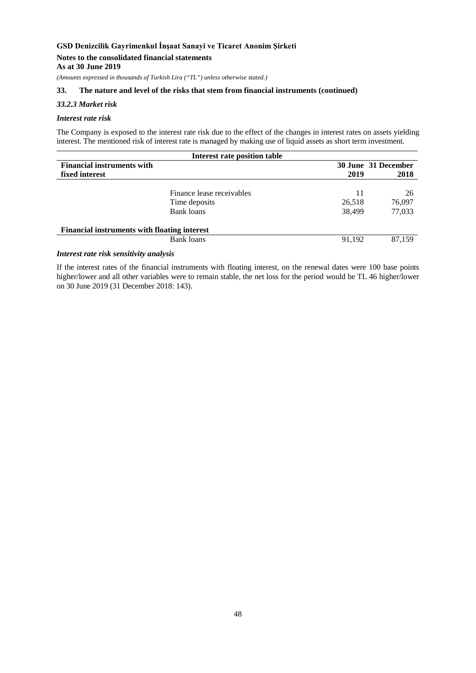#### **Notes to the consolidated financial statements As at 30 June 2019**

*(Amounts expressed in thousands of Turkish Lira ("TL") unless otherwise stated.)*

### **33. The nature and level of the risks that stem from financial instruments (continued)**

### *33.2.3 Market risk*

#### *Interest rate risk*

The Company is exposed to the interest rate risk due to the effect of the changes in interest rates on assets yielding interest. The mentioned risk of interest rate is managed by making use of liquid assets as short term investment.

| Interest rate position table                        |                           |        |                     |  |  |
|-----------------------------------------------------|---------------------------|--------|---------------------|--|--|
| <b>Financial instruments with</b>                   |                           |        | 30 June 31 December |  |  |
| fixed interest                                      |                           | 2019   | 2018                |  |  |
|                                                     |                           |        |                     |  |  |
|                                                     | Finance lease receivables | 11     | 26                  |  |  |
|                                                     | Time deposits             | 26,518 | 76,097              |  |  |
|                                                     | Bank loans                | 38.499 | 77,033              |  |  |
| <b>Financial instruments with floating interest</b> |                           |        |                     |  |  |
|                                                     | Bank loans                | 91.192 | 87.159              |  |  |
|                                                     |                           |        |                     |  |  |

# *Interest rate risk sensitivity analysis*

If the interest rates of the financial instruments with floating interest, on the renewal dates were 100 base points higher/lower and all other variables were to remain stable, the net loss for the period would be TL 46 higher/lower on 30 June 2019 (31 December 2018: 143).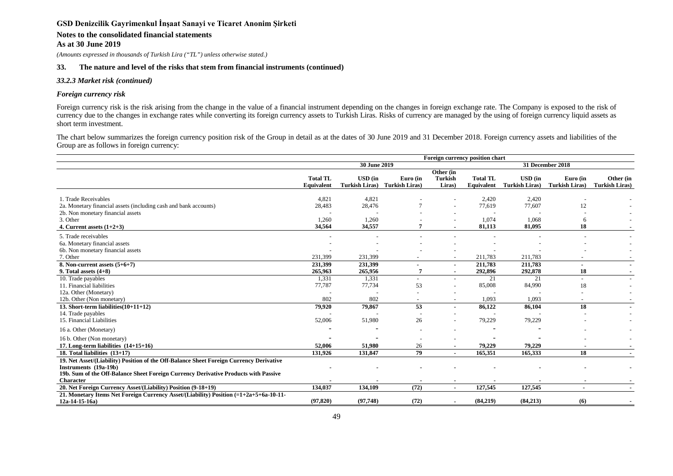# **Notes to the consolidated financial statements**

**As at 30 June 2019**

*(Amounts expressed in thousands of Turkish Lira ("TL") unless otherwise stated.)*

#### **33. The nature and level of the risks that stem from financial instruments (continued)**

#### *33.2.3 Market risk (continued)*

#### *Foreign currency risk*

Foreign currency risk is the risk arising from the change in the value of a financial instrument depending on the changes in foreign exchange rate. The Company is exposed to the risk of currency due to the changes in exchange rates while converting its foreign currency assets to Turkish Liras. Risks of currency are managed by the using of foreign currency liquid assets as short term investment.

The chart below summarizes the foreign currency position risk of the Group in detail as at the dates of 30 June 2019 and 31 December 2018. Foreign currency assets and liabilities of the Group are as follows in foreign currency:

|                                                                                                                                                                                                                      | Foreign currency position chart |                                         |                                   |                                       |                               |                                         |                                   |                                    |
|----------------------------------------------------------------------------------------------------------------------------------------------------------------------------------------------------------------------|---------------------------------|-----------------------------------------|-----------------------------------|---------------------------------------|-------------------------------|-----------------------------------------|-----------------------------------|------------------------------------|
|                                                                                                                                                                                                                      |                                 | 30 June 2019                            |                                   |                                       |                               | 31 December 2018                        |                                   |                                    |
|                                                                                                                                                                                                                      | <b>Total TL</b><br>Equivalent   | <b>USD</b> (in<br><b>Turkish Liras)</b> | Euro (in<br><b>Turkish Liras)</b> | Other (in<br><b>Turkish</b><br>Liras) | <b>Total TL</b><br>Equivalent | <b>USD</b> (in<br><b>Turkish Liras)</b> | Euro (in<br><b>Turkish Liras)</b> | Other (in<br><b>Turkish Liras)</b> |
| 1. Trade Receivables<br>2a. Monetary financial assets (including cash and bank accounts)<br>2b. Non monetary financial assets<br>3. Other                                                                            | 4,821<br>28,483<br>1,260        | 4,821<br>28,476<br>1,260                |                                   |                                       | 2,420<br>77,619<br>1,074      | 2,420<br>77,607<br>1,068                | 12<br>6                           |                                    |
| 4. Current assets $(1+2+3)$                                                                                                                                                                                          | 34,564                          | 34,557                                  |                                   |                                       | 81,113                        | 81,095                                  | 18                                |                                    |
| 5. Trade receivables<br>6a. Monetary financial assets<br>6b. Non monetary financial assets<br>7. Other                                                                                                               | 231,399                         | 231,399                                 |                                   |                                       | 211,783                       | 211,783                                 |                                   |                                    |
| 8. Non-current assets $(5+6+7)$<br>9. Total assets $(4+8)$                                                                                                                                                           | 231,399<br>265,963              | 231,399<br>265,956                      |                                   |                                       | 211,783<br>292,896            | 211,783<br>292,878                      | 18                                |                                    |
| 10. Trade payables<br>11. Financial liabilities                                                                                                                                                                      | 1,331<br>77,787                 | 1,331<br>77,734                         | 53                                |                                       | 21<br>85,008                  | 21<br>84,990                            | 18                                |                                    |
| 12a. Other (Monetary)<br>12b. Other (Non monetary)                                                                                                                                                                   | 802                             | 802                                     |                                   |                                       | 1,093                         | 1,093                                   | $\overline{\phantom{a}}$          |                                    |
| 13. Short-term liabilities $(10+11+12)$<br>14. Trade payables<br>15. Financial Liabilities                                                                                                                           | 79,920<br>52,006                | 79,867<br>51,980                        | 53<br>26                          |                                       | 86,122<br>79,229              | 86,104<br>79,229                        | 18                                | $\sim$                             |
| 16 a. Other (Monetary)                                                                                                                                                                                               |                                 |                                         |                                   |                                       |                               |                                         |                                   |                                    |
| 16 b. Other (Non monetary)<br>17. Long-term liabilities $(14+15+16)$                                                                                                                                                 | 52,006                          | 51,980                                  | 26                                |                                       | 79,229                        | 79,229                                  |                                   |                                    |
| 18. Total liabilities $(13+17)$                                                                                                                                                                                      | 131,926                         | 131,847                                 | 79                                |                                       | 165,351                       | 165,333                                 | 18                                | $\sim$                             |
| 19. Net Asset/(Liability) Position of the Off-Balance Sheet Foreign Currency Derivative<br>Instruments (19a-19b)<br>19b. Sum of the Off-Balance Sheet Foreign Currency Derivative Products with Passive<br>Character |                                 |                                         |                                   | $\overline{\phantom{0}}$              | $\overline{\phantom{a}}$      |                                         | $\blacksquare$                    |                                    |
| 20. Net Foreign Currency Asset/(Liability) Position (9-18+19)                                                                                                                                                        | 134,037                         | 134,109                                 | (72)                              | $\blacksquare$                        | 127,545                       | 127,545                                 | $\blacksquare$                    | $\sim$                             |
| 21. Monetary Items Net Foreign Currency Asset/(Liability) Position (=1+2a+5+6a-10-11-<br>$12a-14-15-16a$                                                                                                             | (97, 820)                       | (97,748)                                | (72)                              |                                       | (84,219)                      | (84,213)                                | (6)                               |                                    |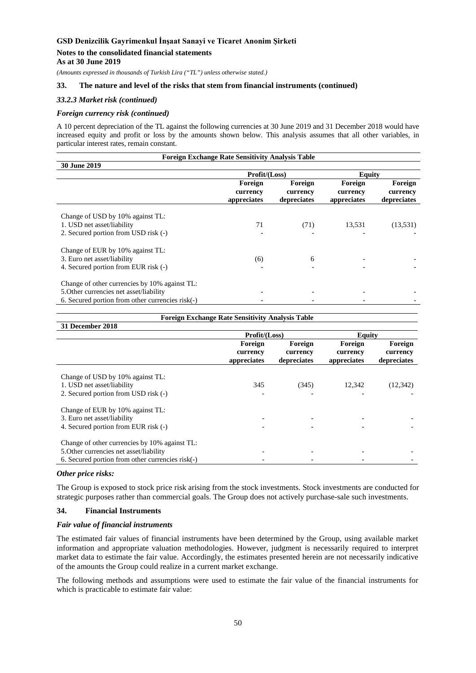### **Notes to the consolidated financial statements**

**As at 30 June 2019**

*(Amounts expressed in thousands of Turkish Lira ("TL") unless otherwise stated.)*

# **33. The nature and level of the risks that stem from financial instruments (continued)**

### *33.2.3 Market risk (continued)*

#### *Foreign currency risk (continued)*

A 10 percent depreciation of the TL against the following currencies at 30 June 2019 and 31 December 2018 would have increased equity and profit or loss by the amounts shown below. This analysis assumes that all other variables, in particular interest rates, remain constant.

| <b>Foreign Exchange Rate Sensitivity Analysis Table</b>                                                                                      |                                    |                                    |                                    |                                    |  |  |
|----------------------------------------------------------------------------------------------------------------------------------------------|------------------------------------|------------------------------------|------------------------------------|------------------------------------|--|--|
| 30 June 2019                                                                                                                                 |                                    |                                    |                                    |                                    |  |  |
|                                                                                                                                              | Profit/(Loss)                      |                                    | Equity                             |                                    |  |  |
|                                                                                                                                              | Foreign<br>currency<br>appreciates | Foreign<br>currency<br>depreciates | Foreign<br>currency<br>appreciates | Foreign<br>currency<br>depreciates |  |  |
| Change of USD by 10% against TL:<br>1. USD net asset/liability<br>2. Secured portion from USD risk (-)                                       | 71                                 | (71)                               | 13,531                             | (13,531)                           |  |  |
| Change of EUR by 10% against TL:<br>3. Euro net asset/liability<br>4. Secured portion from EUR risk (-)                                      | (6)                                | 6                                  |                                    |                                    |  |  |
| Change of other currencies by 10% against TL:<br>5. Other currencies net asset/liability<br>6. Secured portion from other currencies risk(-) |                                    |                                    |                                    |                                    |  |  |

| Foreign Exchange Rate Sensitivity Analysis Table                                                                                             |                                    |                                    |                                    |                                    |  |  |
|----------------------------------------------------------------------------------------------------------------------------------------------|------------------------------------|------------------------------------|------------------------------------|------------------------------------|--|--|
| 31 December 2018                                                                                                                             |                                    |                                    |                                    |                                    |  |  |
|                                                                                                                                              | Profit/(Loss)                      |                                    | <b>Equity</b>                      |                                    |  |  |
|                                                                                                                                              | Foreign<br>currency<br>appreciates | Foreign<br>currency<br>depreciates | Foreign<br>currency<br>appreciates | Foreign<br>currency<br>depreciates |  |  |
| Change of USD by 10% against TL:<br>1. USD net asset/liability<br>2. Secured portion from USD risk (-)                                       | 345                                | (345)                              | 12.342                             | (12, 342)                          |  |  |
| Change of EUR by 10% against TL:<br>3. Euro net asset/liability<br>4. Secured portion from EUR risk (-)                                      |                                    |                                    |                                    |                                    |  |  |
| Change of other currencies by 10% against TL:<br>5. Other currencies net asset/liability<br>6. Secured portion from other currencies risk(-) |                                    |                                    |                                    |                                    |  |  |

#### *Other price risks:*

The Group is exposed to stock price risk arising from the stock investments. Stock investments are conducted for strategic purposes rather than commercial goals. The Group does not actively purchase-sale such investments.

# **34. Financial Instruments**

#### *Fair value of financial instruments*

The estimated fair values of financial instruments have been determined by the Group, using available market information and appropriate valuation methodologies. However, judgment is necessarily required to interpret market data to estimate the fair value. Accordingly, the estimates presented herein are not necessarily indicative of the amounts the Group could realize in a current market exchange.

The following methods and assumptions were used to estimate the fair value of the financial instruments for which is practicable to estimate fair value: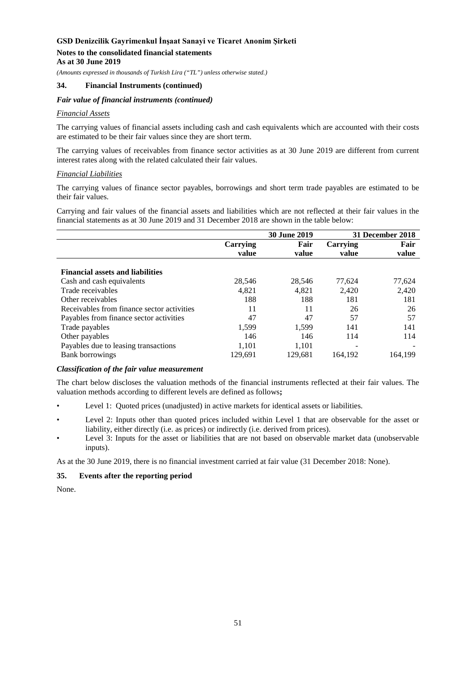# **Notes to the consolidated financial statements**

**As at 30 June 2019**

*(Amounts expressed in thousands of Turkish Lira ("TL") unless otherwise stated.)*

# **34. Financial Instruments (continued)**

### *Fair value of financial instruments (continued)*

#### *Financial Assets*

The carrying values of financial assets including cash and cash equivalents which are accounted with their costs are estimated to be their fair values since they are short term.

The carrying values of receivables from finance sector activities as at 30 June 2019 are different from current interest rates along with the related calculated their fair values.

# *Financial Liabilities*

The carrying values of finance sector payables, borrowings and short term trade payables are estimated to be their fair values.

Carrying and fair values of the financial assets and liabilities which are not reflected at their fair values in the financial statements as at 30 June 2019 and 31 December 2018 are shown in the table below:

|                                            |          | <b>30 June 2019</b> |          | 31 December 2018 |
|--------------------------------------------|----------|---------------------|----------|------------------|
|                                            | Carrying | Fair                | Carrying | Fair             |
|                                            | value    | value               | value    | value            |
| <b>Financial assets and liabilities</b>    |          |                     |          |                  |
| Cash and cash equivalents                  | 28,546   | 28,546              | 77.624   | 77,624           |
| Trade receivables                          | 4,821    | 4.821               | 2,420    | 2,420            |
| Other receivables                          | 188      | 188                 | 181      | 181              |
| Receivables from finance sector activities | 11       | 11                  | 26       | 26               |
| Payables from finance sector activities    | 47       | 47                  | 57       | 57               |
| Trade payables                             | 1.599    | 1.599               | 141      | 141              |
| Other payables                             | 146      | 146                 | 114      | 114              |
| Payables due to leasing transactions       | 1,101    | 1,101               |          |                  |
| <b>Bank borrowings</b>                     | 129.691  | 129.681             | 164.192  | 164.199          |

#### *Classification of the fair value measurement*

The chart below discloses the valuation methods of the financial instruments reflected at their fair values. The valuation methods according to different levels are defined as follows**;**

- Level 1: Quoted prices (unadjusted) in active markets for identical assets or liabilities.
- Level 2: Inputs other than quoted prices included within Level 1 that are observable for the asset or liability, either directly (i.e. as prices) or indirectly (i.e. derived from prices).
- Level 3: Inputs for the asset or liabilities that are not based on observable market data (unobservable inputs).

As at the 30 June 2019, there is no financial investment carried at fair value (31 December 2018: None).

# **35. Events after the reporting period**

None.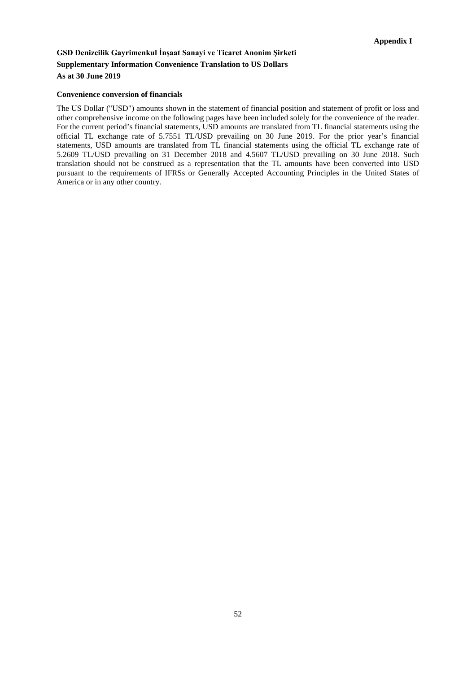# **GSD Denizcilik Gayrimenkul İnşaat Sanayi ve Ticaret Anonim Şirketi Supplementary Information Convenience Translation to US Dollars As at 30 June 2019**

#### **Convenience conversion of financials**

The US Dollar ("USD") amounts shown in the statement of financial position and statement of profit or loss and other comprehensive income on the following pages have been included solely for the convenience of the reader. For the current period's financial statements, USD amounts are translated from TL financial statements using the official TL exchange rate of 5.7551 TL/USD prevailing on 30 June 2019. For the prior year's financial statements, USD amounts are translated from TL financial statements using the official TL exchange rate of 5.2609 TL/USD prevailing on 31 December 2018 and 4.5607 TL/USD prevailing on 30 June 2018. Such translation should not be construed as a representation that the TL amounts have been converted into USD pursuant to the requirements of IFRSs or Generally Accepted Accounting Principles in the United States of America or in any other country.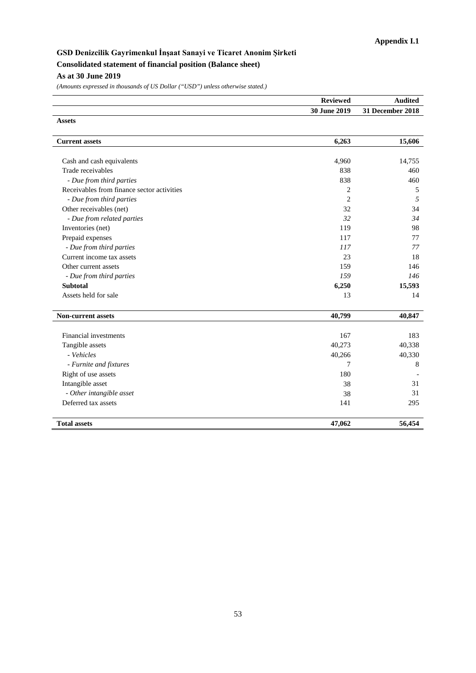# **GSD Denizcilik Gayrimenkul İnşaat Sanayi ve Ticaret Anonim Şirketi Consolidated statement of financial position (Balance sheet) As at 30 June 2019**

|                                            | <b>Reviewed</b> | Audited          |  |
|--------------------------------------------|-----------------|------------------|--|
|                                            | 30 June 2019    | 31 December 2018 |  |
| <b>Assets</b>                              |                 |                  |  |
| <b>Current assets</b>                      | 6,263           | 15,606           |  |
| Cash and cash equivalents                  | 4,960           | 14,755           |  |
| Trade receivables                          | 838             | 460              |  |
| - Due from third parties                   | 838             | 460              |  |
| Receivables from finance sector activities | 2               | 5                |  |
| - Due from third parties                   | $\overline{c}$  | 5                |  |
| Other receivables (net)                    | 32              | 34               |  |
| - Due from related parties                 | 32              | 34               |  |
| Inventories (net)                          | 119             | 98               |  |
| Prepaid expenses                           | 117             | 77               |  |
| - Due from third parties                   | 117             | 77               |  |
| Current income tax assets                  | 23              | 18               |  |
| Other current assets                       | 159             | 146              |  |
| - Due from third parties                   | 159             | 146              |  |
| <b>Subtotal</b>                            | 6,250           | 15,593           |  |
| Assets held for sale                       | 13              | 14               |  |
| <b>Non-current assets</b>                  | 40,799          | 40,847           |  |
| Financial investments                      | 167             | 183              |  |
| Tangible assets                            | 40,273          | 40,338           |  |
| - Vehicles                                 | 40,266          | 40,330           |  |
| - Furnite and fixtures                     | 7               | 8                |  |
| Right of use assets                        | 180             |                  |  |
| Intangible asset                           | 38              | 31               |  |
| - Other intangible asset                   | 38              | 31               |  |
| Deferred tax assets                        | 141             | 295              |  |
|                                            |                 |                  |  |
| <b>Total assets</b>                        | 47,062          | 56,454           |  |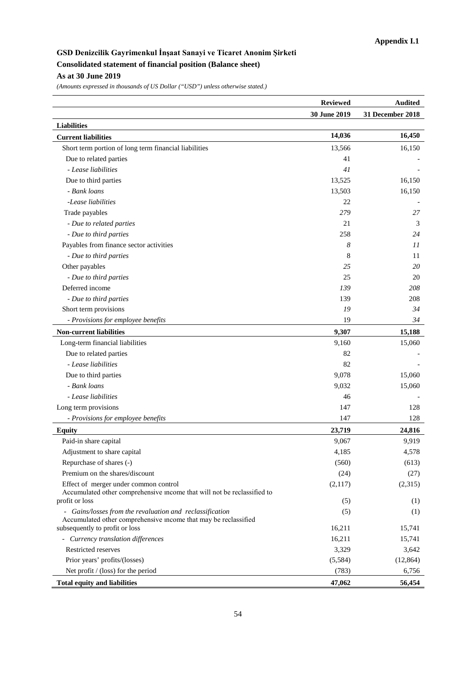# **GSD Denizcilik Gayrimenkul İnşaat Sanayi ve Ticaret Anonim Şirketi Consolidated statement of financial position (Balance sheet) As at 30 June 2019**

|                                                                                                                             | <b>Reviewed</b> | <b>Audited</b>   |
|-----------------------------------------------------------------------------------------------------------------------------|-----------------|------------------|
|                                                                                                                             | 30 June 2019    | 31 December 2018 |
| <b>Liabilities</b>                                                                                                          |                 |                  |
| <b>Current liabilities</b>                                                                                                  | 14,036          | 16,450           |
| Short term portion of long term financial liabilities                                                                       | 13,566          | 16,150           |
| Due to related parties                                                                                                      | 41              |                  |
| - Lease liabilities                                                                                                         | 41              |                  |
| Due to third parties                                                                                                        | 13,525          | 16,150           |
| - Bank loans                                                                                                                | 13,503          | 16,150           |
| -Lease liabilities                                                                                                          | 22              |                  |
| Trade payables                                                                                                              | 279             | 27               |
| - Due to related parties                                                                                                    | 21              | 3                |
| - Due to third parties                                                                                                      | 258             | 24               |
| Payables from finance sector activities                                                                                     | 8               | 11               |
| - Due to third parties                                                                                                      | 8               | 11               |
| Other payables                                                                                                              | 25              | 20               |
| - Due to third parties                                                                                                      | 25              | 20               |
| Deferred income                                                                                                             | 139             | 208              |
| - Due to third parties                                                                                                      | 139             | 208              |
| Short term provisions                                                                                                       | 19              | 34               |
| - Provisions for employee benefits                                                                                          | 19              | 34               |
| <b>Non-current liabilities</b>                                                                                              | 9,307           | 15,188           |
| Long-term financial liabilities                                                                                             | 9,160           | 15,060           |
| Due to related parties                                                                                                      | 82              |                  |
| - Lease liabilities                                                                                                         | 82              |                  |
| Due to third parties                                                                                                        | 9,078           | 15,060           |
| - Bank loans                                                                                                                | 9,032           | 15,060           |
| - Lease liabilities                                                                                                         | 46              |                  |
| Long term provisions                                                                                                        | 147             | 128              |
| - Provisions for employee benefits                                                                                          | 147             | 128              |
| <b>Equity</b>                                                                                                               | 23,719          | 24,816           |
| Paid-in share capital                                                                                                       | 9,067           | 9,919            |
| Adjustment to share capital                                                                                                 | 4,185           | 4,578            |
| Repurchase of shares (-)                                                                                                    | (560)           | (613)            |
| Premium on the shares/discount                                                                                              | (24)            | (27)             |
| Effect of merger under common control                                                                                       | (2,117)         | (2,315)          |
| Accumulated other comprehensive income that will not be reclassified to                                                     |                 |                  |
| profit or loss                                                                                                              | (5)             | (1)              |
| - Gains/losses from the revaluation and reclassification<br>Accumulated other comprehensive income that may be reclassified | (5)             | (1)              |
| subsequently to profit or loss                                                                                              | 16,211          | 15,741           |
| - Currency translation differences                                                                                          | 16,211          | 15,741           |
| Restricted reserves                                                                                                         | 3,329           | 3,642            |
| Prior years' profits/(losses)                                                                                               | (5,584)         | (12, 864)        |
| Net profit $/$ (loss) for the period                                                                                        | (783)           | 6,756            |
| <b>Total equity and liabilities</b>                                                                                         | 47,062          | 56,454           |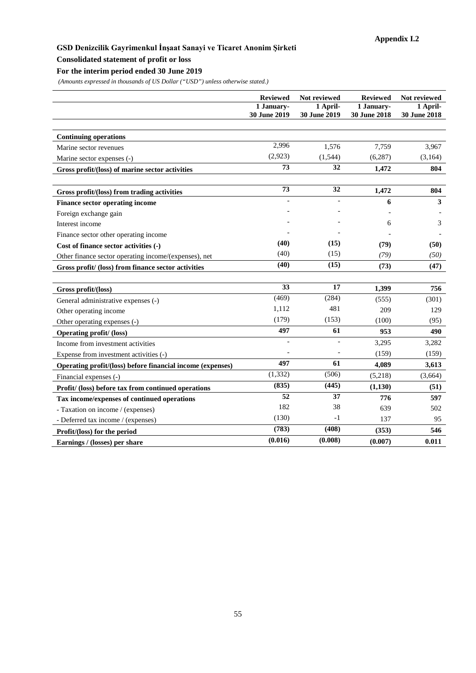# **Consolidated statement of profit or loss**

# **For the interim period ended 30 June 2019**

|                                                            | <b>Reviewed</b><br>1 January- | Not reviewed<br>1 April- | <b>Reviewed</b><br>1 January- | Not reviewed<br>1 April- |
|------------------------------------------------------------|-------------------------------|--------------------------|-------------------------------|--------------------------|
|                                                            | 30 June 2019                  | 30 June 2019             | 30 June 2018                  | 30 June 2018             |
|                                                            |                               |                          |                               |                          |
| <b>Continuing operations</b>                               |                               |                          |                               |                          |
| Marine sector revenues                                     | 2,996                         | 1,576                    | 7,759                         | 3,967                    |
| Marine sector expenses (-)                                 | (2,923)                       | (1, 544)                 | (6, 287)                      | (3,164)                  |
| Gross profit/(loss) of marine sector activities            | 73                            | 32                       | 1,472                         | 804                      |
|                                                            |                               |                          |                               |                          |
| Gross profit/(loss) from trading activities                | 73                            | 32                       | 1,472                         | 804                      |
| Finance sector operating income                            |                               |                          | 6                             | 3                        |
| Foreign exchange gain                                      |                               |                          |                               |                          |
| Interest income                                            |                               |                          | 6                             | 3                        |
| Finance sector other operating income                      |                               |                          |                               |                          |
| Cost of finance sector activities (-)                      | (40)                          | (15)                     | (79)                          | (50)                     |
| Other finance sector operating income/(expenses), net      | (40)                          | (15)                     | (79)                          | (50)                     |
| Gross profit/ (loss) from finance sector activities        | (40)                          | (15)                     | (73)                          | (47)                     |
|                                                            |                               |                          |                               |                          |
| Gross profit/(loss)                                        | 33                            | 17                       | 1,399                         | 756                      |
| General administrative expenses (-)                        | (469)                         | (284)                    | (555)                         | (301)                    |
| Other operating income                                     | 1,112                         | 481                      | 209                           | 129                      |
| Other operating expenses (-)                               | (179)                         | (153)                    | (100)                         | (95)                     |
| <b>Operating profit/ (loss)</b>                            | 497                           | 61                       | 953                           | 490                      |
| Income from investment activities                          |                               |                          | 3,295                         | 3,282                    |
| Expense from investment activities (-)                     |                               |                          | (159)                         | (159)                    |
| Operating profit/(loss) before financial income (expenses) | 497                           | 61                       | 4.089                         | 3,613                    |
| Financial expenses (-)                                     | (1, 332)                      | (506)                    | (5,218)                       | (3,664)                  |
| Profit/ (loss) before tax from continued operations        | (835)                         | (445)                    | (1,130)                       | (51)                     |
| Tax income/expenses of continued operations                | 52                            | 37                       | 776                           | 597                      |
| - Taxation on income / (expenses)                          | 182                           | 38                       | 639                           | 502                      |
| - Deferred tax income / (expenses)                         | (130)                         | $-1$                     | 137                           | 95                       |
| Profit/(loss) for the period                               | (783)                         | (408)                    | (353)                         | 546                      |
| Earnings / (losses) per share                              | (0.016)                       | (0.008)                  | (0.007)                       | 0.011                    |